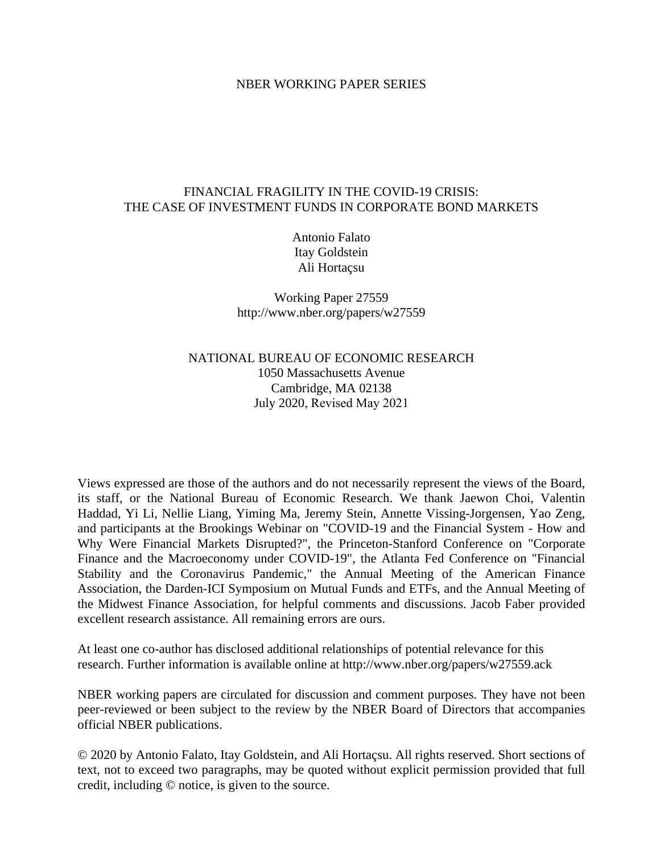## NBER WORKING PAPER SERIES

# FINANCIAL FRAGILITY IN THE COVID-19 CRISIS: THE CASE OF INVESTMENT FUNDS IN CORPORATE BOND MARKETS

Antonio Falato Itay Goldstein Ali Hortaçsu

Working Paper 27559 http://www.nber.org/papers/w27559

NATIONAL BUREAU OF ECONOMIC RESEARCH 1050 Massachusetts Avenue Cambridge, MA 02138 July 2020, Revised May 2021

Views expressed are those of the authors and do not necessarily represent the views of the Board, its staff, or the National Bureau of Economic Research. We thank Jaewon Choi, Valentin Haddad, Yi Li, Nellie Liang, Yiming Ma, Jeremy Stein, Annette Vissing-Jorgensen, Yao Zeng, and participants at the Brookings Webinar on "COVID-19 and the Financial System - How and Why Were Financial Markets Disrupted?", the Princeton-Stanford Conference on "Corporate Finance and the Macroeconomy under COVID-19", the Atlanta Fed Conference on "Financial Stability and the Coronavirus Pandemic," the Annual Meeting of the American Finance Association, the Darden-ICI Symposium on Mutual Funds and ETFs, and the Annual Meeting of the Midwest Finance Association, for helpful comments and discussions. Jacob Faber provided excellent research assistance. All remaining errors are ours.

At least one co-author has disclosed additional relationships of potential relevance for this research. Further information is available online at http://www.nber.org/papers/w27559.ack

NBER working papers are circulated for discussion and comment purposes. They have not been peer-reviewed or been subject to the review by the NBER Board of Directors that accompanies official NBER publications.

© 2020 by Antonio Falato, Itay Goldstein, and Ali Hortaçsu. All rights reserved. Short sections of text, not to exceed two paragraphs, may be quoted without explicit permission provided that full credit, including © notice, is given to the source.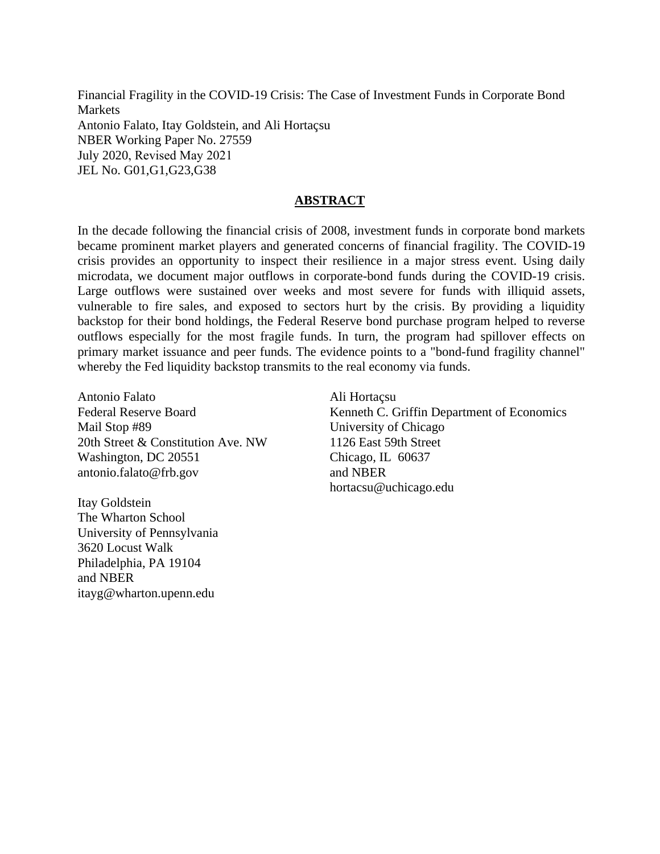Financial Fragility in the COVID-19 Crisis: The Case of Investment Funds in Corporate Bond Markets Antonio Falato, Itay Goldstein, and Ali Hortaçsu NBER Working Paper No. 27559 July 2020, Revised May 2021 JEL No. G01,G1,G23,G38

# **ABSTRACT**

In the decade following the financial crisis of 2008, investment funds in corporate bond markets became prominent market players and generated concerns of financial fragility. The COVID-19 crisis provides an opportunity to inspect their resilience in a major stress event. Using daily microdata, we document major outflows in corporate-bond funds during the COVID-19 crisis. Large outflows were sustained over weeks and most severe for funds with illiquid assets, vulnerable to fire sales, and exposed to sectors hurt by the crisis. By providing a liquidity backstop for their bond holdings, the Federal Reserve bond purchase program helped to reverse outflows especially for the most fragile funds. In turn, the program had spillover effects on primary market issuance and peer funds. The evidence points to a "bond-fund fragility channel" whereby the Fed liquidity backstop transmits to the real economy via funds.

Antonio Falato Federal Reserve Board Mail Stop #89 20th Street & Constitution Ave. NW Washington, DC 20551 antonio.falato@frb.gov

Itay Goldstein The Wharton School University of Pennsylvania 3620 Locust Walk Philadelphia, PA 19104 and NBER itayg@wharton.upenn.edu

Ali Hortaçsu Kenneth C. Griffin Department of Economics University of Chicago 1126 East 59th Street Chicago, IL 60637 and NBER hortacsu@uchicago.edu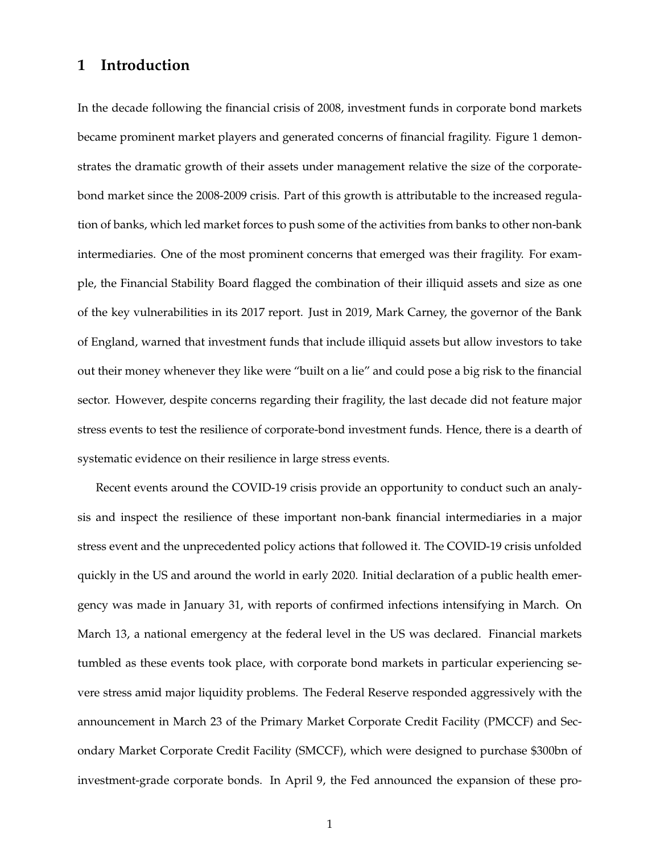# **1 Introduction**

In the decade following the financial crisis of 2008, investment funds in corporate bond markets became prominent market players and generated concerns of financial fragility. Figure 1 demonstrates the dramatic growth of their assets under management relative the size of the corporatebond market since the 2008-2009 crisis. Part of this growth is attributable to the increased regulation of banks, which led market forces to push some of the activities from banks to other non-bank intermediaries. One of the most prominent concerns that emerged was their fragility. For example, the Financial Stability Board flagged the combination of their illiquid assets and size as one of the key vulnerabilities in its 2017 report. Just in 2019, Mark Carney, the governor of the Bank of England, warned that investment funds that include illiquid assets but allow investors to take out their money whenever they like were "built on a lie" and could pose a big risk to the financial sector. However, despite concerns regarding their fragility, the last decade did not feature major stress events to test the resilience of corporate-bond investment funds. Hence, there is a dearth of systematic evidence on their resilience in large stress events.

Recent events around the COVID-19 crisis provide an opportunity to conduct such an analysis and inspect the resilience of these important non-bank financial intermediaries in a major stress event and the unprecedented policy actions that followed it. The COVID-19 crisis unfolded quickly in the US and around the world in early 2020. Initial declaration of a public health emergency was made in January 31, with reports of confirmed infections intensifying in March. On March 13, a national emergency at the federal level in the US was declared. Financial markets tumbled as these events took place, with corporate bond markets in particular experiencing severe stress amid major liquidity problems. The Federal Reserve responded aggressively with the announcement in March 23 of the Primary Market Corporate Credit Facility (PMCCF) and Secondary Market Corporate Credit Facility (SMCCF), which were designed to purchase \$300bn of investment-grade corporate bonds. In April 9, the Fed announced the expansion of these pro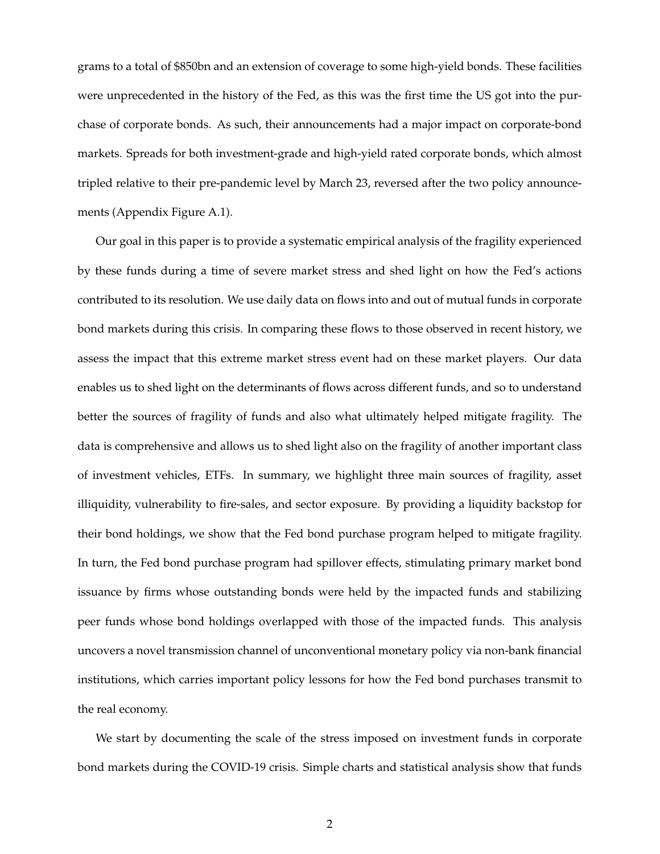grams to a total of \$850bn and an extension of coverage to some high-yield bonds. These facilities were unprecedented in the history of the Fed, as this was the first time the US got into the purchase of corporate bonds. As such, their announcements had a major impact on corporate-bond markets. Spreads for both investment-grade and high-yield rated corporate bonds, which almost tripled relative to their pre-pandemic level by March 23, reversed after the two policy announcements (Appendix Figure A.1).

Our goal in this paper is to provide a systematic empirical analysis of the fragility experienced by these funds during a time of severe market stress and shed light on how the Fed's actions contributed to its resolution. We use daily data on flows into and out of mutual funds in corporate bond markets during this crisis. In comparing these flows to those observed in recent history, we assess the impact that this extreme market stress event had on these market players. Our data enables us to shed light on the determinants of flows across different funds, and so to understand better the sources of fragility of funds and also what ultimately helped mitigate fragility. The data is comprehensive and allows us to shed light also on the fragility of another important class of investment vehicles, ETFs. In summary, we highlight three main sources of fragility, asset illiquidity, vulnerability to fire-sales, and sector exposure. By providing a liquidity backstop for their bond holdings, we show that the Fed bond purchase program helped to mitigate fragility. In turn, the Fed bond purchase program had spillover effects, stimulating primary market bond issuance by firms whose outstanding bonds were held by the impacted funds and stabilizing peer funds whose bond holdings overlapped with those of the impacted funds. This analysis uncovers a novel transmission channel of unconventional monetary policy via non-bank financial institutions, which carries important policy lessons for how the Fed bond purchases transmit to the real economy.

We start by documenting the scale of the stress imposed on investment funds in corporate bond markets during the COVID-19 crisis. Simple charts and statistical analysis show that funds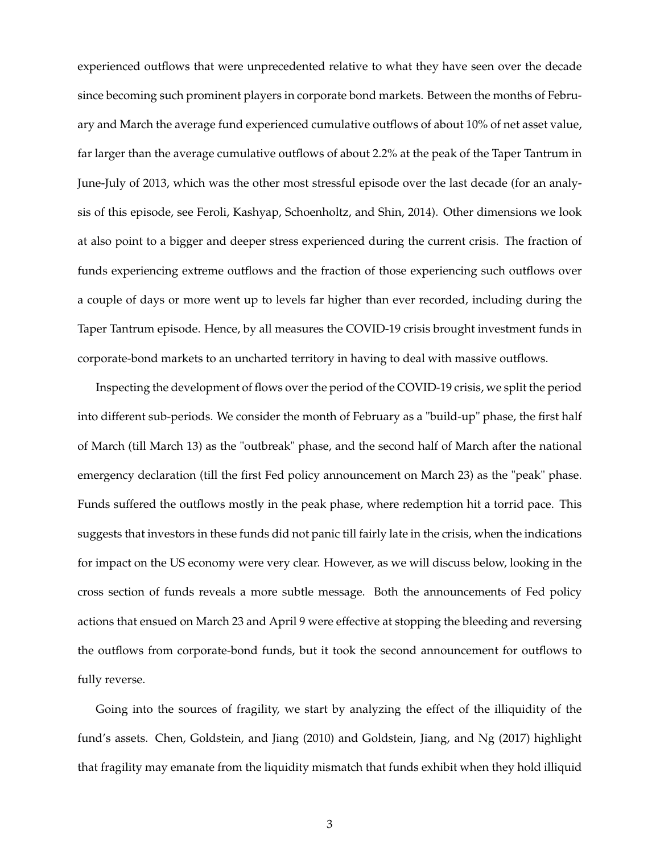experienced outflows that were unprecedented relative to what they have seen over the decade since becoming such prominent players in corporate bond markets. Between the months of February and March the average fund experienced cumulative outflows of about 10% of net asset value, far larger than the average cumulative outflows of about 2.2% at the peak of the Taper Tantrum in June-July of 2013, which was the other most stressful episode over the last decade (for an analysis of this episode, see Feroli, Kashyap, Schoenholtz, and Shin, 2014). Other dimensions we look at also point to a bigger and deeper stress experienced during the current crisis. The fraction of funds experiencing extreme outflows and the fraction of those experiencing such outflows over a couple of days or more went up to levels far higher than ever recorded, including during the Taper Tantrum episode. Hence, by all measures the COVID-19 crisis brought investment funds in corporate-bond markets to an uncharted territory in having to deal with massive outflows.

Inspecting the development of flows over the period of the COVID-19 crisis, we split the period into different sub-periods. We consider the month of February as a "build-up" phase, the first half of March (till March 13) as the "outbreak" phase, and the second half of March after the national emergency declaration (till the first Fed policy announcement on March 23) as the "peak" phase. Funds suffered the outflows mostly in the peak phase, where redemption hit a torrid pace. This suggests that investors in these funds did not panic till fairly late in the crisis, when the indications for impact on the US economy were very clear. However, as we will discuss below, looking in the cross section of funds reveals a more subtle message. Both the announcements of Fed policy actions that ensued on March 23 and April 9 were effective at stopping the bleeding and reversing the outflows from corporate-bond funds, but it took the second announcement for outflows to fully reverse.

Going into the sources of fragility, we start by analyzing the effect of the illiquidity of the fund's assets. Chen, Goldstein, and Jiang (2010) and Goldstein, Jiang, and Ng (2017) highlight that fragility may emanate from the liquidity mismatch that funds exhibit when they hold illiquid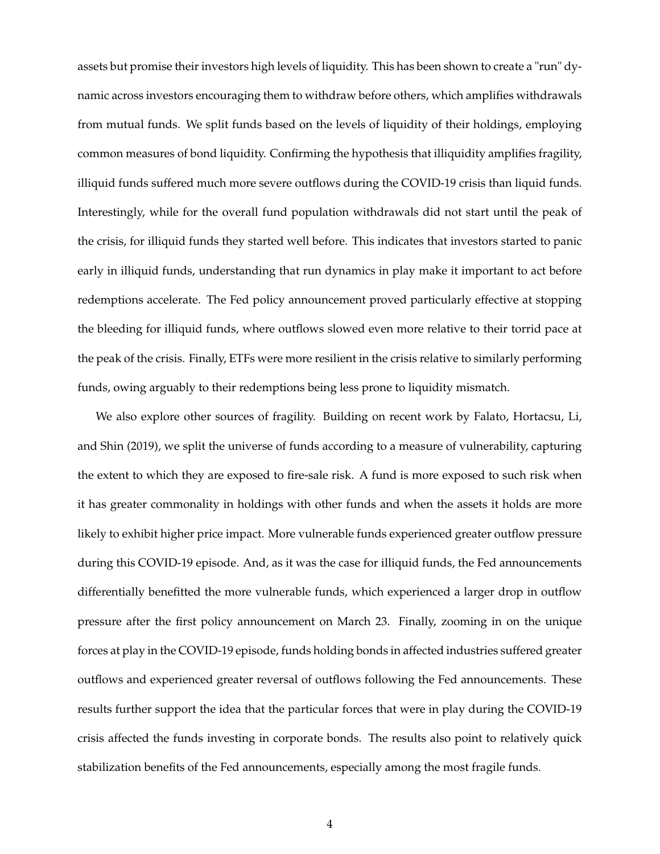assets but promise their investors high levels of liquidity. This has been shown to create a "run" dynamic across investors encouraging them to withdraw before others, which amplifies withdrawals from mutual funds. We split funds based on the levels of liquidity of their holdings, employing common measures of bond liquidity. Confirming the hypothesis that illiquidity amplifies fragility, illiquid funds suffered much more severe outflows during the COVID-19 crisis than liquid funds. Interestingly, while for the overall fund population withdrawals did not start until the peak of the crisis, for illiquid funds they started well before. This indicates that investors started to panic early in illiquid funds, understanding that run dynamics in play make it important to act before redemptions accelerate. The Fed policy announcement proved particularly effective at stopping the bleeding for illiquid funds, where outflows slowed even more relative to their torrid pace at the peak of the crisis. Finally, ETFs were more resilient in the crisis relative to similarly performing funds, owing arguably to their redemptions being less prone to liquidity mismatch.

We also explore other sources of fragility. Building on recent work by Falato, Hortacsu, Li, and Shin (2019), we split the universe of funds according to a measure of vulnerability, capturing the extent to which they are exposed to fire-sale risk. A fund is more exposed to such risk when it has greater commonality in holdings with other funds and when the assets it holds are more likely to exhibit higher price impact. More vulnerable funds experienced greater outflow pressure during this COVID-19 episode. And, as it was the case for illiquid funds, the Fed announcements differentially benefitted the more vulnerable funds, which experienced a larger drop in outflow pressure after the first policy announcement on March 23. Finally, zooming in on the unique forces at play in the COVID-19 episode, funds holding bonds in affected industries suffered greater outflows and experienced greater reversal of outflows following the Fed announcements. These results further support the idea that the particular forces that were in play during the COVID-19 crisis affected the funds investing in corporate bonds. The results also point to relatively quick stabilization benefits of the Fed announcements, especially among the most fragile funds.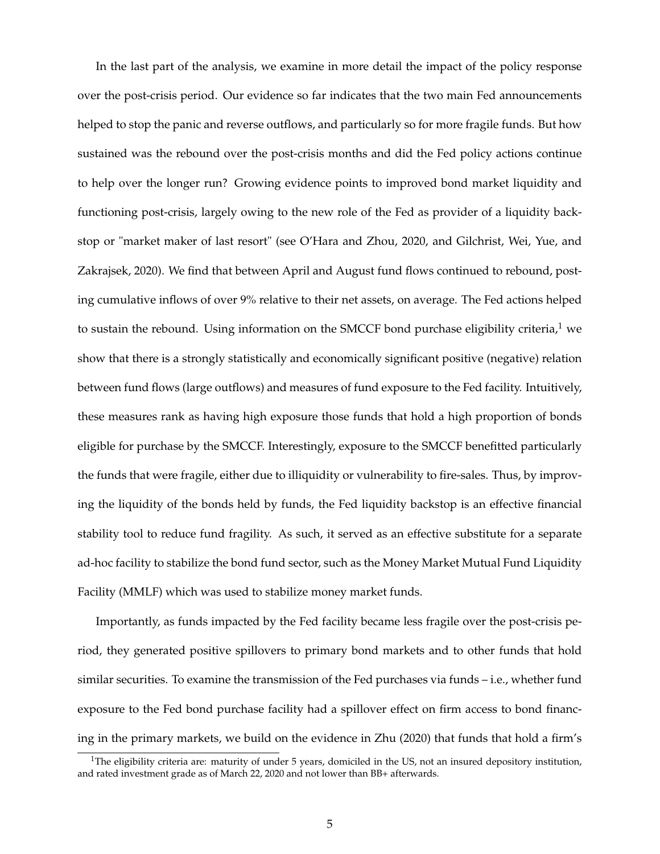In the last part of the analysis, we examine in more detail the impact of the policy response over the post-crisis period. Our evidence so far indicates that the two main Fed announcements helped to stop the panic and reverse outflows, and particularly so for more fragile funds. But how sustained was the rebound over the post-crisis months and did the Fed policy actions continue to help over the longer run? Growing evidence points to improved bond market liquidity and functioning post-crisis, largely owing to the new role of the Fed as provider of a liquidity backstop or "market maker of last resort" (see O'Hara and Zhou, 2020, and Gilchrist, Wei, Yue, and Zakrajsek, 2020). We find that between April and August fund flows continued to rebound, posting cumulative inflows of over 9% relative to their net assets, on average. The Fed actions helped to sustain the rebound. Using information on the SMCCF bond purchase eligibility criteria, $1$  we show that there is a strongly statistically and economically significant positive (negative) relation between fund flows (large outflows) and measures of fund exposure to the Fed facility. Intuitively, these measures rank as having high exposure those funds that hold a high proportion of bonds eligible for purchase by the SMCCF. Interestingly, exposure to the SMCCF benefitted particularly the funds that were fragile, either due to illiquidity or vulnerability to fire-sales. Thus, by improving the liquidity of the bonds held by funds, the Fed liquidity backstop is an effective financial stability tool to reduce fund fragility. As such, it served as an effective substitute for a separate ad-hoc facility to stabilize the bond fund sector, such as the Money Market Mutual Fund Liquidity Facility (MMLF) which was used to stabilize money market funds.

Importantly, as funds impacted by the Fed facility became less fragile over the post-crisis period, they generated positive spillovers to primary bond markets and to other funds that hold similar securities. To examine the transmission of the Fed purchases via funds – i.e., whether fund exposure to the Fed bond purchase facility had a spillover effect on firm access to bond financing in the primary markets, we build on the evidence in Zhu (2020) that funds that hold a firm's

<sup>&</sup>lt;sup>1</sup>The eligibility criteria are: maturity of under 5 years, domiciled in the US, not an insured depository institution, and rated investment grade as of March 22, 2020 and not lower than BB+ afterwards.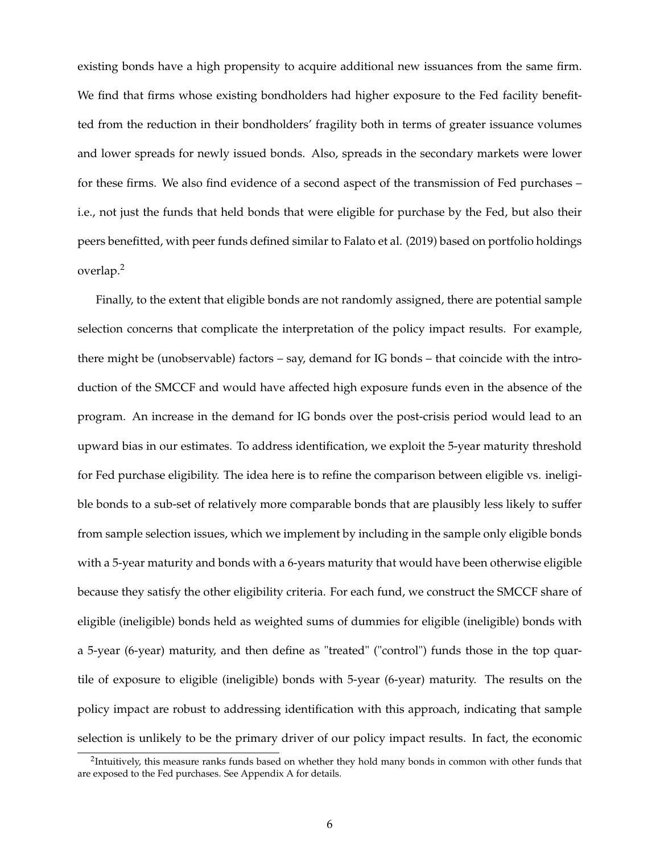existing bonds have a high propensity to acquire additional new issuances from the same firm. We find that firms whose existing bondholders had higher exposure to the Fed facility benefitted from the reduction in their bondholders' fragility both in terms of greater issuance volumes and lower spreads for newly issued bonds. Also, spreads in the secondary markets were lower for these firms. We also find evidence of a second aspect of the transmission of Fed purchases – i.e., not just the funds that held bonds that were eligible for purchase by the Fed, but also their peers benefitted, with peer funds defined similar to Falato et al. (2019) based on portfolio holdings overlap.<sup>2</sup>

Finally, to the extent that eligible bonds are not randomly assigned, there are potential sample selection concerns that complicate the interpretation of the policy impact results. For example, there might be (unobservable) factors – say, demand for IG bonds – that coincide with the introduction of the SMCCF and would have affected high exposure funds even in the absence of the program. An increase in the demand for IG bonds over the post-crisis period would lead to an upward bias in our estimates. To address identification, we exploit the 5-year maturity threshold for Fed purchase eligibility. The idea here is to refine the comparison between eligible vs. ineligible bonds to a sub-set of relatively more comparable bonds that are plausibly less likely to suffer from sample selection issues, which we implement by including in the sample only eligible bonds with a 5-year maturity and bonds with a 6-years maturity that would have been otherwise eligible because they satisfy the other eligibility criteria. For each fund, we construct the SMCCF share of eligible (ineligible) bonds held as weighted sums of dummies for eligible (ineligible) bonds with a 5-year (6-year) maturity, and then define as "treated" ("control") funds those in the top quartile of exposure to eligible (ineligible) bonds with 5-year (6-year) maturity. The results on the policy impact are robust to addressing identification with this approach, indicating that sample selection is unlikely to be the primary driver of our policy impact results. In fact, the economic

 $^2$ Intuitively, this measure ranks funds based on whether they hold many bonds in common with other funds that are exposed to the Fed purchases. See Appendix A for details.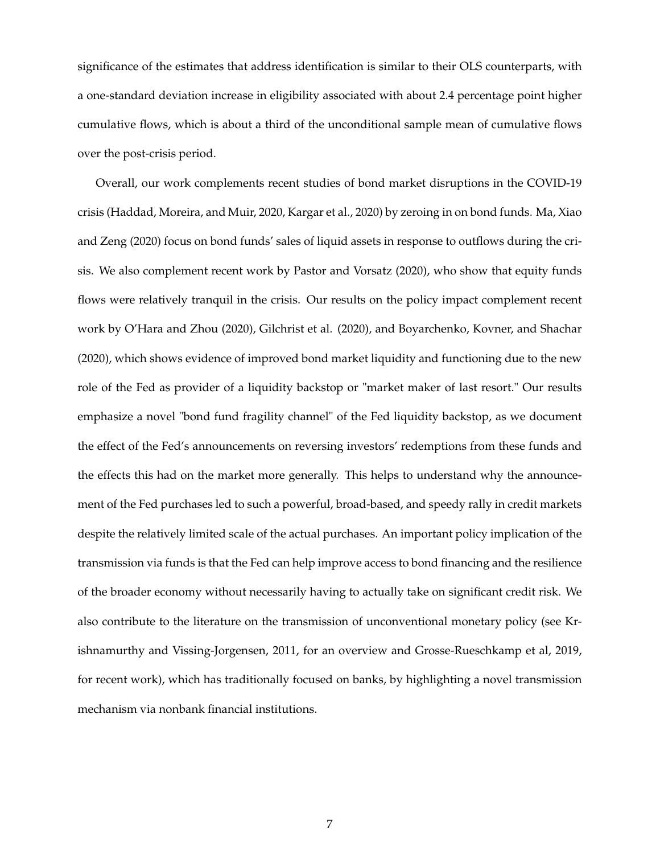significance of the estimates that address identification is similar to their OLS counterparts, with a one-standard deviation increase in eligibility associated with about 2.4 percentage point higher cumulative flows, which is about a third of the unconditional sample mean of cumulative flows over the post-crisis period.

Overall, our work complements recent studies of bond market disruptions in the COVID-19 crisis (Haddad, Moreira, and Muir, 2020, Kargar et al., 2020) by zeroing in on bond funds. Ma, Xiao and Zeng (2020) focus on bond funds' sales of liquid assets in response to outflows during the crisis. We also complement recent work by Pastor and Vorsatz (2020), who show that equity funds flows were relatively tranquil in the crisis. Our results on the policy impact complement recent work by O'Hara and Zhou (2020), Gilchrist et al. (2020), and Boyarchenko, Kovner, and Shachar (2020), which shows evidence of improved bond market liquidity and functioning due to the new role of the Fed as provider of a liquidity backstop or "market maker of last resort." Our results emphasize a novel "bond fund fragility channel" of the Fed liquidity backstop, as we document the effect of the Fed's announcements on reversing investors' redemptions from these funds and the effects this had on the market more generally. This helps to understand why the announcement of the Fed purchases led to such a powerful, broad-based, and speedy rally in credit markets despite the relatively limited scale of the actual purchases. An important policy implication of the transmission via funds is that the Fed can help improve access to bond financing and the resilience of the broader economy without necessarily having to actually take on significant credit risk. We also contribute to the literature on the transmission of unconventional monetary policy (see Krishnamurthy and Vissing-Jorgensen, 2011, for an overview and Grosse-Rueschkamp et al, 2019, for recent work), which has traditionally focused on banks, by highlighting a novel transmission mechanism via nonbank financial institutions.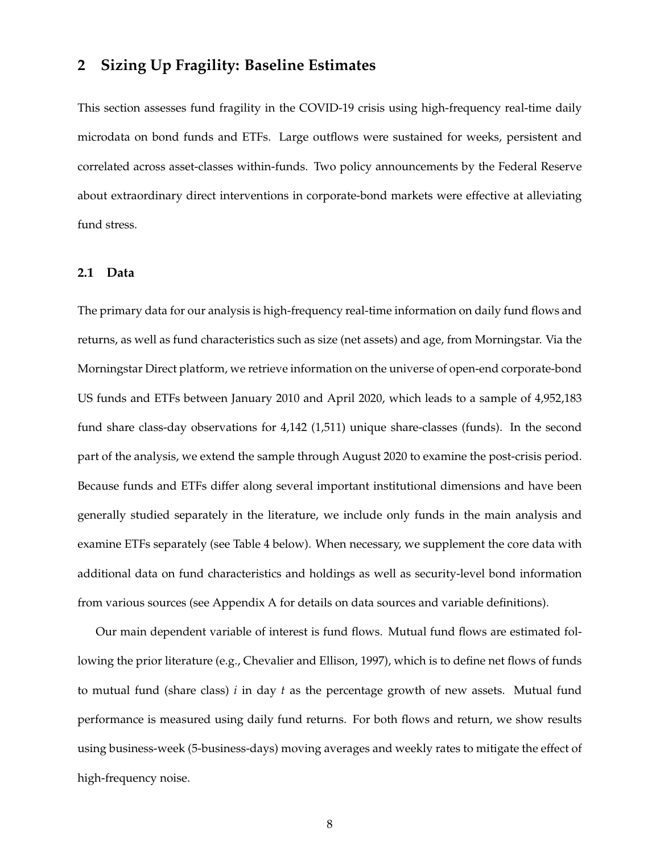# **2 Sizing Up Fragility: Baseline Estimates**

This section assesses fund fragility in the COVID-19 crisis using high-frequency real-time daily microdata on bond funds and ETFs. Large outflows were sustained for weeks, persistent and correlated across asset-classes within-funds. Two policy announcements by the Federal Reserve about extraordinary direct interventions in corporate-bond markets were effective at alleviating fund stress.

#### **2.1 Data**

The primary data for our analysis is high-frequency real-time information on daily fund flows and returns, as well as fund characteristics such as size (net assets) and age, from Morningstar. Via the Morningstar Direct platform, we retrieve information on the universe of open-end corporate-bond US funds and ETFs between January 2010 and April 2020, which leads to a sample of 4,952,183 fund share class-day observations for 4,142 (1,511) unique share-classes (funds). In the second part of the analysis, we extend the sample through August 2020 to examine the post-crisis period. Because funds and ETFs differ along several important institutional dimensions and have been generally studied separately in the literature, we include only funds in the main analysis and examine ETFs separately (see Table 4 below). When necessary, we supplement the core data with additional data on fund characteristics and holdings as well as security-level bond information from various sources (see Appendix A for details on data sources and variable definitions).

Our main dependent variable of interest is fund flows. Mutual fund flows are estimated following the prior literature (e.g., Chevalier and Ellison, 1997), which is to define net flows of funds to mutual fund (share class) *i* in day *t* as the percentage growth of new assets. Mutual fund performance is measured using daily fund returns. For both flows and return, we show results using business-week (5-business-days) moving averages and weekly rates to mitigate the effect of high-frequency noise.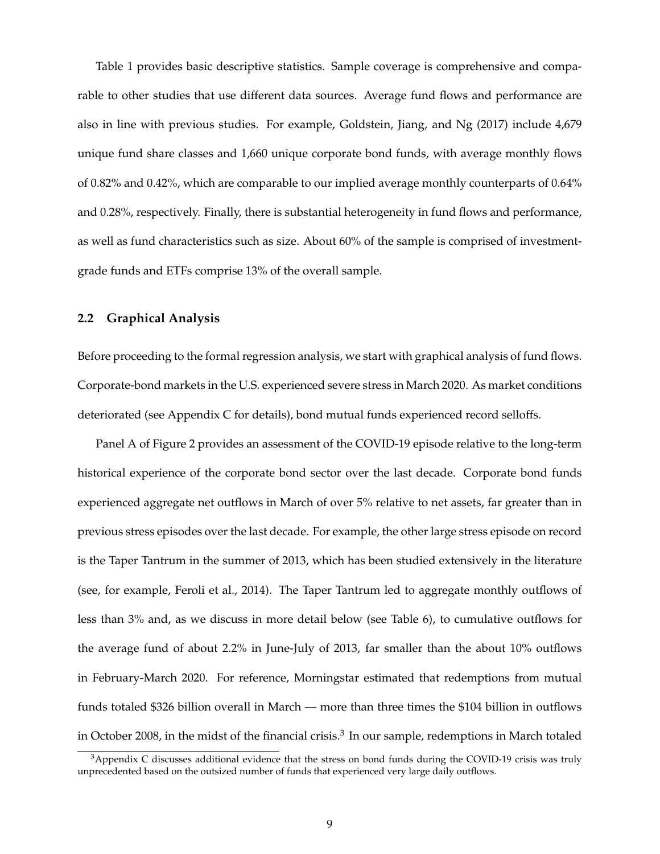Table 1 provides basic descriptive statistics. Sample coverage is comprehensive and comparable to other studies that use different data sources. Average fund flows and performance are also in line with previous studies. For example, Goldstein, Jiang, and Ng (2017) include 4,679 unique fund share classes and 1,660 unique corporate bond funds, with average monthly flows of 0.82% and 0.42%, which are comparable to our implied average monthly counterparts of 0.64% and 0.28%, respectively. Finally, there is substantial heterogeneity in fund flows and performance, as well as fund characteristics such as size. About 60% of the sample is comprised of investmentgrade funds and ETFs comprise 13% of the overall sample.

#### **2.2 Graphical Analysis**

Before proceeding to the formal regression analysis, we start with graphical analysis of fund flows. Corporate-bond markets in the U.S. experienced severe stress in March 2020. As market conditions deteriorated (see Appendix C for details), bond mutual funds experienced record selloffs.

Panel A of Figure 2 provides an assessment of the COVID-19 episode relative to the long-term historical experience of the corporate bond sector over the last decade. Corporate bond funds experienced aggregate net outflows in March of over 5% relative to net assets, far greater than in previous stress episodes over the last decade. For example, the other large stress episode on record is the Taper Tantrum in the summer of 2013, which has been studied extensively in the literature (see, for example, Feroli et al., 2014). The Taper Tantrum led to aggregate monthly outflows of less than 3% and, as we discuss in more detail below (see Table 6), to cumulative outflows for the average fund of about 2.2% in June-July of 2013, far smaller than the about 10% outflows in February-March 2020. For reference, Morningstar estimated that redemptions from mutual funds totaled \$326 billion overall in March — more than three times the \$104 billion in outflows in October 2008, in the midst of the financial crisis. $^3$  In our sample, redemptions in March totaled

<sup>&</sup>lt;sup>3</sup>Appendix C discusses additional evidence that the stress on bond funds during the COVID-19 crisis was truly unprecedented based on the outsized number of funds that experienced very large daily outflows.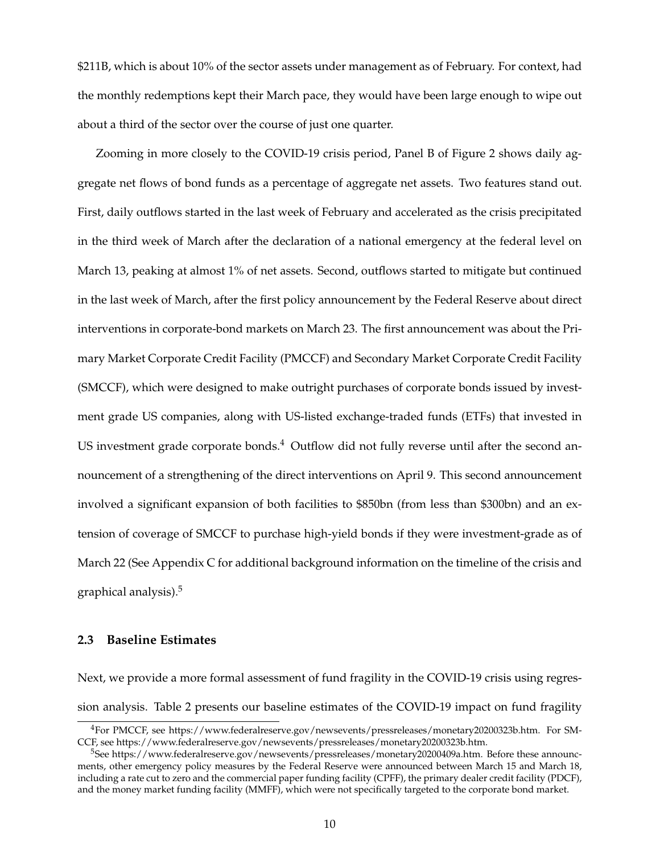\$211B, which is about 10% of the sector assets under management as of February. For context, had the monthly redemptions kept their March pace, they would have been large enough to wipe out about a third of the sector over the course of just one quarter.

Zooming in more closely to the COVID-19 crisis period, Panel B of Figure 2 shows daily aggregate net flows of bond funds as a percentage of aggregate net assets. Two features stand out. First, daily outflows started in the last week of February and accelerated as the crisis precipitated in the third week of March after the declaration of a national emergency at the federal level on March 13, peaking at almost 1% of net assets. Second, outflows started to mitigate but continued in the last week of March, after the first policy announcement by the Federal Reserve about direct interventions in corporate-bond markets on March 23. The first announcement was about the Primary Market Corporate Credit Facility (PMCCF) and Secondary Market Corporate Credit Facility (SMCCF), which were designed to make outright purchases of corporate bonds issued by investment grade US companies, along with US-listed exchange-traded funds (ETFs) that invested in US investment grade corporate bonds. $4$  Outflow did not fully reverse until after the second announcement of a strengthening of the direct interventions on April 9. This second announcement involved a significant expansion of both facilities to \$850bn (from less than \$300bn) and an extension of coverage of SMCCF to purchase high-yield bonds if they were investment-grade as of March 22 (See Appendix C for additional background information on the timeline of the crisis and graphical analysis).<sup>5</sup>

# **2.3 Baseline Estimates**

Next, we provide a more formal assessment of fund fragility in the COVID-19 crisis using regression analysis. Table 2 presents our baseline estimates of the COVID-19 impact on fund fragility

<sup>4</sup>For PMCCF, see https://www.federalreserve.gov/newsevents/pressreleases/monetary20200323b.htm. For SM-CCF, see https://www.federalreserve.gov/newsevents/pressreleases/monetary20200323b.htm.

<sup>5</sup>See https://www.federalreserve.gov/newsevents/pressreleases/monetary20200409a.htm. Before these announcments, other emergency policy measures by the Federal Reserve were announced between March 15 and March 18, including a rate cut to zero and the commercial paper funding facility (CPFF), the primary dealer credit facility (PDCF), and the money market funding facility (MMFF), which were not specifically targeted to the corporate bond market.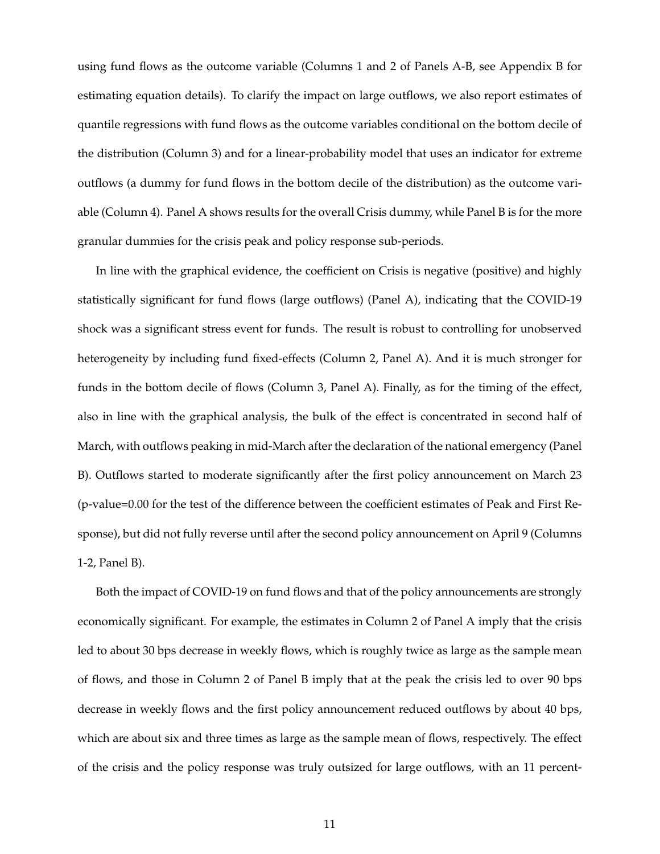using fund flows as the outcome variable (Columns 1 and 2 of Panels A-B, see Appendix B for estimating equation details). To clarify the impact on large outflows, we also report estimates of quantile regressions with fund flows as the outcome variables conditional on the bottom decile of the distribution (Column 3) and for a linear-probability model that uses an indicator for extreme outflows (a dummy for fund flows in the bottom decile of the distribution) as the outcome variable (Column 4). Panel A shows results for the overall Crisis dummy, while Panel B is for the more granular dummies for the crisis peak and policy response sub-periods.

In line with the graphical evidence, the coefficient on Crisis is negative (positive) and highly statistically significant for fund flows (large outflows) (Panel A), indicating that the COVID-19 shock was a significant stress event for funds. The result is robust to controlling for unobserved heterogeneity by including fund fixed-effects (Column 2, Panel A). And it is much stronger for funds in the bottom decile of flows (Column 3, Panel A). Finally, as for the timing of the effect, also in line with the graphical analysis, the bulk of the effect is concentrated in second half of March, with outflows peaking in mid-March after the declaration of the national emergency (Panel B). Outflows started to moderate significantly after the first policy announcement on March 23 (p-value=0.00 for the test of the difference between the coefficient estimates of Peak and First Response), but did not fully reverse until after the second policy announcement on April 9 (Columns 1-2, Panel B).

Both the impact of COVID-19 on fund flows and that of the policy announcements are strongly economically significant. For example, the estimates in Column 2 of Panel A imply that the crisis led to about 30 bps decrease in weekly flows, which is roughly twice as large as the sample mean of flows, and those in Column 2 of Panel B imply that at the peak the crisis led to over 90 bps decrease in weekly flows and the first policy announcement reduced outflows by about 40 bps, which are about six and three times as large as the sample mean of flows, respectively. The effect of the crisis and the policy response was truly outsized for large outflows, with an 11 percent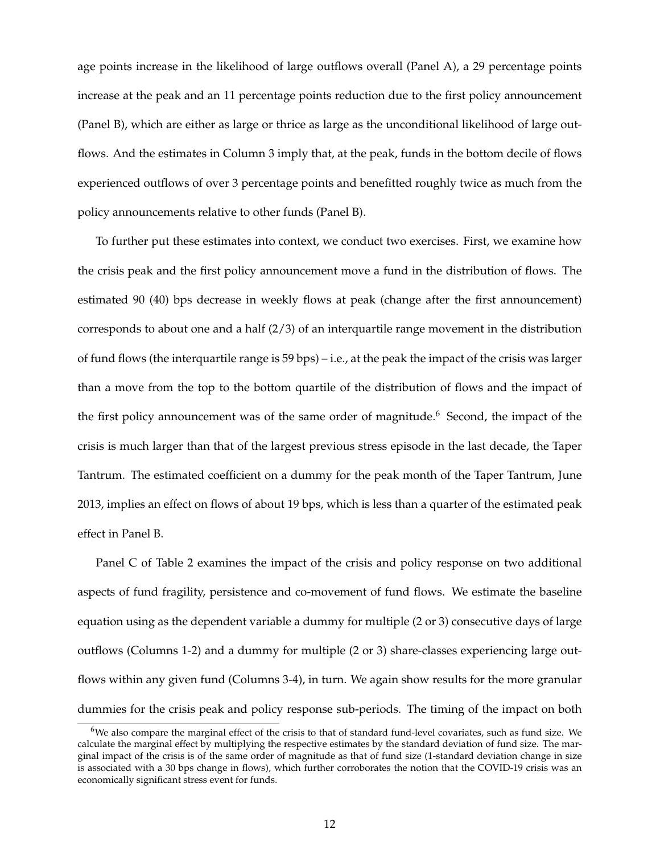age points increase in the likelihood of large outflows overall (Panel A), a 29 percentage points increase at the peak and an 11 percentage points reduction due to the first policy announcement (Panel B), which are either as large or thrice as large as the unconditional likelihood of large outflows. And the estimates in Column 3 imply that, at the peak, funds in the bottom decile of flows experienced outflows of over 3 percentage points and benefitted roughly twice as much from the policy announcements relative to other funds (Panel B).

To further put these estimates into context, we conduct two exercises. First, we examine how the crisis peak and the first policy announcement move a fund in the distribution of flows. The estimated 90 (40) bps decrease in weekly flows at peak (change after the first announcement) corresponds to about one and a half (2/3) of an interquartile range movement in the distribution of fund flows (the interquartile range is  $59 \text{ bps}$ ) – i.e., at the peak the impact of the crisis was larger than a move from the top to the bottom quartile of the distribution of flows and the impact of the first policy announcement was of the same order of magnitude.<sup>6</sup> Second, the impact of the crisis is much larger than that of the largest previous stress episode in the last decade, the Taper Tantrum. The estimated coefficient on a dummy for the peak month of the Taper Tantrum, June 2013, implies an effect on flows of about 19 bps, which is less than a quarter of the estimated peak effect in Panel B.

Panel C of Table 2 examines the impact of the crisis and policy response on two additional aspects of fund fragility, persistence and co-movement of fund flows. We estimate the baseline equation using as the dependent variable a dummy for multiple (2 or 3) consecutive days of large outflows (Columns 1-2) and a dummy for multiple (2 or 3) share-classes experiencing large outflows within any given fund (Columns 3-4), in turn. We again show results for the more granular dummies for the crisis peak and policy response sub-periods. The timing of the impact on both

<sup>6</sup>We also compare the marginal effect of the crisis to that of standard fund-level covariates, such as fund size. We calculate the marginal effect by multiplying the respective estimates by the standard deviation of fund size. The marginal impact of the crisis is of the same order of magnitude as that of fund size (1-standard deviation change in size is associated with a 30 bps change in flows), which further corroborates the notion that the COVID-19 crisis was an economically significant stress event for funds.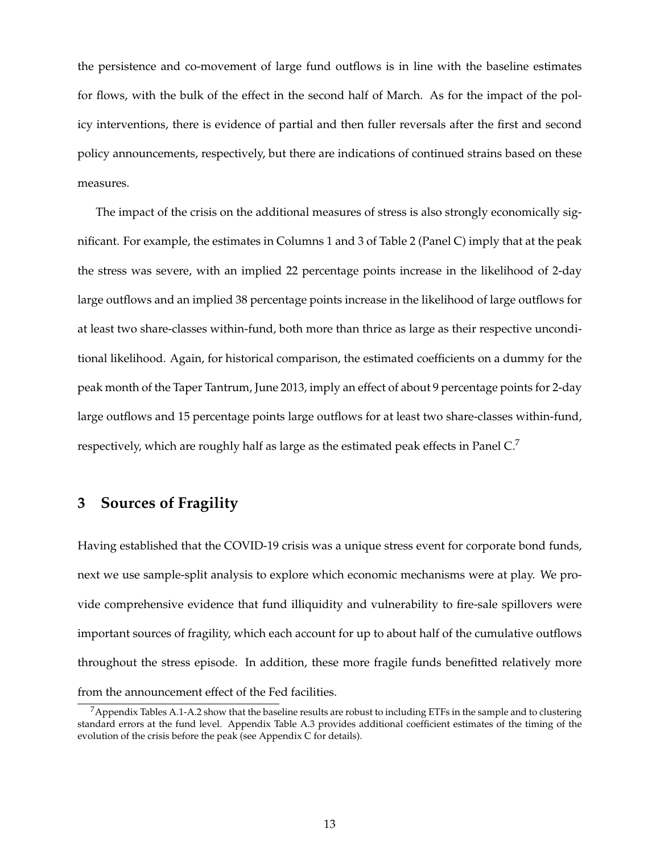the persistence and co-movement of large fund outflows is in line with the baseline estimates for flows, with the bulk of the effect in the second half of March. As for the impact of the policy interventions, there is evidence of partial and then fuller reversals after the first and second policy announcements, respectively, but there are indications of continued strains based on these measures.

The impact of the crisis on the additional measures of stress is also strongly economically significant. For example, the estimates in Columns 1 and 3 of Table 2 (Panel C) imply that at the peak the stress was severe, with an implied 22 percentage points increase in the likelihood of 2-day large outflows and an implied 38 percentage points increase in the likelihood of large outflows for at least two share-classes within-fund, both more than thrice as large as their respective unconditional likelihood. Again, for historical comparison, the estimated coefficients on a dummy for the peak month of the Taper Tantrum, June 2013, imply an effect of about 9 percentage points for 2-day large outflows and 15 percentage points large outflows for at least two share-classes within-fund, respectively, which are roughly half as large as the estimated peak effects in Panel  $C<sup>7</sup>$ 

# **3 Sources of Fragility**

Having established that the COVID-19 crisis was a unique stress event for corporate bond funds, next we use sample-split analysis to explore which economic mechanisms were at play. We provide comprehensive evidence that fund illiquidity and vulnerability to fire-sale spillovers were important sources of fragility, which each account for up to about half of the cumulative outflows throughout the stress episode. In addition, these more fragile funds benefitted relatively more from the announcement effect of the Fed facilities.

 $^7$ Appendix Tables A.1-A.2 show that the baseline results are robust to including ETFs in the sample and to clustering standard errors at the fund level. Appendix Table A.3 provides additional coefficient estimates of the timing of the evolution of the crisis before the peak (see Appendix C for details).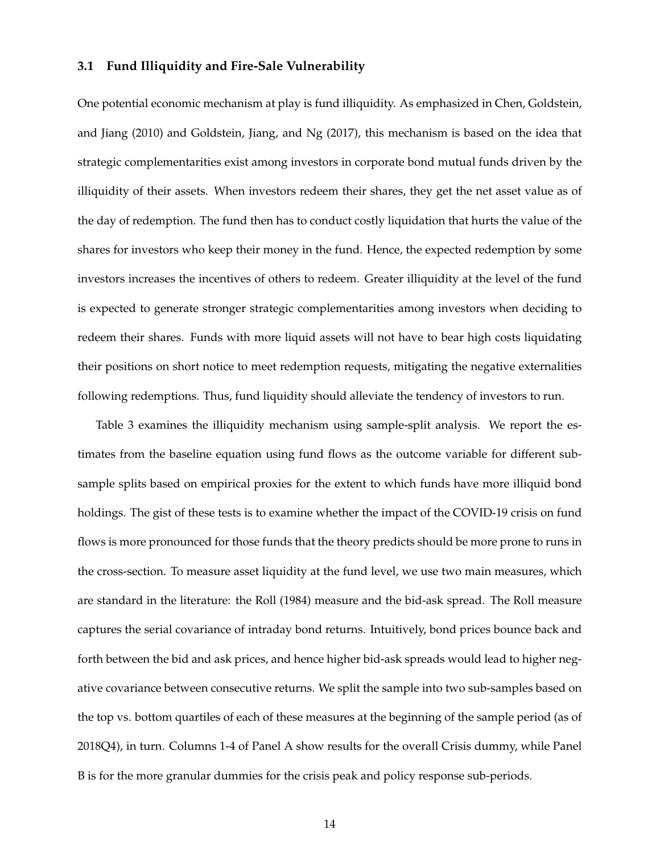## **3.1 Fund Illiquidity and Fire-Sale Vulnerability**

One potential economic mechanism at play is fund illiquidity. As emphasized in Chen, Goldstein, and Jiang (2010) and Goldstein, Jiang, and Ng (2017), this mechanism is based on the idea that strategic complementarities exist among investors in corporate bond mutual funds driven by the illiquidity of their assets. When investors redeem their shares, they get the net asset value as of the day of redemption. The fund then has to conduct costly liquidation that hurts the value of the shares for investors who keep their money in the fund. Hence, the expected redemption by some investors increases the incentives of others to redeem. Greater illiquidity at the level of the fund is expected to generate stronger strategic complementarities among investors when deciding to redeem their shares. Funds with more liquid assets will not have to bear high costs liquidating their positions on short notice to meet redemption requests, mitigating the negative externalities following redemptions. Thus, fund liquidity should alleviate the tendency of investors to run.

Table 3 examines the illiquidity mechanism using sample-split analysis. We report the estimates from the baseline equation using fund flows as the outcome variable for different subsample splits based on empirical proxies for the extent to which funds have more illiquid bond holdings. The gist of these tests is to examine whether the impact of the COVID-19 crisis on fund flows is more pronounced for those funds that the theory predicts should be more prone to runs in the cross-section. To measure asset liquidity at the fund level, we use two main measures, which are standard in the literature: the Roll (1984) measure and the bid-ask spread. The Roll measure captures the serial covariance of intraday bond returns. Intuitively, bond prices bounce back and forth between the bid and ask prices, and hence higher bid-ask spreads would lead to higher negative covariance between consecutive returns. We split the sample into two sub-samples based on the top vs. bottom quartiles of each of these measures at the beginning of the sample period (as of 2018Q4), in turn. Columns 1-4 of Panel A show results for the overall Crisis dummy, while Panel B is for the more granular dummies for the crisis peak and policy response sub-periods.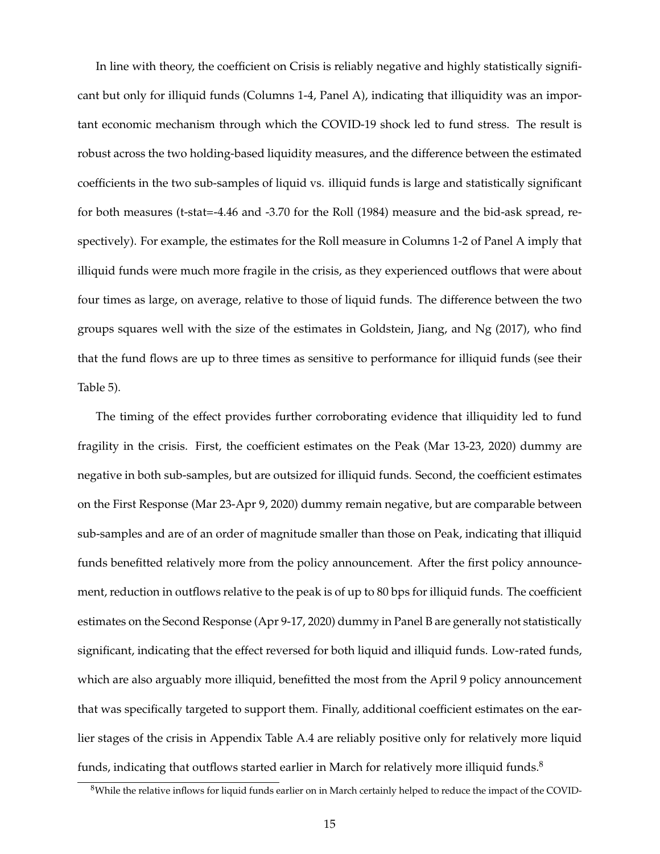In line with theory, the coefficient on Crisis is reliably negative and highly statistically significant but only for illiquid funds (Columns 1-4, Panel A), indicating that illiquidity was an important economic mechanism through which the COVID-19 shock led to fund stress. The result is robust across the two holding-based liquidity measures, and the difference between the estimated coefficients in the two sub-samples of liquid vs. illiquid funds is large and statistically significant for both measures (t-stat=-4.46 and -3.70 for the Roll (1984) measure and the bid-ask spread, respectively). For example, the estimates for the Roll measure in Columns 1-2 of Panel A imply that illiquid funds were much more fragile in the crisis, as they experienced outflows that were about four times as large, on average, relative to those of liquid funds. The difference between the two groups squares well with the size of the estimates in Goldstein, Jiang, and Ng (2017), who find that the fund flows are up to three times as sensitive to performance for illiquid funds (see their Table 5).

The timing of the effect provides further corroborating evidence that illiquidity led to fund fragility in the crisis. First, the coefficient estimates on the Peak (Mar 13-23, 2020) dummy are negative in both sub-samples, but are outsized for illiquid funds. Second, the coefficient estimates on the First Response (Mar 23-Apr 9, 2020) dummy remain negative, but are comparable between sub-samples and are of an order of magnitude smaller than those on Peak, indicating that illiquid funds benefitted relatively more from the policy announcement. After the first policy announcement, reduction in outflows relative to the peak is of up to 80 bps for illiquid funds. The coefficient estimates on the Second Response (Apr 9-17, 2020) dummy in Panel B are generally not statistically significant, indicating that the effect reversed for both liquid and illiquid funds. Low-rated funds, which are also arguably more illiquid, benefitted the most from the April 9 policy announcement that was specifically targeted to support them. Finally, additional coefficient estimates on the earlier stages of the crisis in Appendix Table A.4 are reliably positive only for relatively more liquid funds, indicating that outflows started earlier in March for relatively more illiquid funds.<sup>8</sup>

<sup>&</sup>lt;sup>8</sup>While the relative inflows for liquid funds earlier on in March certainly helped to reduce the impact of the COVID-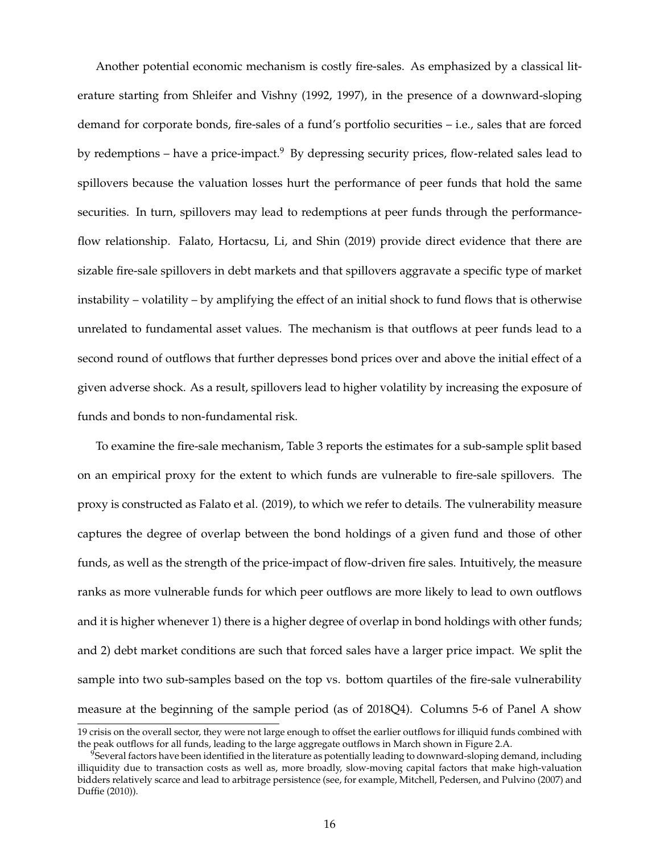Another potential economic mechanism is costly fire-sales. As emphasized by a classical literature starting from Shleifer and Vishny (1992, 1997), in the presence of a downward-sloping demand for corporate bonds, fire-sales of a fund's portfolio securities – i.e., sales that are forced by redemptions – have a price-impact. $9$  By depressing security prices, flow-related sales lead to spillovers because the valuation losses hurt the performance of peer funds that hold the same securities. In turn, spillovers may lead to redemptions at peer funds through the performanceflow relationship. Falato, Hortacsu, Li, and Shin (2019) provide direct evidence that there are sizable fire-sale spillovers in debt markets and that spillovers aggravate a specific type of market instability – volatility – by amplifying the effect of an initial shock to fund flows that is otherwise unrelated to fundamental asset values. The mechanism is that outflows at peer funds lead to a second round of outflows that further depresses bond prices over and above the initial effect of a given adverse shock. As a result, spillovers lead to higher volatility by increasing the exposure of funds and bonds to non-fundamental risk.

To examine the fire-sale mechanism, Table 3 reports the estimates for a sub-sample split based on an empirical proxy for the extent to which funds are vulnerable to fire-sale spillovers. The proxy is constructed as Falato et al. (2019), to which we refer to details. The vulnerability measure captures the degree of overlap between the bond holdings of a given fund and those of other funds, as well as the strength of the price-impact of flow-driven fire sales. Intuitively, the measure ranks as more vulnerable funds for which peer outflows are more likely to lead to own outflows and it is higher whenever 1) there is a higher degree of overlap in bond holdings with other funds; and 2) debt market conditions are such that forced sales have a larger price impact. We split the sample into two sub-samples based on the top vs. bottom quartiles of the fire-sale vulnerability measure at the beginning of the sample period (as of 2018Q4). Columns 5-6 of Panel A show

<sup>19</sup> crisis on the overall sector, they were not large enough to offset the earlier outflows for illiquid funds combined with the peak outflows for all funds, leading to the large aggregate outflows in March shown in Figure 2.A.

<sup>&</sup>lt;sup>9</sup>Several factors have been identified in the literature as potentially leading to downward-sloping demand, including illiquidity due to transaction costs as well as, more broadly, slow-moving capital factors that make high-valuation bidders relatively scarce and lead to arbitrage persistence (see, for example, Mitchell, Pedersen, and Pulvino (2007) and Duffie (2010)).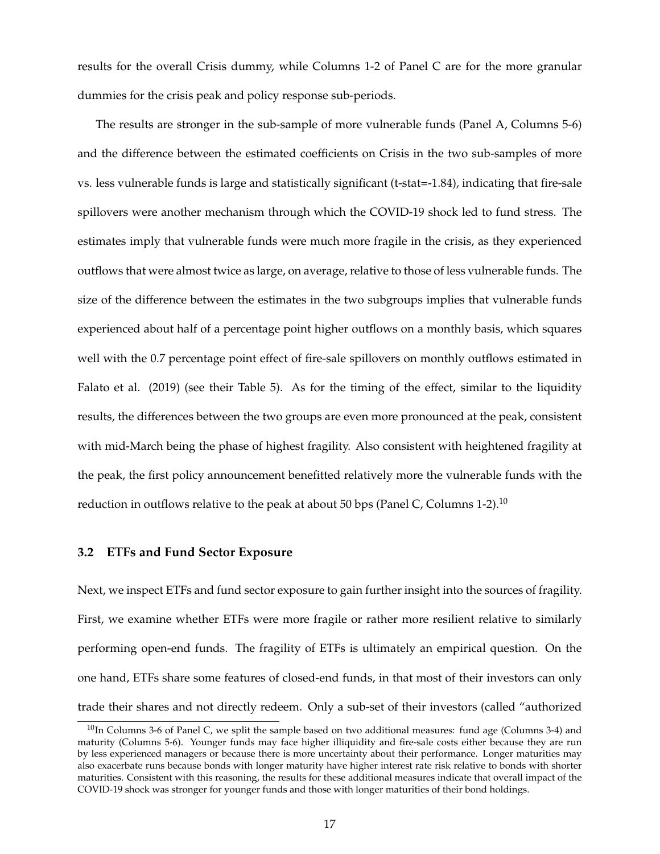results for the overall Crisis dummy, while Columns 1-2 of Panel C are for the more granular dummies for the crisis peak and policy response sub-periods.

The results are stronger in the sub-sample of more vulnerable funds (Panel A, Columns 5-6) and the difference between the estimated coefficients on Crisis in the two sub-samples of more vs. less vulnerable funds is large and statistically significant (t-stat=-1.84), indicating that fire-sale spillovers were another mechanism through which the COVID-19 shock led to fund stress. The estimates imply that vulnerable funds were much more fragile in the crisis, as they experienced outflows that were almost twice as large, on average, relative to those of less vulnerable funds. The size of the difference between the estimates in the two subgroups implies that vulnerable funds experienced about half of a percentage point higher outflows on a monthly basis, which squares well with the 0.7 percentage point effect of fire-sale spillovers on monthly outflows estimated in Falato et al. (2019) (see their Table 5). As for the timing of the effect, similar to the liquidity results, the differences between the two groups are even more pronounced at the peak, consistent with mid-March being the phase of highest fragility. Also consistent with heightened fragility at the peak, the first policy announcement benefitted relatively more the vulnerable funds with the reduction in outflows relative to the peak at about 50 bps (Panel C, Columns 1-2).<sup>10</sup>

#### **3.2 ETFs and Fund Sector Exposure**

Next, we inspect ETFs and fund sector exposure to gain further insight into the sources of fragility. First, we examine whether ETFs were more fragile or rather more resilient relative to similarly performing open-end funds. The fragility of ETFs is ultimately an empirical question. On the one hand, ETFs share some features of closed-end funds, in that most of their investors can only trade their shares and not directly redeem. Only a sub-set of their investors (called "authorized

 $10$ In Columns 3-6 of Panel C, we split the sample based on two additional measures: fund age (Columns 3-4) and maturity (Columns 5-6). Younger funds may face higher illiquidity and fire-sale costs either because they are run by less experienced managers or because there is more uncertainty about their performance. Longer maturities may also exacerbate runs because bonds with longer maturity have higher interest rate risk relative to bonds with shorter maturities. Consistent with this reasoning, the results for these additional measures indicate that overall impact of the COVID-19 shock was stronger for younger funds and those with longer maturities of their bond holdings.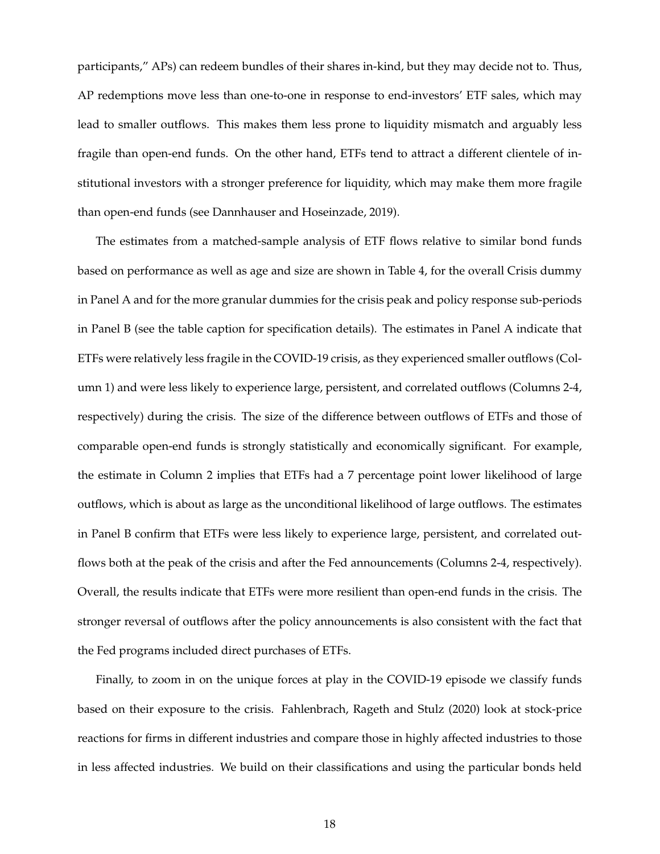participants," APs) can redeem bundles of their shares in-kind, but they may decide not to. Thus, AP redemptions move less than one-to-one in response to end-investors' ETF sales, which may lead to smaller outflows. This makes them less prone to liquidity mismatch and arguably less fragile than open-end funds. On the other hand, ETFs tend to attract a different clientele of institutional investors with a stronger preference for liquidity, which may make them more fragile than open-end funds (see Dannhauser and Hoseinzade, 2019).

The estimates from a matched-sample analysis of ETF flows relative to similar bond funds based on performance as well as age and size are shown in Table 4, for the overall Crisis dummy in Panel A and for the more granular dummies for the crisis peak and policy response sub-periods in Panel B (see the table caption for specification details). The estimates in Panel A indicate that ETFs were relatively less fragile in the COVID-19 crisis, as they experienced smaller outflows (Column 1) and were less likely to experience large, persistent, and correlated outflows (Columns 2-4, respectively) during the crisis. The size of the difference between outflows of ETFs and those of comparable open-end funds is strongly statistically and economically significant. For example, the estimate in Column 2 implies that ETFs had a 7 percentage point lower likelihood of large outflows, which is about as large as the unconditional likelihood of large outflows. The estimates in Panel B confirm that ETFs were less likely to experience large, persistent, and correlated outflows both at the peak of the crisis and after the Fed announcements (Columns 2-4, respectively). Overall, the results indicate that ETFs were more resilient than open-end funds in the crisis. The stronger reversal of outflows after the policy announcements is also consistent with the fact that the Fed programs included direct purchases of ETFs.

Finally, to zoom in on the unique forces at play in the COVID-19 episode we classify funds based on their exposure to the crisis. Fahlenbrach, Rageth and Stulz (2020) look at stock-price reactions for firms in different industries and compare those in highly affected industries to those in less affected industries. We build on their classifications and using the particular bonds held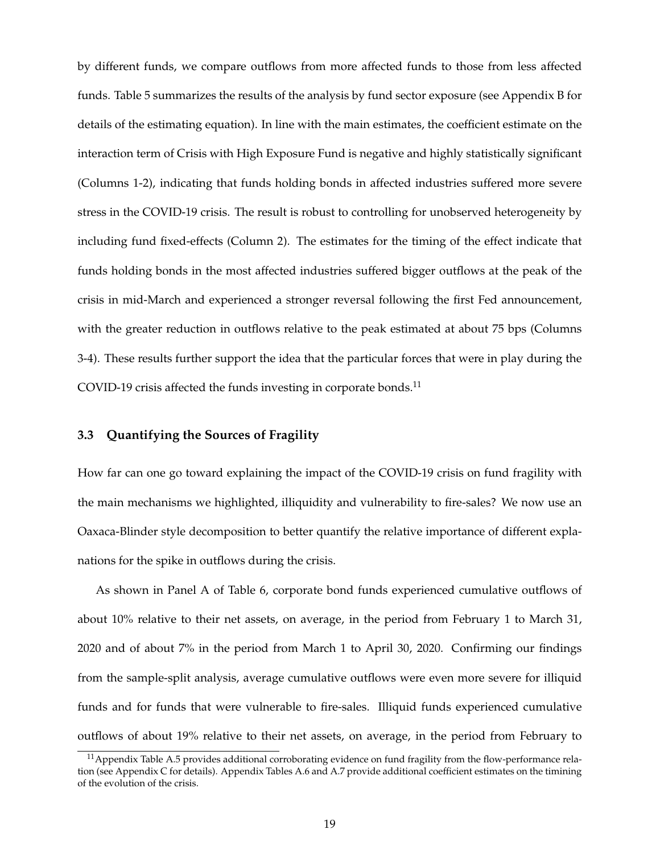by different funds, we compare outflows from more affected funds to those from less affected funds. Table 5 summarizes the results of the analysis by fund sector exposure (see Appendix B for details of the estimating equation). In line with the main estimates, the coefficient estimate on the interaction term of Crisis with High Exposure Fund is negative and highly statistically significant (Columns 1-2), indicating that funds holding bonds in affected industries suffered more severe stress in the COVID-19 crisis. The result is robust to controlling for unobserved heterogeneity by including fund fixed-effects (Column 2). The estimates for the timing of the effect indicate that funds holding bonds in the most affected industries suffered bigger outflows at the peak of the crisis in mid-March and experienced a stronger reversal following the first Fed announcement, with the greater reduction in outflows relative to the peak estimated at about 75 bps (Columns 3-4). These results further support the idea that the particular forces that were in play during the COVID-19 crisis affected the funds investing in corporate bonds.<sup>11</sup>

#### **3.3 Quantifying the Sources of Fragility**

How far can one go toward explaining the impact of the COVID-19 crisis on fund fragility with the main mechanisms we highlighted, illiquidity and vulnerability to fire-sales? We now use an Oaxaca-Blinder style decomposition to better quantify the relative importance of different explanations for the spike in outflows during the crisis.

As shown in Panel A of Table 6, corporate bond funds experienced cumulative outflows of about 10% relative to their net assets, on average, in the period from February 1 to March 31, 2020 and of about 7% in the period from March 1 to April 30, 2020. Confirming our findings from the sample-split analysis, average cumulative outflows were even more severe for illiquid funds and for funds that were vulnerable to fire-sales. Illiquid funds experienced cumulative outflows of about 19% relative to their net assets, on average, in the period from February to

<sup>&</sup>lt;sup>11</sup> Appendix Table A.5 provides additional corroborating evidence on fund fragility from the flow-performance relation (see Appendix C for details). Appendix Tables A.6 and A.7 provide additional coefficient estimates on the timining of the evolution of the crisis.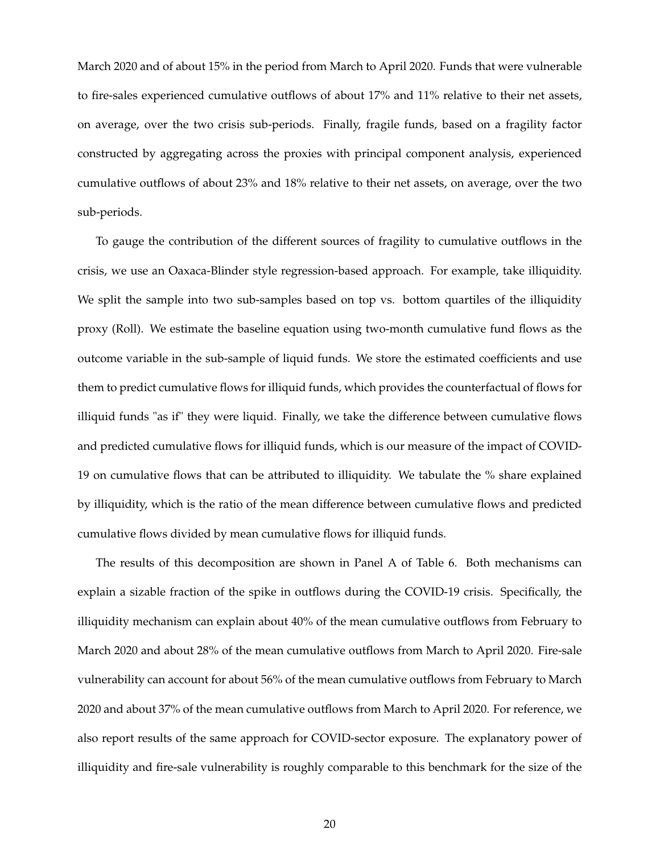March 2020 and of about 15% in the period from March to April 2020. Funds that were vulnerable to fire-sales experienced cumulative outflows of about 17% and 11% relative to their net assets, on average, over the two crisis sub-periods. Finally, fragile funds, based on a fragility factor constructed by aggregating across the proxies with principal component analysis, experienced cumulative outflows of about 23% and 18% relative to their net assets, on average, over the two sub-periods.

To gauge the contribution of the different sources of fragility to cumulative outflows in the crisis, we use an Oaxaca-Blinder style regression-based approach. For example, take illiquidity. We split the sample into two sub-samples based on top vs. bottom quartiles of the illiquidity proxy (Roll). We estimate the baseline equation using two-month cumulative fund flows as the outcome variable in the sub-sample of liquid funds. We store the estimated coefficients and use them to predict cumulative flows for illiquid funds, which provides the counterfactual of flows for illiquid funds "as if" they were liquid. Finally, we take the difference between cumulative flows and predicted cumulative flows for illiquid funds, which is our measure of the impact of COVID-19 on cumulative flows that can be attributed to illiquidity. We tabulate the % share explained by illiquidity, which is the ratio of the mean difference between cumulative flows and predicted cumulative flows divided by mean cumulative flows for illiquid funds.

The results of this decomposition are shown in Panel A of Table 6. Both mechanisms can explain a sizable fraction of the spike in outflows during the COVID-19 crisis. Specifically, the illiquidity mechanism can explain about 40% of the mean cumulative outflows from February to March 2020 and about 28% of the mean cumulative outflows from March to April 2020. Fire-sale vulnerability can account for about 56% of the mean cumulative outflows from February to March 2020 and about 37% of the mean cumulative outflows from March to April 2020. For reference, we also report results of the same approach for COVID-sector exposure. The explanatory power of illiquidity and fire-sale vulnerability is roughly comparable to this benchmark for the size of the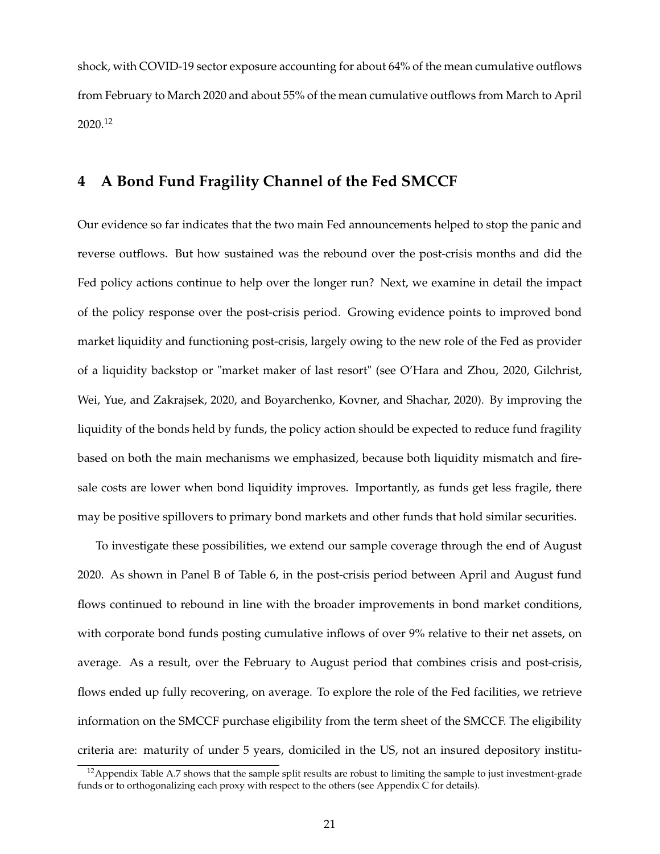shock, with COVID-19 sector exposure accounting for about 64% of the mean cumulative outflows from February to March 2020 and about 55% of the mean cumulative outflows from March to April 2020.<sup>12</sup>

# **4 A Bond Fund Fragility Channel of the Fed SMCCF**

Our evidence so far indicates that the two main Fed announcements helped to stop the panic and reverse outflows. But how sustained was the rebound over the post-crisis months and did the Fed policy actions continue to help over the longer run? Next, we examine in detail the impact of the policy response over the post-crisis period. Growing evidence points to improved bond market liquidity and functioning post-crisis, largely owing to the new role of the Fed as provider of a liquidity backstop or "market maker of last resort" (see O'Hara and Zhou, 2020, Gilchrist, Wei, Yue, and Zakrajsek, 2020, and Boyarchenko, Kovner, and Shachar, 2020). By improving the liquidity of the bonds held by funds, the policy action should be expected to reduce fund fragility based on both the main mechanisms we emphasized, because both liquidity mismatch and firesale costs are lower when bond liquidity improves. Importantly, as funds get less fragile, there may be positive spillovers to primary bond markets and other funds that hold similar securities.

To investigate these possibilities, we extend our sample coverage through the end of August 2020. As shown in Panel B of Table 6, in the post-crisis period between April and August fund flows continued to rebound in line with the broader improvements in bond market conditions, with corporate bond funds posting cumulative inflows of over 9% relative to their net assets, on average. As a result, over the February to August period that combines crisis and post-crisis, flows ended up fully recovering, on average. To explore the role of the Fed facilities, we retrieve information on the SMCCF purchase eligibility from the term sheet of the SMCCF. The eligibility criteria are: maturity of under 5 years, domiciled in the US, not an insured depository institu-

<sup>&</sup>lt;sup>12</sup> Appendix Table A.7 shows that the sample split results are robust to limiting the sample to just investment-grade funds or to orthogonalizing each proxy with respect to the others (see Appendix C for details).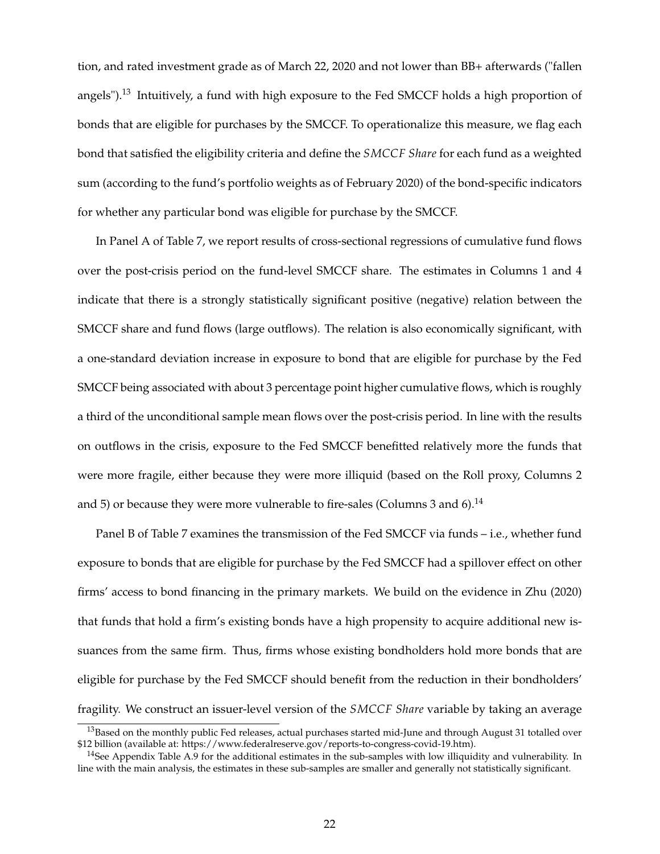tion, and rated investment grade as of March 22, 2020 and not lower than BB+ afterwards ("fallen angels").<sup>13</sup> Intuitively, a fund with high exposure to the Fed SMCCF holds a high proportion of bonds that are eligible for purchases by the SMCCF. To operationalize this measure, we flag each bond that satisfied the eligibility criteria and define the *SMCCF Share* for each fund as a weighted sum (according to the fund's portfolio weights as of February 2020) of the bond-specific indicators for whether any particular bond was eligible for purchase by the SMCCF.

In Panel A of Table 7, we report results of cross-sectional regressions of cumulative fund flows over the post-crisis period on the fund-level SMCCF share. The estimates in Columns 1 and 4 indicate that there is a strongly statistically significant positive (negative) relation between the SMCCF share and fund flows (large outflows). The relation is also economically significant, with a one-standard deviation increase in exposure to bond that are eligible for purchase by the Fed SMCCF being associated with about 3 percentage point higher cumulative flows, which is roughly a third of the unconditional sample mean flows over the post-crisis period. In line with the results on outflows in the crisis, exposure to the Fed SMCCF benefitted relatively more the funds that were more fragile, either because they were more illiquid (based on the Roll proxy, Columns 2 and 5) or because they were more vulnerable to fire-sales (Columns 3 and 6).<sup>14</sup>

Panel B of Table 7 examines the transmission of the Fed SMCCF via funds – i.e., whether fund exposure to bonds that are eligible for purchase by the Fed SMCCF had a spillover effect on other firms' access to bond financing in the primary markets. We build on the evidence in Zhu (2020) that funds that hold a firm's existing bonds have a high propensity to acquire additional new issuances from the same firm. Thus, firms whose existing bondholders hold more bonds that are eligible for purchase by the Fed SMCCF should benefit from the reduction in their bondholders' fragility. We construct an issuer-level version of the *SMCCF Share* variable by taking an average

<sup>&</sup>lt;sup>13</sup>Based on the monthly public Fed releases, actual purchases started mid-June and through August 31 totalled over \$12 billion (available at: https://www.federalreserve.gov/reports-to-congress-covid-19.htm).

<sup>&</sup>lt;sup>14</sup>See Appendix Table A.9 for the additional estimates in the sub-samples with low illiquidity and vulnerability. In line with the main analysis, the estimates in these sub-samples are smaller and generally not statistically significant.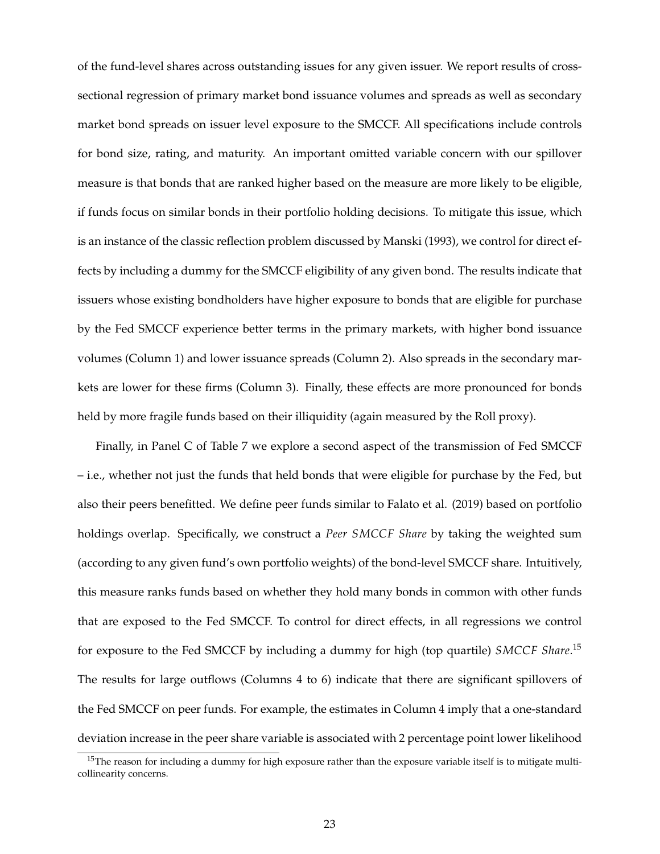of the fund-level shares across outstanding issues for any given issuer. We report results of crosssectional regression of primary market bond issuance volumes and spreads as well as secondary market bond spreads on issuer level exposure to the SMCCF. All specifications include controls for bond size, rating, and maturity. An important omitted variable concern with our spillover measure is that bonds that are ranked higher based on the measure are more likely to be eligible, if funds focus on similar bonds in their portfolio holding decisions. To mitigate this issue, which is an instance of the classic reflection problem discussed by Manski (1993), we control for direct effects by including a dummy for the SMCCF eligibility of any given bond. The results indicate that issuers whose existing bondholders have higher exposure to bonds that are eligible for purchase by the Fed SMCCF experience better terms in the primary markets, with higher bond issuance volumes (Column 1) and lower issuance spreads (Column 2). Also spreads in the secondary markets are lower for these firms (Column 3). Finally, these effects are more pronounced for bonds held by more fragile funds based on their illiquidity (again measured by the Roll proxy).

Finally, in Panel C of Table 7 we explore a second aspect of the transmission of Fed SMCCF – i.e., whether not just the funds that held bonds that were eligible for purchase by the Fed, but also their peers benefitted. We define peer funds similar to Falato et al. (2019) based on portfolio holdings overlap. Specifically, we construct a *Peer SMCCF Share* by taking the weighted sum (according to any given fund's own portfolio weights) of the bond-level SMCCF share. Intuitively, this measure ranks funds based on whether they hold many bonds in common with other funds that are exposed to the Fed SMCCF. To control for direct effects, in all regressions we control for exposure to the Fed SMCCF by including a dummy for high (top quartile) *SMCCF Share*. 15 The results for large outflows (Columns 4 to 6) indicate that there are significant spillovers of the Fed SMCCF on peer funds. For example, the estimates in Column 4 imply that a one-standard deviation increase in the peer share variable is associated with 2 percentage point lower likelihood

 $15$ The reason for including a dummy for high exposure rather than the exposure variable itself is to mitigate multicollinearity concerns.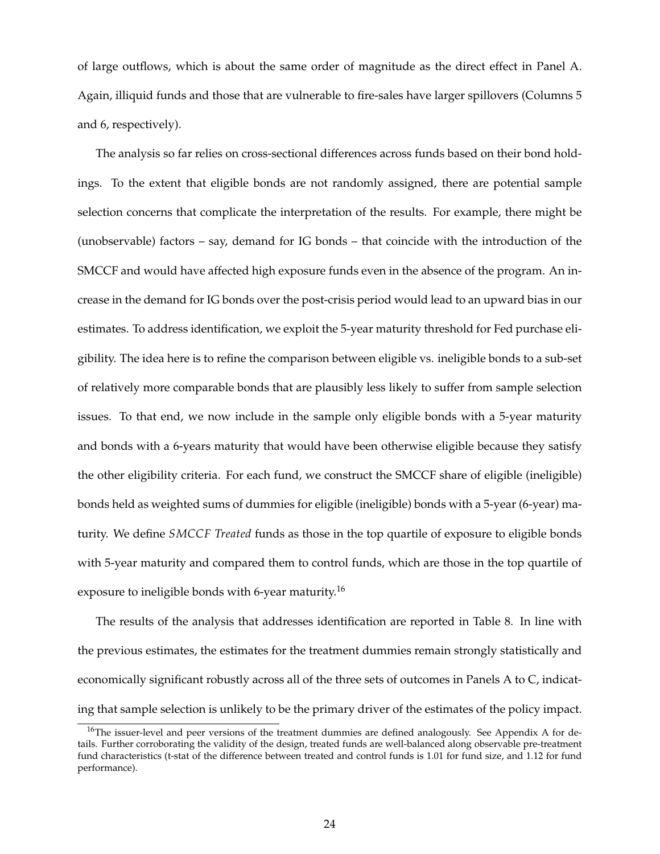of large outflows, which is about the same order of magnitude as the direct effect in Panel A. Again, illiquid funds and those that are vulnerable to fire-sales have larger spillovers (Columns 5 and 6, respectively).

The analysis so far relies on cross-sectional differences across funds based on their bond holdings. To the extent that eligible bonds are not randomly assigned, there are potential sample selection concerns that complicate the interpretation of the results. For example, there might be (unobservable) factors – say, demand for IG bonds – that coincide with the introduction of the SMCCF and would have affected high exposure funds even in the absence of the program. An increase in the demand for IG bonds over the post-crisis period would lead to an upward bias in our estimates. To address identification, we exploit the 5-year maturity threshold for Fed purchase eligibility. The idea here is to refine the comparison between eligible vs. ineligible bonds to a sub-set of relatively more comparable bonds that are plausibly less likely to suffer from sample selection issues. To that end, we now include in the sample only eligible bonds with a 5-year maturity and bonds with a 6-years maturity that would have been otherwise eligible because they satisfy the other eligibility criteria. For each fund, we construct the SMCCF share of eligible (ineligible) bonds held as weighted sums of dummies for eligible (ineligible) bonds with a 5-year (6-year) maturity. We define *SMCCF Treated* funds as those in the top quartile of exposure to eligible bonds with 5-year maturity and compared them to control funds, which are those in the top quartile of exposure to ineligible bonds with 6-year maturity.<sup>16</sup>

The results of the analysis that addresses identification are reported in Table 8. In line with the previous estimates, the estimates for the treatment dummies remain strongly statistically and economically significant robustly across all of the three sets of outcomes in Panels A to C, indicating that sample selection is unlikely to be the primary driver of the estimates of the policy impact.

<sup>&</sup>lt;sup>16</sup>The issuer-level and peer versions of the treatment dummies are defined analogously. See Appendix A for details. Further corroborating the validity of the design, treated funds are well-balanced along observable pre-treatment fund characteristics (t-stat of the difference between treated and control funds is 1.01 for fund size, and 1.12 for fund performance).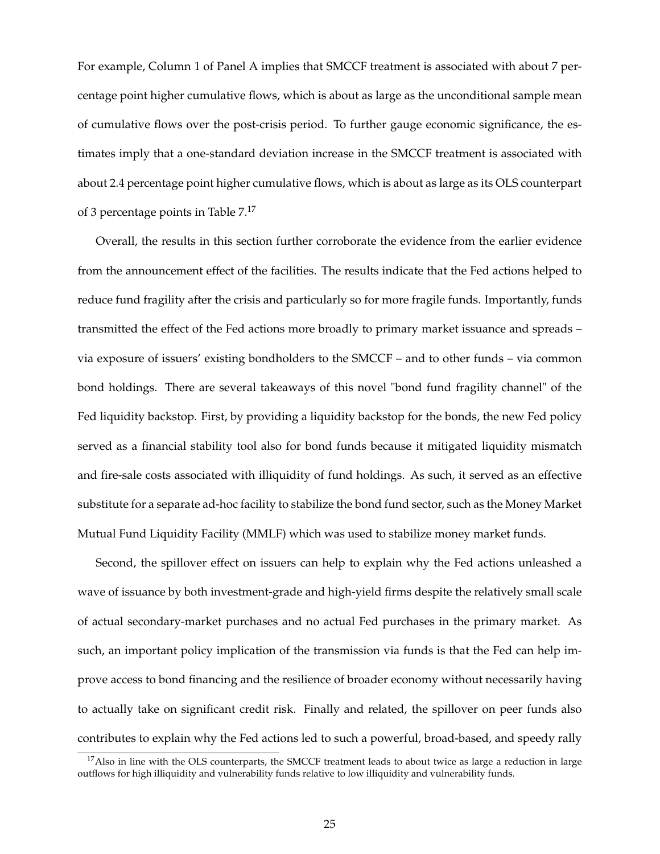For example, Column 1 of Panel A implies that SMCCF treatment is associated with about 7 percentage point higher cumulative flows, which is about as large as the unconditional sample mean of cumulative flows over the post-crisis period. To further gauge economic significance, the estimates imply that a one-standard deviation increase in the SMCCF treatment is associated with about 2.4 percentage point higher cumulative flows, which is about as large as its OLS counterpart of 3 percentage points in Table  $7<sup>17</sup>$ 

Overall, the results in this section further corroborate the evidence from the earlier evidence from the announcement effect of the facilities. The results indicate that the Fed actions helped to reduce fund fragility after the crisis and particularly so for more fragile funds. Importantly, funds transmitted the effect of the Fed actions more broadly to primary market issuance and spreads – via exposure of issuers' existing bondholders to the SMCCF – and to other funds – via common bond holdings. There are several takeaways of this novel "bond fund fragility channel" of the Fed liquidity backstop. First, by providing a liquidity backstop for the bonds, the new Fed policy served as a financial stability tool also for bond funds because it mitigated liquidity mismatch and fire-sale costs associated with illiquidity of fund holdings. As such, it served as an effective substitute for a separate ad-hoc facility to stabilize the bond fund sector, such as the Money Market Mutual Fund Liquidity Facility (MMLF) which was used to stabilize money market funds.

Second, the spillover effect on issuers can help to explain why the Fed actions unleashed a wave of issuance by both investment-grade and high-yield firms despite the relatively small scale of actual secondary-market purchases and no actual Fed purchases in the primary market. As such, an important policy implication of the transmission via funds is that the Fed can help improve access to bond financing and the resilience of broader economy without necessarily having to actually take on significant credit risk. Finally and related, the spillover on peer funds also contributes to explain why the Fed actions led to such a powerful, broad-based, and speedy rally

 $17$ Also in line with the OLS counterparts, the SMCCF treatment leads to about twice as large a reduction in large outflows for high illiquidity and vulnerability funds relative to low illiquidity and vulnerability funds.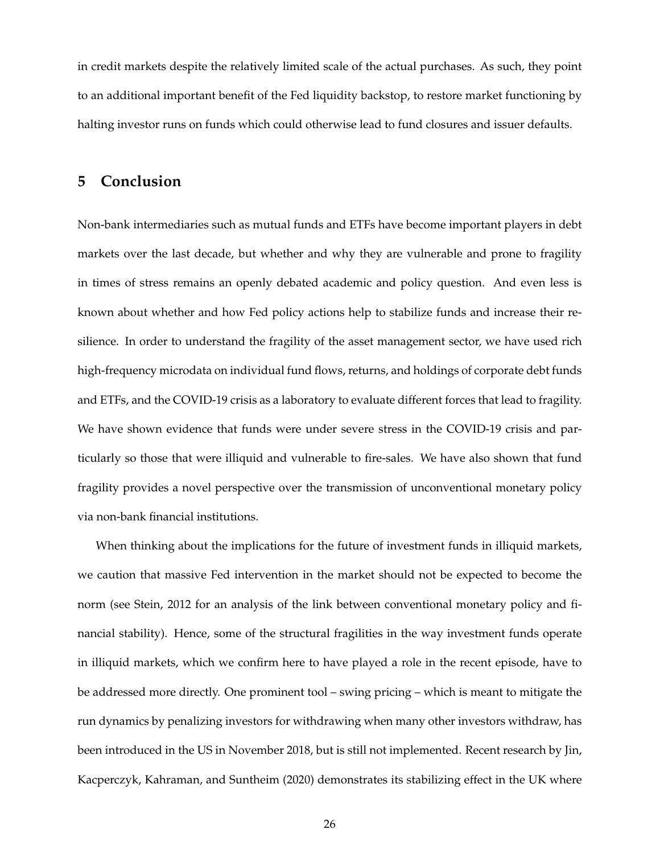in credit markets despite the relatively limited scale of the actual purchases. As such, they point to an additional important benefit of the Fed liquidity backstop, to restore market functioning by halting investor runs on funds which could otherwise lead to fund closures and issuer defaults.

# **5 Conclusion**

Non-bank intermediaries such as mutual funds and ETFs have become important players in debt markets over the last decade, but whether and why they are vulnerable and prone to fragility in times of stress remains an openly debated academic and policy question. And even less is known about whether and how Fed policy actions help to stabilize funds and increase their resilience. In order to understand the fragility of the asset management sector, we have used rich high-frequency microdata on individual fund flows, returns, and holdings of corporate debt funds and ETFs, and the COVID-19 crisis as a laboratory to evaluate different forces that lead to fragility. We have shown evidence that funds were under severe stress in the COVID-19 crisis and particularly so those that were illiquid and vulnerable to fire-sales. We have also shown that fund fragility provides a novel perspective over the transmission of unconventional monetary policy via non-bank financial institutions.

When thinking about the implications for the future of investment funds in illiquid markets, we caution that massive Fed intervention in the market should not be expected to become the norm (see Stein, 2012 for an analysis of the link between conventional monetary policy and financial stability). Hence, some of the structural fragilities in the way investment funds operate in illiquid markets, which we confirm here to have played a role in the recent episode, have to be addressed more directly. One prominent tool – swing pricing – which is meant to mitigate the run dynamics by penalizing investors for withdrawing when many other investors withdraw, has been introduced in the US in November 2018, but is still not implemented. Recent research by Jin, Kacperczyk, Kahraman, and Suntheim (2020) demonstrates its stabilizing effect in the UK where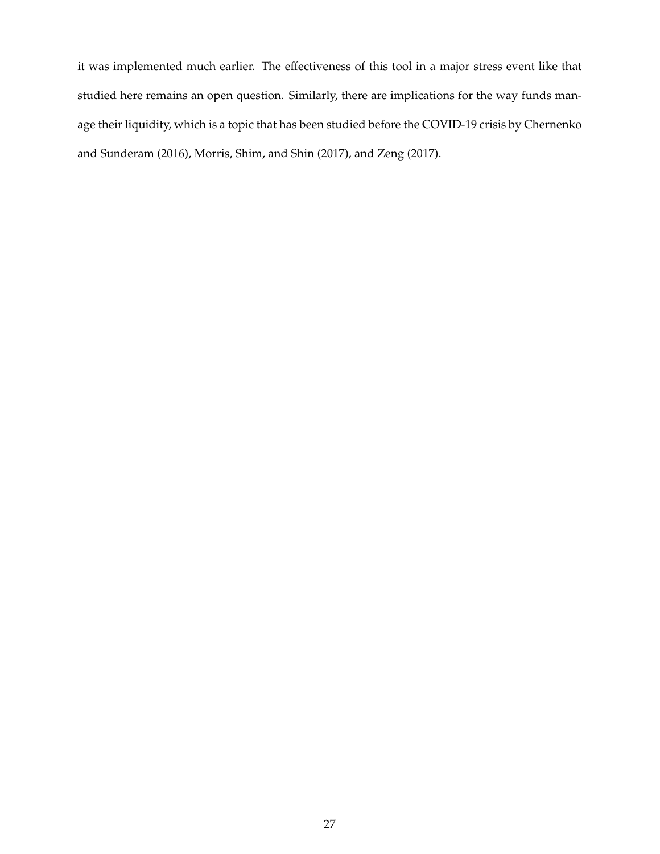it was implemented much earlier. The effectiveness of this tool in a major stress event like that studied here remains an open question. Similarly, there are implications for the way funds manage their liquidity, which is a topic that has been studied before the COVID-19 crisis by Chernenko and Sunderam (2016), Morris, Shim, and Shin (2017), and Zeng (2017).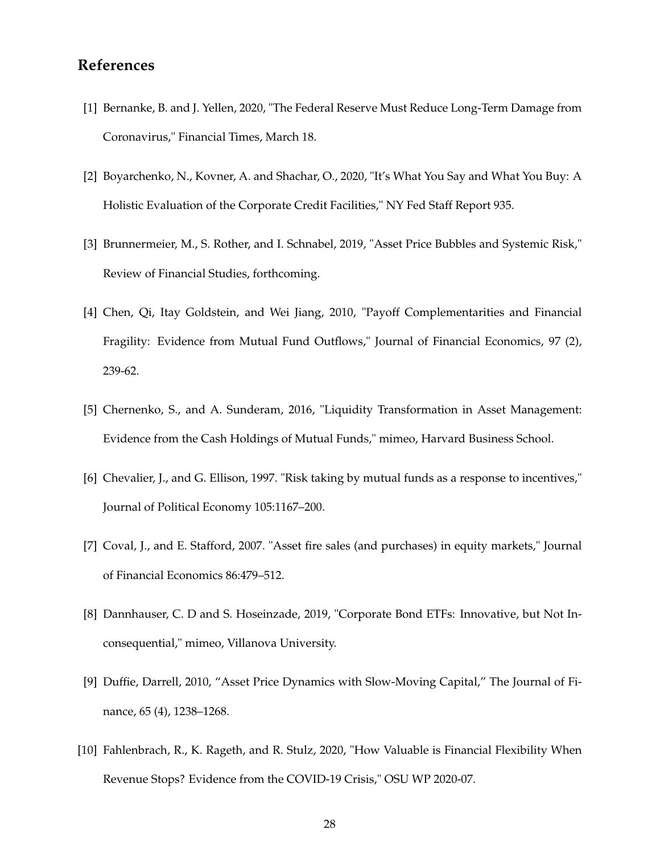# **References**

- [1] Bernanke, B. and J. Yellen, 2020, "The Federal Reserve Must Reduce Long-Term Damage from Coronavirus," Financial Times, March 18.
- [2] Boyarchenko, N., Kovner, A. and Shachar, O., 2020, "It's What You Say and What You Buy: A Holistic Evaluation of the Corporate Credit Facilities," NY Fed Staff Report 935.
- [3] Brunnermeier, M., S. Rother, and I. Schnabel, 2019, "Asset Price Bubbles and Systemic Risk," Review of Financial Studies, forthcoming.
- [4] Chen, Qi, Itay Goldstein, and Wei Jiang, 2010, "Payoff Complementarities and Financial Fragility: Evidence from Mutual Fund Outflows," Journal of Financial Economics, 97 (2), 239-62.
- [5] Chernenko, S., and A. Sunderam, 2016, "Liquidity Transformation in Asset Management: Evidence from the Cash Holdings of Mutual Funds," mimeo, Harvard Business School.
- [6] Chevalier, J., and G. Ellison, 1997. "Risk taking by mutual funds as a response to incentives," Journal of Political Economy 105:1167–200.
- [7] Coval, J., and E. Stafford, 2007. "Asset fire sales (and purchases) in equity markets," Journal of Financial Economics 86:479–512.
- [8] Dannhauser, C. D and S. Hoseinzade, 2019, "Corporate Bond ETFs: Innovative, but Not Inconsequential," mimeo, Villanova University.
- [9] Duffie, Darrell, 2010, "Asset Price Dynamics with Slow-Moving Capital," The Journal of Finance, 65 (4), 1238–1268.
- [10] Fahlenbrach, R., K. Rageth, and R. Stulz, 2020, "How Valuable is Financial Flexibility When Revenue Stops? Evidence from the COVID-19 Crisis," OSU WP 2020-07.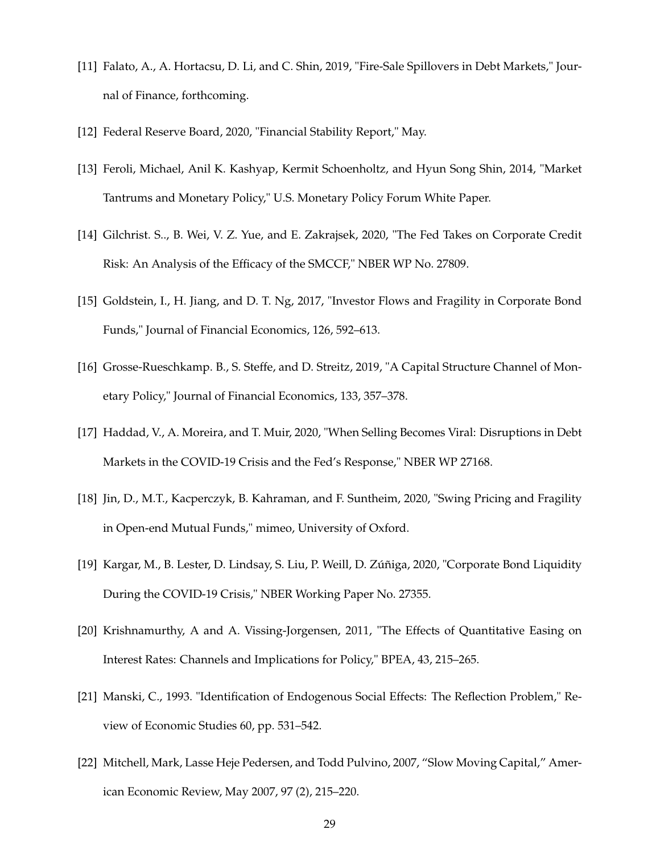- [11] Falato, A., A. Hortacsu, D. Li, and C. Shin, 2019, "Fire-Sale Spillovers in Debt Markets," Journal of Finance, forthcoming.
- [12] Federal Reserve Board, 2020, "Financial Stability Report," May.
- [13] Feroli, Michael, Anil K. Kashyap, Kermit Schoenholtz, and Hyun Song Shin, 2014, "Market Tantrums and Monetary Policy," U.S. Monetary Policy Forum White Paper.
- [14] Gilchrist. S.., B. Wei, V. Z. Yue, and E. Zakrajsek, 2020, "The Fed Takes on Corporate Credit Risk: An Analysis of the Efficacy of the SMCCF," NBER WP No. 27809.
- [15] Goldstein, I., H. Jiang, and D. T. Ng, 2017, "Investor Flows and Fragility in Corporate Bond Funds," Journal of Financial Economics, 126, 592–613.
- [16] Grosse-Rueschkamp. B., S. Steffe, and D. Streitz, 2019, "A Capital Structure Channel of Monetary Policy," Journal of Financial Economics, 133, 357–378.
- [17] Haddad, V., A. Moreira, and T. Muir, 2020, "When Selling Becomes Viral: Disruptions in Debt Markets in the COVID-19 Crisis and the Fed's Response," NBER WP 27168.
- [18] Jin, D., M.T., Kacperczyk, B. Kahraman, and F. Suntheim, 2020, "Swing Pricing and Fragility in Open-end Mutual Funds," mimeo, University of Oxford.
- [19] Kargar, M., B. Lester, D. Lindsay, S. Liu, P. Weill, D. Zúñiga, 2020, "Corporate Bond Liquidity During the COVID-19 Crisis," NBER Working Paper No. 27355.
- [20] Krishnamurthy, A and A. Vissing-Jorgensen, 2011, "The Effects of Quantitative Easing on Interest Rates: Channels and Implications for Policy," BPEA, 43, 215–265.
- [21] Manski, C., 1993. "Identification of Endogenous Social Effects: The Reflection Problem," Review of Economic Studies 60, pp. 531–542.
- [22] Mitchell, Mark, Lasse Heje Pedersen, and Todd Pulvino, 2007, "Slow Moving Capital," American Economic Review, May 2007, 97 (2), 215–220.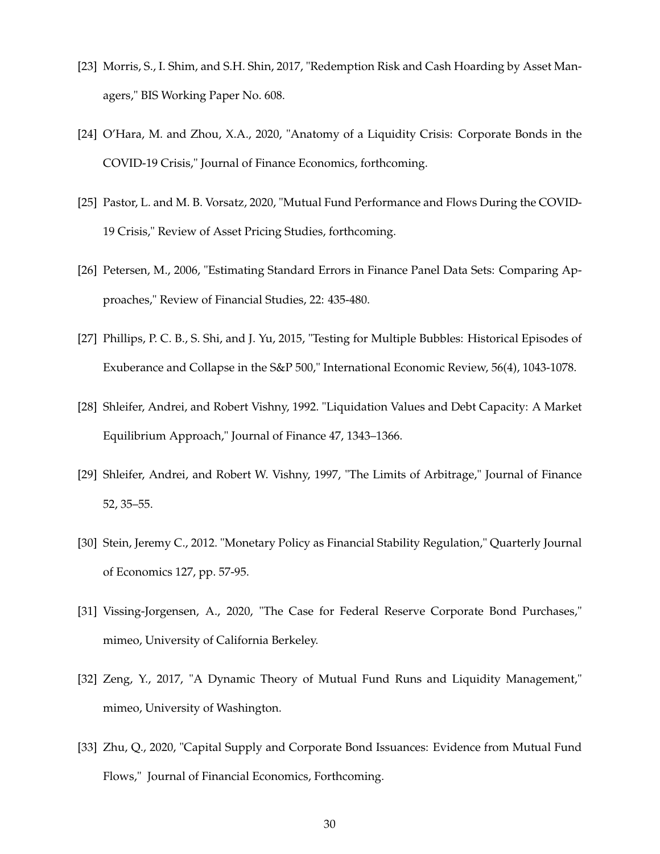- [23] Morris, S., I. Shim, and S.H. Shin, 2017, "Redemption Risk and Cash Hoarding by Asset Managers," BIS Working Paper No. 608.
- [24] O'Hara, M. and Zhou, X.A., 2020, "Anatomy of a Liquidity Crisis: Corporate Bonds in the COVID-19 Crisis," Journal of Finance Economics, forthcoming.
- [25] Pastor, L. and M. B. Vorsatz, 2020, "Mutual Fund Performance and Flows During the COVID-19 Crisis," Review of Asset Pricing Studies, forthcoming.
- [26] Petersen, M., 2006, "Estimating Standard Errors in Finance Panel Data Sets: Comparing Approaches," Review of Financial Studies, 22: 435-480.
- [27] Phillips, P. C. B., S. Shi, and J. Yu, 2015, "Testing for Multiple Bubbles: Historical Episodes of Exuberance and Collapse in the S&P 500," International Economic Review, 56(4), 1043-1078.
- [28] Shleifer, Andrei, and Robert Vishny, 1992. "Liquidation Values and Debt Capacity: A Market Equilibrium Approach," Journal of Finance 47, 1343–1366.
- [29] Shleifer, Andrei, and Robert W. Vishny, 1997, "The Limits of Arbitrage," Journal of Finance 52, 35–55.
- [30] Stein, Jeremy C., 2012. "Monetary Policy as Financial Stability Regulation," Quarterly Journal of Economics 127, pp. 57-95.
- [31] Vissing-Jorgensen, A., 2020, "The Case for Federal Reserve Corporate Bond Purchases," mimeo, University of California Berkeley.
- [32] Zeng, Y., 2017, "A Dynamic Theory of Mutual Fund Runs and Liquidity Management," mimeo, University of Washington.
- [33] Zhu, Q., 2020, "Capital Supply and Corporate Bond Issuances: Evidence from Mutual Fund Flows," Journal of Financial Economics, Forthcoming.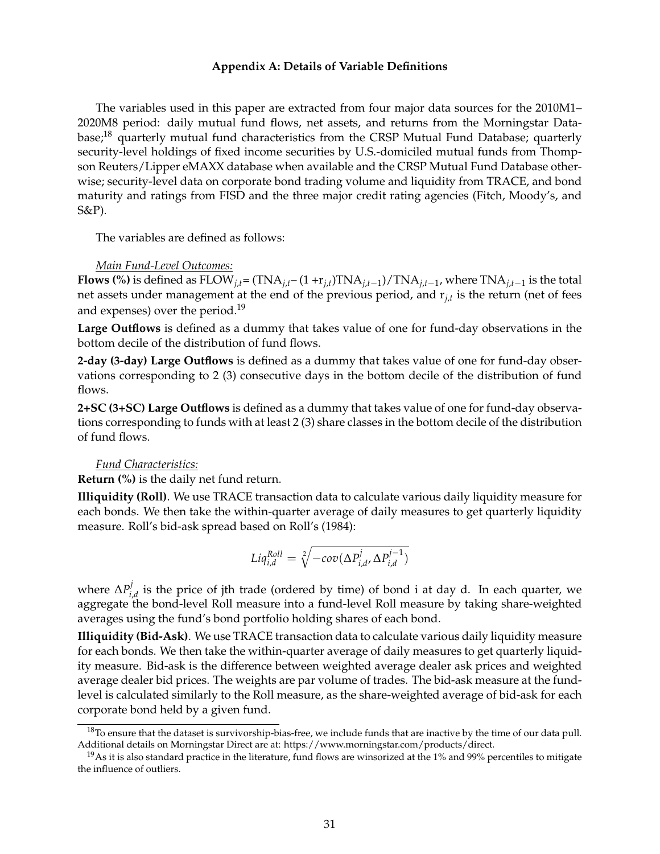#### **Appendix A: Details of Variable Definitions**

The variables used in this paper are extracted from four major data sources for the 2010M1– 2020M8 period: daily mutual fund flows, net assets, and returns from the Morningstar Database;<sup>18</sup> quarterly mutual fund characteristics from the CRSP Mutual Fund Database; quarterly security-level holdings of fixed income securities by U.S.-domiciled mutual funds from Thompson Reuters/Lipper eMAXX database when available and the CRSP Mutual Fund Database otherwise; security-level data on corporate bond trading volume and liquidity from TRACE, and bond maturity and ratings from FISD and the three major credit rating agencies (Fitch, Moody's, and S&P).

The variables are defined as follows:

# *Main Fund-Level Outcomes:*

**Flows (%)** is defined as  $\text{FLOW}_{j,t} = (\text{TNA}_{j,t} - (1+r_{j,t})\text{TNA}_{j,t-1})/\text{TNA}_{j,t-1}$ , where  $\text{TNA}_{j,t-1}$  is the total net assets under management at the end of the previous period, and r*j*,*<sup>t</sup>* is the return (net of fees and expenses) over the period.<sup>19</sup>

**Large Outflows** is defined as a dummy that takes value of one for fund-day observations in the bottom decile of the distribution of fund flows.

**2-day (3-day) Large Outflows** is defined as a dummy that takes value of one for fund-day observations corresponding to 2 (3) consecutive days in the bottom decile of the distribution of fund flows.

**2+SC (3+SC) Large Outflows** is defined as a dummy that takes value of one for fund-day observations corresponding to funds with at least 2 (3) share classes in the bottom decile of the distribution of fund flows.

#### *Fund Characteristics:*

**Return (%)** is the daily net fund return.

**Illiquidity (Roll)**. We use TRACE transaction data to calculate various daily liquidity measure for each bonds. We then take the within-quarter average of daily measures to get quarterly liquidity measure. Roll's bid-ask spread based on Roll's (1984):

$$
Liq_{i,d}^{Roll} = \sqrt[2]{-cov(\Delta P_{i,d}^j, \Delta P_{i,d}^{j-1})}
$$

where  $\Delta P_i^j$  $\mathcal{C}_{i,d}^{y}$  is the price of jth trade (ordered by time) of bond i at day d. In each quarter, we aggregate the bond-level Roll measure into a fund-level Roll measure by taking share-weighted averages using the fund's bond portfolio holding shares of each bond.

**Illiquidity (Bid-Ask)**. We use TRACE transaction data to calculate various daily liquidity measure for each bonds. We then take the within-quarter average of daily measures to get quarterly liquidity measure. Bid-ask is the difference between weighted average dealer ask prices and weighted average dealer bid prices. The weights are par volume of trades. The bid-ask measure at the fundlevel is calculated similarly to the Roll measure, as the share-weighted average of bid-ask for each corporate bond held by a given fund.

 $18$ To ensure that the dataset is survivorship-bias-free, we include funds that are inactive by the time of our data pull. Additional details on Morningstar Direct are at: https://www.morningstar.com/products/direct.

<sup>&</sup>lt;sup>19</sup>As it is also standard practice in the literature, fund flows are winsorized at the  $1\%$  and  $99\%$  percentiles to mitigate the influence of outliers.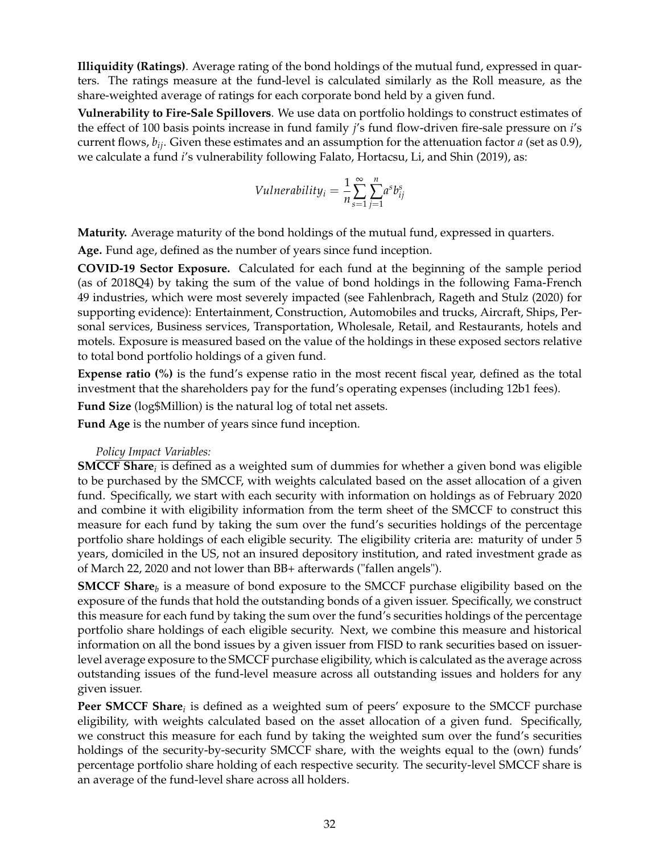**Illiquidity (Ratings)**. Average rating of the bond holdings of the mutual fund, expressed in quarters. The ratings measure at the fund-level is calculated similarly as the Roll measure, as the share-weighted average of ratings for each corporate bond held by a given fund.

**Vulnerability to Fire-Sale Spillovers**. We use data on portfolio holdings to construct estimates of the effect of 100 basis points increase in fund family *j*'s fund flow-driven fire-sale pressure on *i*'s current flows, *bij*. Given these estimates and an assumption for the attenuation factor *a* (set as 0.9), we calculate a fund *i*'s vulnerability following Falato, Hortacsu, Li, and Shin (2019), as:

$$
Vulnerability_i = \frac{1}{n} \sum_{s=1}^{\infty} \sum_{j=1}^{n} a^s b_{ij}^s
$$

**Maturity.** Average maturity of the bond holdings of the mutual fund, expressed in quarters.

**Age.** Fund age, defined as the number of years since fund inception.

**COVID-19 Sector Exposure.** Calculated for each fund at the beginning of the sample period (as of 2018Q4) by taking the sum of the value of bond holdings in the following Fama-French 49 industries, which were most severely impacted (see Fahlenbrach, Rageth and Stulz (2020) for supporting evidence): Entertainment, Construction, Automobiles and trucks, Aircraft, Ships, Personal services, Business services, Transportation, Wholesale, Retail, and Restaurants, hotels and motels. Exposure is measured based on the value of the holdings in these exposed sectors relative to total bond portfolio holdings of a given fund.

**Expense ratio (%)** is the fund's expense ratio in the most recent fiscal year, defined as the total investment that the shareholders pay for the fund's operating expenses (including 12b1 fees).

**Fund Size** (log\$Million) is the natural log of total net assets.

**Fund Age** is the number of years since fund inception.

# *Policy Impact Variables:*

**SMCCF Share***<sup>i</sup>* is defined as a weighted sum of dummies for whether a given bond was eligible to be purchased by the SMCCF, with weights calculated based on the asset allocation of a given fund. Specifically, we start with each security with information on holdings as of February 2020 and combine it with eligibility information from the term sheet of the SMCCF to construct this measure for each fund by taking the sum over the fund's securities holdings of the percentage portfolio share holdings of each eligible security. The eligibility criteria are: maturity of under 5 years, domiciled in the US, not an insured depository institution, and rated investment grade as of March 22, 2020 and not lower than BB+ afterwards ("fallen angels").

**SMCCF Share**<sub>*b*</sub> is a measure of bond exposure to the SMCCF purchase eligibility based on the exposure of the funds that hold the outstanding bonds of a given issuer. Specifically, we construct this measure for each fund by taking the sum over the fund's securities holdings of the percentage portfolio share holdings of each eligible security. Next, we combine this measure and historical information on all the bond issues by a given issuer from FISD to rank securities based on issuerlevel average exposure to the SMCCF purchase eligibility, which is calculated as the average across outstanding issues of the fund-level measure across all outstanding issues and holders for any given issuer.

**Peer SMCCF Share***<sup>i</sup>* is defined as a weighted sum of peers' exposure to the SMCCF purchase eligibility, with weights calculated based on the asset allocation of a given fund. Specifically, we construct this measure for each fund by taking the weighted sum over the fund's securities holdings of the security-by-security SMCCF share, with the weights equal to the (own) funds' percentage portfolio share holding of each respective security. The security-level SMCCF share is an average of the fund-level share across all holders.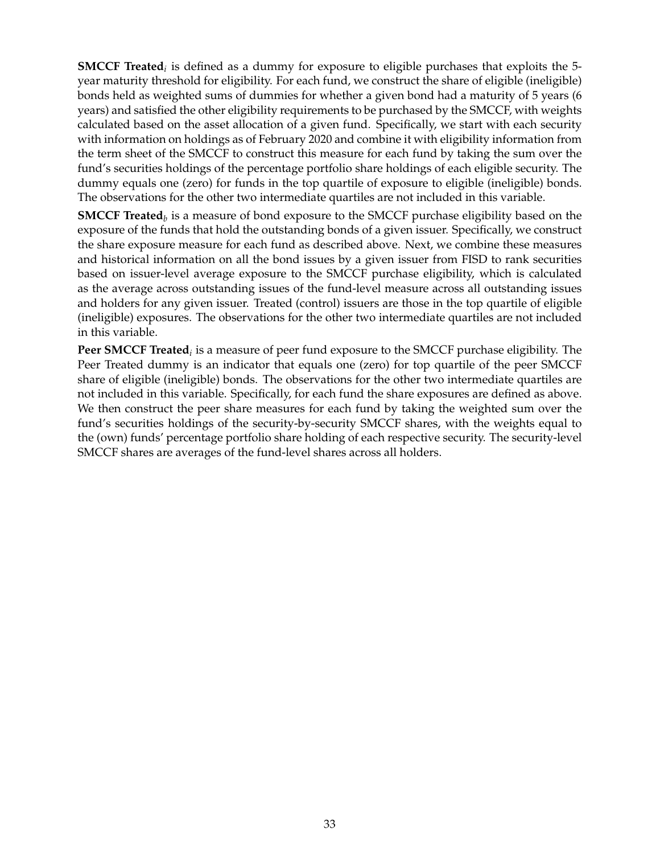**SMCCF Treated***<sup>i</sup>* is defined as a dummy for exposure to eligible purchases that exploits the 5 year maturity threshold for eligibility. For each fund, we construct the share of eligible (ineligible) bonds held as weighted sums of dummies for whether a given bond had a maturity of 5 years (6 years) and satisfied the other eligibility requirements to be purchased by the SMCCF, with weights calculated based on the asset allocation of a given fund. Specifically, we start with each security with information on holdings as of February 2020 and combine it with eligibility information from the term sheet of the SMCCF to construct this measure for each fund by taking the sum over the fund's securities holdings of the percentage portfolio share holdings of each eligible security. The dummy equals one (zero) for funds in the top quartile of exposure to eligible (ineligible) bonds. The observations for the other two intermediate quartiles are not included in this variable.

**SMCCF Treated***<sup>b</sup>* is a measure of bond exposure to the SMCCF purchase eligibility based on the exposure of the funds that hold the outstanding bonds of a given issuer. Specifically, we construct the share exposure measure for each fund as described above. Next, we combine these measures and historical information on all the bond issues by a given issuer from FISD to rank securities based on issuer-level average exposure to the SMCCF purchase eligibility, which is calculated as the average across outstanding issues of the fund-level measure across all outstanding issues and holders for any given issuer. Treated (control) issuers are those in the top quartile of eligible (ineligible) exposures. The observations for the other two intermediate quartiles are not included in this variable.

**Peer SMCCF Treated***<sup>i</sup>* is a measure of peer fund exposure to the SMCCF purchase eligibility. The Peer Treated dummy is an indicator that equals one (zero) for top quartile of the peer SMCCF share of eligible (ineligible) bonds. The observations for the other two intermediate quartiles are not included in this variable. Specifically, for each fund the share exposures are defined as above. We then construct the peer share measures for each fund by taking the weighted sum over the fund's securities holdings of the security-by-security SMCCF shares, with the weights equal to the (own) funds' percentage portfolio share holding of each respective security. The security-level SMCCF shares are averages of the fund-level shares across all holders.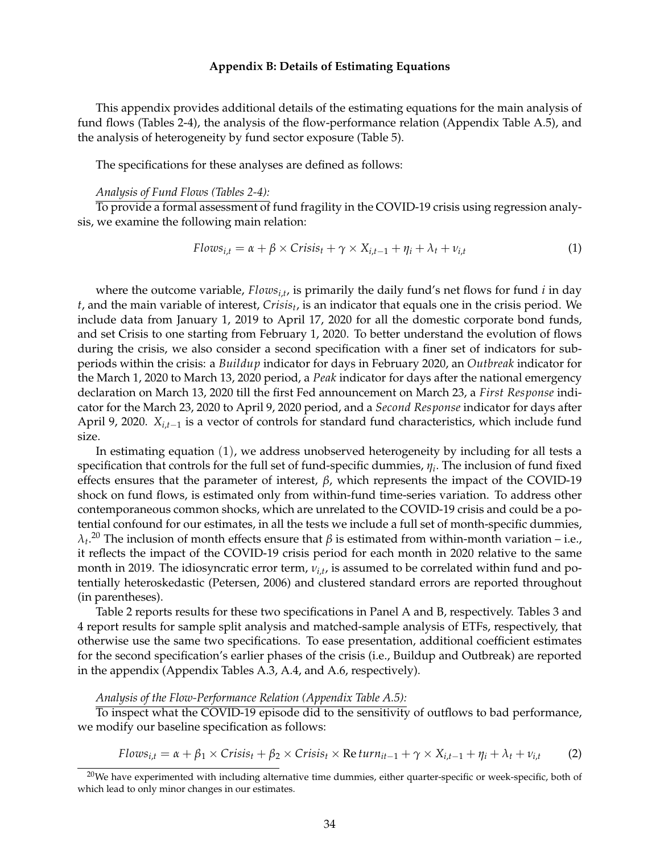#### **Appendix B: Details of Estimating Equations**

This appendix provides additional details of the estimating equations for the main analysis of fund flows (Tables 2-4), the analysis of the flow-performance relation (Appendix Table A.5), and the analysis of heterogeneity by fund sector exposure (Table 5).

The specifications for these analyses are defined as follows:

#### *Analysis of Fund Flows (Tables 2-4):*

To provide a formal assessment of fund fragility in the COVID-19 crisis using regression analysis, we examine the following main relation:

$$
Flows_{i,t} = \alpha + \beta \times Crisis_t + \gamma \times X_{i,t-1} + \eta_i + \lambda_t + \nu_{i,t}
$$
\n(1)

where the outcome variable, *Flowsi*,*<sup>t</sup>* , is primarily the daily fund's net flows for fund *i* in day *t*, and the main variable of interest, *Crisis<sup>t</sup>* , is an indicator that equals one in the crisis period. We include data from January 1, 2019 to April 17, 2020 for all the domestic corporate bond funds, and set Crisis to one starting from February 1, 2020. To better understand the evolution of flows during the crisis, we also consider a second specification with a finer set of indicators for subperiods within the crisis: a *Buildup* indicator for days in February 2020, an *Outbreak* indicator for the March 1, 2020 to March 13, 2020 period, a *Peak* indicator for days after the national emergency declaration on March 13, 2020 till the first Fed announcement on March 23, a *First Response* indicator for the March 23, 2020 to April 9, 2020 period, and a *Second Response* indicator for days after April 9, 2020.  $X_{i,t-1}$  is a vector of controls for standard fund characteristics, which include fund size.

In estimating equation (1), we address unobserved heterogeneity by including for all tests a specification that controls for the full set of fund-specific dummies, *η<sup>i</sup>* . The inclusion of fund fixed effects ensures that the parameter of interest, *β*, which represents the impact of the COVID-19 shock on fund flows, is estimated only from within-fund time-series variation. To address other contemporaneous common shocks, which are unrelated to the COVID-19 crisis and could be a potential confound for our estimates, in all the tests we include a full set of month-specific dummies,  $\lambda$ *t*.<sup>20</sup> The inclusion of month effects ensure that *β* is estimated from within-month variation – i.e., it reflects the impact of the COVID-19 crisis period for each month in 2020 relative to the same month in 2019. The idiosyncratic error term, *νi*,*<sup>t</sup>* , is assumed to be correlated within fund and potentially heteroskedastic (Petersen, 2006) and clustered standard errors are reported throughout (in parentheses).

Table 2 reports results for these two specifications in Panel A and B, respectively. Tables 3 and 4 report results for sample split analysis and matched-sample analysis of ETFs, respectively, that otherwise use the same two specifications. To ease presentation, additional coefficient estimates for the second specification's earlier phases of the crisis (i.e., Buildup and Outbreak) are reported in the appendix (Appendix Tables A.3, A.4, and A.6, respectively).

#### *Analysis of the Flow-Performance Relation (Appendix Table A.5):*

To inspect what the COVID-19 episode did to the sensitivity of outflows to bad performance, we modify our baseline specification as follows:

$$
Flows_{i,t} = \alpha + \beta_1 \times Crisis_t + \beta_2 \times Crisis_t \times \text{Re turn}_{it-1} + \gamma \times X_{i,t-1} + \eta_i + \lambda_t + \nu_{i,t} \tag{2}
$$

 $20$ We have experimented with including alternative time dummies, either quarter-specific or week-specific, both of which lead to only minor changes in our estimates.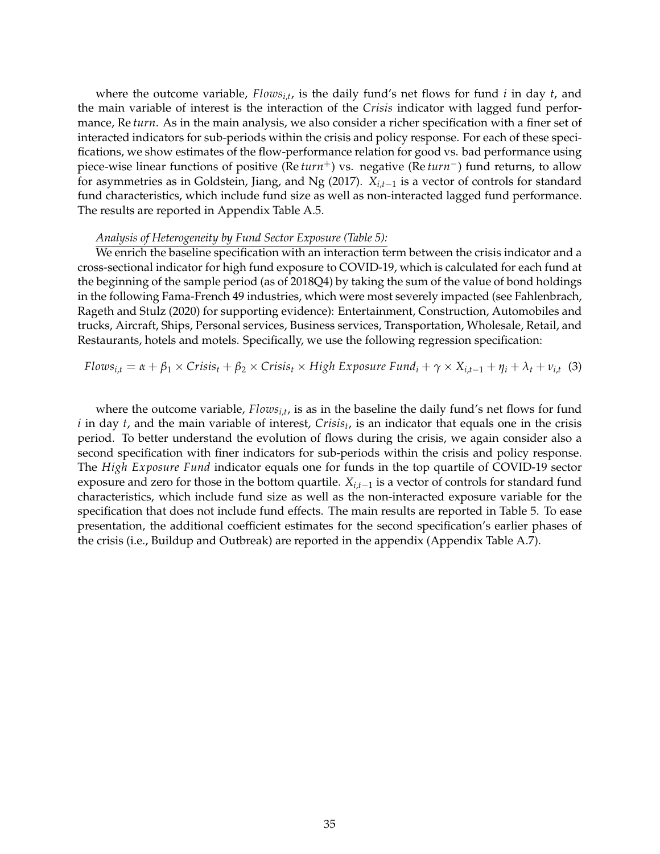where the outcome variable, *Flowsi*,*<sup>t</sup>* , is the daily fund's net flows for fund *i* in day *t*, and the main variable of interest is the interaction of the *Crisis* indicator with lagged fund performance, Re *turn*. As in the main analysis, we also consider a richer specification with a finer set of interacted indicators for sub-periods within the crisis and policy response. For each of these specifications, we show estimates of the flow-performance relation for good vs. bad performance using piece-wise linear functions of positive (Re *turn*<sup>+</sup>) vs. negative (Re *turn*<sup>-</sup>) fund returns, to allow for asymmetries as in Goldstein, Jiang, and Ng (2017).  $X_{i,t-1}$  is a vector of controls for standard fund characteristics, which include fund size as well as non-interacted lagged fund performance. The results are reported in Appendix Table A.5.

#### *Analysis of Heterogeneity by Fund Sector Exposure (Table 5):*

We enrich the baseline specification with an interaction term between the crisis indicator and a cross-sectional indicator for high fund exposure to COVID-19, which is calculated for each fund at the beginning of the sample period (as of 2018Q4) by taking the sum of the value of bond holdings in the following Fama-French 49 industries, which were most severely impacted (see Fahlenbrach, Rageth and Stulz (2020) for supporting evidence): Entertainment, Construction, Automobiles and trucks, Aircraft, Ships, Personal services, Business services, Transportation, Wholesale, Retail, and Restaurants, hotels and motels. Specifically, we use the following regression specification:

$$
Flows_{i,t} = \alpha + \beta_1 \times Crisis_t + \beta_2 \times Crisis_t \times High\, Exposure\, Fund_i + \gamma \times X_{i,t-1} + \eta_i + \lambda_t + \nu_{i,t} \tag{3}
$$

where the outcome variable, *Flowsi*,*<sup>t</sup>* , is as in the baseline the daily fund's net flows for fund *i* in day *t*, and the main variable of interest, *Crisis<sup>t</sup>* , is an indicator that equals one in the crisis period. To better understand the evolution of flows during the crisis, we again consider also a second specification with finer indicators for sub-periods within the crisis and policy response. The *High Exposure Fund* indicator equals one for funds in the top quartile of COVID-19 sector exposure and zero for those in the bottom quartile.  $X_{i,t-1}$  is a vector of controls for standard fund characteristics, which include fund size as well as the non-interacted exposure variable for the specification that does not include fund effects. The main results are reported in Table 5. To ease presentation, the additional coefficient estimates for the second specification's earlier phases of the crisis (i.e., Buildup and Outbreak) are reported in the appendix (Appendix Table A.7).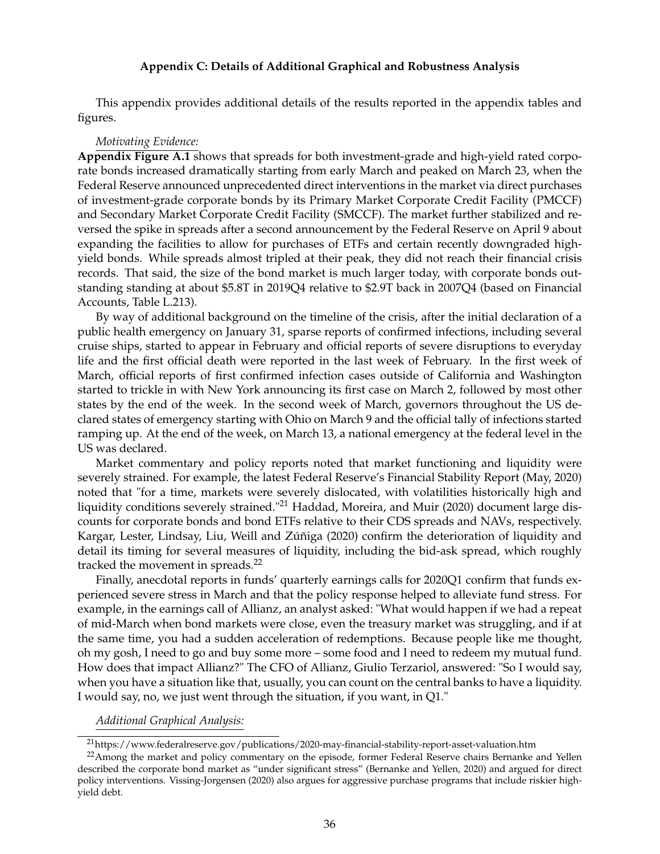#### **Appendix C: Details of Additional Graphical and Robustness Analysis**

This appendix provides additional details of the results reported in the appendix tables and figures.

#### *Motivating Evidence:*

**Appendix Figure A.1** shows that spreads for both investment-grade and high-yield rated corporate bonds increased dramatically starting from early March and peaked on March 23, when the Federal Reserve announced unprecedented direct interventions in the market via direct purchases of investment-grade corporate bonds by its Primary Market Corporate Credit Facility (PMCCF) and Secondary Market Corporate Credit Facility (SMCCF). The market further stabilized and reversed the spike in spreads after a second announcement by the Federal Reserve on April 9 about expanding the facilities to allow for purchases of ETFs and certain recently downgraded highyield bonds. While spreads almost tripled at their peak, they did not reach their financial crisis records. That said, the size of the bond market is much larger today, with corporate bonds outstanding standing at about \$5.8T in 2019Q4 relative to \$2.9T back in 2007Q4 (based on Financial Accounts, Table L.213).

By way of additional background on the timeline of the crisis, after the initial declaration of a public health emergency on January 31, sparse reports of confirmed infections, including several cruise ships, started to appear in February and official reports of severe disruptions to everyday life and the first official death were reported in the last week of February. In the first week of March, official reports of first confirmed infection cases outside of California and Washington started to trickle in with New York announcing its first case on March 2, followed by most other states by the end of the week. In the second week of March, governors throughout the US declared states of emergency starting with Ohio on March 9 and the official tally of infections started ramping up. At the end of the week, on March 13, a national emergency at the federal level in the US was declared.

Market commentary and policy reports noted that market functioning and liquidity were severely strained. For example, the latest Federal Reserve's Financial Stability Report (May, 2020) noted that "for a time, markets were severely dislocated, with volatilities historically high and liquidity conditions severely strained."<sup>21</sup> Haddad, Moreira, and Muir (2020) document large discounts for corporate bonds and bond ETFs relative to their CDS spreads and NAVs, respectively. Kargar, Lester, Lindsay, Liu, Weill and Zúñiga (2020) confirm the deterioration of liquidity and detail its timing for several measures of liquidity, including the bid-ask spread, which roughly tracked the movement in spreads. $^{22}$ 

Finally, anecdotal reports in funds' quarterly earnings calls for 2020Q1 confirm that funds experienced severe stress in March and that the policy response helped to alleviate fund stress. For example, in the earnings call of Allianz, an analyst asked: "What would happen if we had a repeat of mid-March when bond markets were close, even the treasury market was struggling, and if at the same time, you had a sudden acceleration of redemptions. Because people like me thought, oh my gosh, I need to go and buy some more – some food and I need to redeem my mutual fund. How does that impact Allianz?" The CFO of Allianz, Giulio Terzariol, answered: "So I would say, when you have a situation like that, usually, you can count on the central banks to have a liquidity. I would say, no, we just went through the situation, if you want, in Q1."

*Additional Graphical Analysis:*

<sup>21</sup>https://www.federalreserve.gov/publications/2020-may-financial-stability-report-asset-valuation.htm

<sup>&</sup>lt;sup>22</sup>Among the market and policy commentary on the episode, former Federal Reserve chairs Bernanke and Yellen described the corporate bond market as "under significant stress" (Bernanke and Yellen, 2020) and argued for direct policy interventions. Vissing-Jorgensen (2020) also argues for aggressive purchase programs that include riskier highyield debt.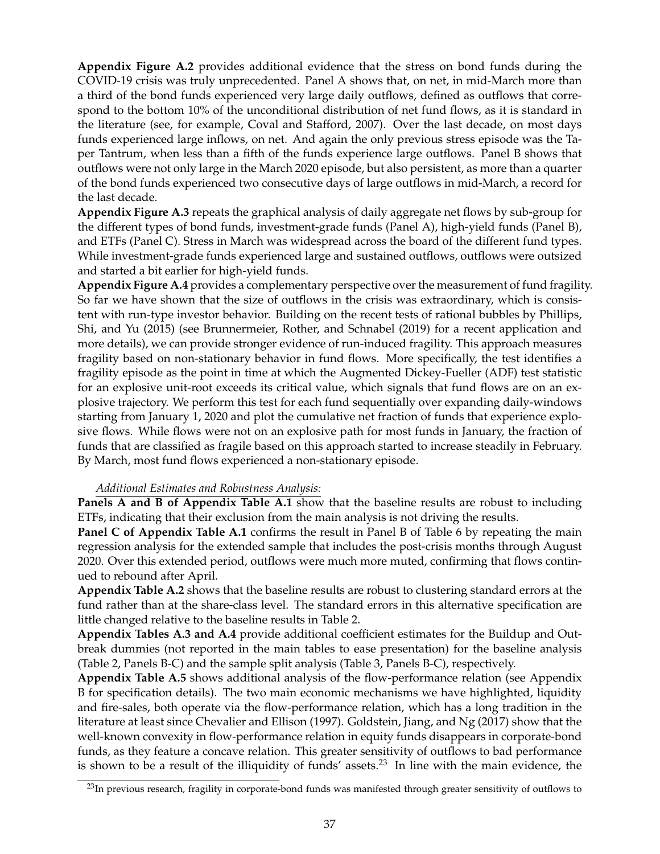**Appendix Figure A.2** provides additional evidence that the stress on bond funds during the COVID-19 crisis was truly unprecedented. Panel A shows that, on net, in mid-March more than a third of the bond funds experienced very large daily outflows, defined as outflows that correspond to the bottom 10% of the unconditional distribution of net fund flows, as it is standard in the literature (see, for example, Coval and Stafford, 2007). Over the last decade, on most days funds experienced large inflows, on net. And again the only previous stress episode was the Taper Tantrum, when less than a fifth of the funds experience large outflows. Panel B shows that outflows were not only large in the March 2020 episode, but also persistent, as more than a quarter of the bond funds experienced two consecutive days of large outflows in mid-March, a record for the last decade.

**Appendix Figure A.3** repeats the graphical analysis of daily aggregate net flows by sub-group for the different types of bond funds, investment-grade funds (Panel A), high-yield funds (Panel B), and ETFs (Panel C). Stress in March was widespread across the board of the different fund types. While investment-grade funds experienced large and sustained outflows, outflows were outsized and started a bit earlier for high-yield funds.

**Appendix Figure A.4** provides a complementary perspective over the measurement of fund fragility. So far we have shown that the size of outflows in the crisis was extraordinary, which is consistent with run-type investor behavior. Building on the recent tests of rational bubbles by Phillips, Shi, and Yu (2015) (see Brunnermeier, Rother, and Schnabel (2019) for a recent application and more details), we can provide stronger evidence of run-induced fragility. This approach measures fragility based on non-stationary behavior in fund flows. More specifically, the test identifies a fragility episode as the point in time at which the Augmented Dickey-Fueller (ADF) test statistic for an explosive unit-root exceeds its critical value, which signals that fund flows are on an explosive trajectory. We perform this test for each fund sequentially over expanding daily-windows starting from January 1, 2020 and plot the cumulative net fraction of funds that experience explosive flows. While flows were not on an explosive path for most funds in January, the fraction of funds that are classified as fragile based on this approach started to increase steadily in February. By March, most fund flows experienced a non-stationary episode.

# *Additional Estimates and Robustness Analysis:*

**Panels A and B of Appendix Table A.1** show that the baseline results are robust to including ETFs, indicating that their exclusion from the main analysis is not driving the results.

**Panel C of Appendix Table A.1** confirms the result in Panel B of Table 6 by repeating the main regression analysis for the extended sample that includes the post-crisis months through August 2020. Over this extended period, outflows were much more muted, confirming that flows continued to rebound after April.

**Appendix Table A.2** shows that the baseline results are robust to clustering standard errors at the fund rather than at the share-class level. The standard errors in this alternative specification are little changed relative to the baseline results in Table 2.

**Appendix Tables A.3 and A.4** provide additional coefficient estimates for the Buildup and Outbreak dummies (not reported in the main tables to ease presentation) for the baseline analysis (Table 2, Panels B-C) and the sample split analysis (Table 3, Panels B-C), respectively.

**Appendix Table A.5** shows additional analysis of the flow-performance relation (see Appendix B for specification details). The two main economic mechanisms we have highlighted, liquidity and fire-sales, both operate via the flow-performance relation, which has a long tradition in the literature at least since Chevalier and Ellison (1997). Goldstein, Jiang, and Ng (2017) show that the well-known convexity in flow-performance relation in equity funds disappears in corporate-bond funds, as they feature a concave relation. This greater sensitivity of outflows to bad performance is shown to be a result of the illiquidity of funds' assets.<sup>23</sup> In line with the main evidence, the

<sup>&</sup>lt;sup>23</sup>In previous research, fragility in corporate-bond funds was manifested through greater sensitivity of outflows to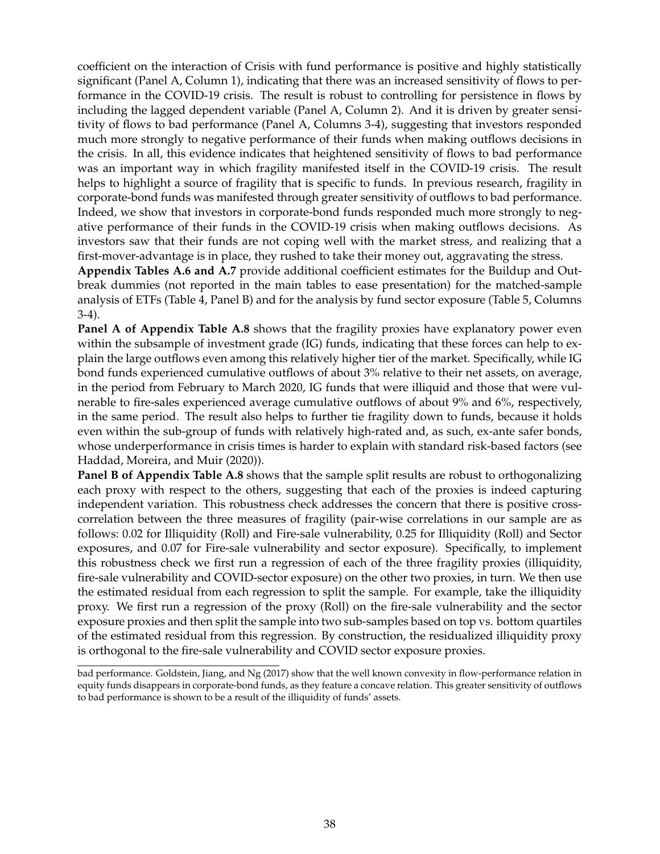coefficient on the interaction of Crisis with fund performance is positive and highly statistically significant (Panel A, Column 1), indicating that there was an increased sensitivity of flows to performance in the COVID-19 crisis. The result is robust to controlling for persistence in flows by including the lagged dependent variable (Panel A, Column 2). And it is driven by greater sensitivity of flows to bad performance (Panel A, Columns 3-4), suggesting that investors responded much more strongly to negative performance of their funds when making outflows decisions in the crisis. In all, this evidence indicates that heightened sensitivity of flows to bad performance was an important way in which fragility manifested itself in the COVID-19 crisis. The result helps to highlight a source of fragility that is specific to funds. In previous research, fragility in corporate-bond funds was manifested through greater sensitivity of outflows to bad performance. Indeed, we show that investors in corporate-bond funds responded much more strongly to negative performance of their funds in the COVID-19 crisis when making outflows decisions. As investors saw that their funds are not coping well with the market stress, and realizing that a first-mover-advantage is in place, they rushed to take their money out, aggravating the stress.

**Appendix Tables A.6 and A.7** provide additional coefficient estimates for the Buildup and Outbreak dummies (not reported in the main tables to ease presentation) for the matched-sample analysis of ETFs (Table 4, Panel B) and for the analysis by fund sector exposure (Table 5, Columns 3-4).

**Panel A of Appendix Table A.8** shows that the fragility proxies have explanatory power even within the subsample of investment grade (IG) funds, indicating that these forces can help to explain the large outflows even among this relatively higher tier of the market. Specifically, while IG bond funds experienced cumulative outflows of about 3% relative to their net assets, on average, in the period from February to March 2020, IG funds that were illiquid and those that were vulnerable to fire-sales experienced average cumulative outflows of about 9% and 6%, respectively, in the same period. The result also helps to further tie fragility down to funds, because it holds even within the sub-group of funds with relatively high-rated and, as such, ex-ante safer bonds, whose underperformance in crisis times is harder to explain with standard risk-based factors (see Haddad, Moreira, and Muir (2020)).

**Panel B of Appendix Table A.8** shows that the sample split results are robust to orthogonalizing each proxy with respect to the others, suggesting that each of the proxies is indeed capturing independent variation. This robustness check addresses the concern that there is positive crosscorrelation between the three measures of fragility (pair-wise correlations in our sample are as follows: 0.02 for Illiquidity (Roll) and Fire-sale vulnerability, 0.25 for Illiquidity (Roll) and Sector exposures, and 0.07 for Fire-sale vulnerability and sector exposure). Specifically, to implement this robustness check we first run a regression of each of the three fragility proxies (illiquidity, fire-sale vulnerability and COVID-sector exposure) on the other two proxies, in turn. We then use the estimated residual from each regression to split the sample. For example, take the illiquidity proxy. We first run a regression of the proxy (Roll) on the fire-sale vulnerability and the sector exposure proxies and then split the sample into two sub-samples based on top vs. bottom quartiles of the estimated residual from this regression. By construction, the residualized illiquidity proxy is orthogonal to the fire-sale vulnerability and COVID sector exposure proxies.

bad performance. Goldstein, Jiang, and Ng (2017) show that the well known convexity in flow-performance relation in equity funds disappears in corporate-bond funds, as they feature a concave relation. This greater sensitivity of outflows to bad performance is shown to be a result of the illiquidity of funds' assets.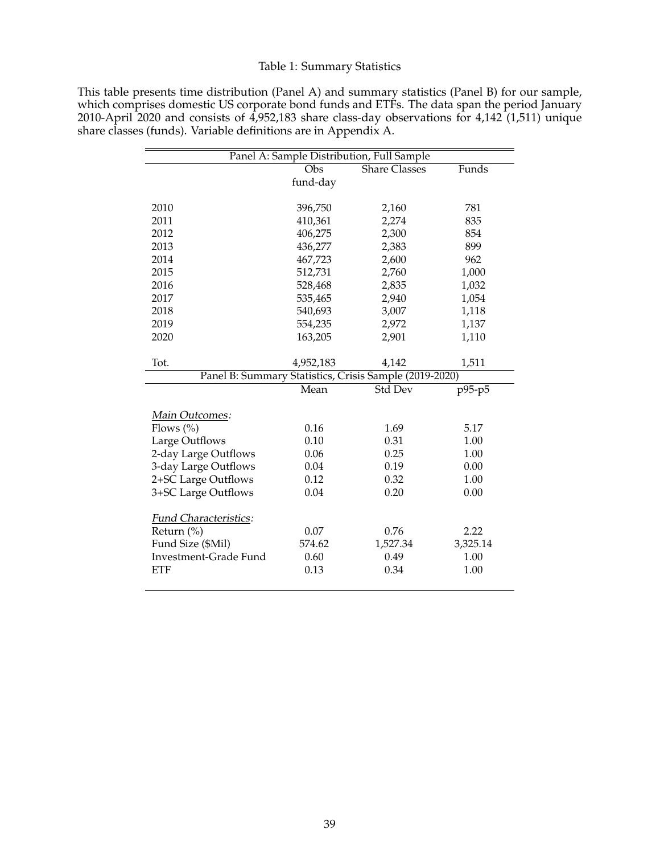# Table 1: Summary Statistics

| This table presents time distribution (Panel A) and summary statistics (Panel B) for our sample, |
|--------------------------------------------------------------------------------------------------|
| which comprises domestic US corporate bond funds and ETFs. The data span the period January      |
| 2010-April 2020 and consists of 4,952,183 share class-day observations for 4,142 (1,511) unique  |
| share classes (funds). Variable definitions are in Appendix A.                                   |

|                       | $\overline{Obs}$ | <b>Share Classes</b>                                   | Funds    |
|-----------------------|------------------|--------------------------------------------------------|----------|
|                       | fund-day         |                                                        |          |
| 2010                  | 396,750          | 2,160                                                  | 781      |
| 2011                  | 410,361          | 2,274                                                  | 835      |
| 2012                  | 406,275          | 2,300                                                  | 854      |
| 2013                  | 436,277          | 2,383                                                  | 899      |
| 2014                  | 467,723          | 2,600                                                  | 962      |
| 2015                  | 512,731          | 2,760                                                  | 1,000    |
| 2016                  | 528,468          | 2,835                                                  | 1,032    |
| 2017                  | 535,465          | 2,940                                                  | 1,054    |
| 2018                  | 540,693          | 3,007                                                  | 1,118    |
| 2019                  | 554,235          | 2,972                                                  | 1,137    |
| 2020                  | 163,205          | 2,901                                                  | 1,110    |
| Tot.                  | 4,952,183        | 4,142                                                  | 1,511    |
|                       |                  | Panel B: Summary Statistics, Crisis Sample (2019-2020) |          |
|                       | Mean             | <b>Std Dev</b>                                         | $p95-p5$ |
| Main Outcomes:        |                  |                                                        |          |
| Flows $(\% )$         | 0.16             | 1.69                                                   | 5.17     |
| Large Outflows        | 0.10             | 0.31                                                   | 1.00     |
| 2-day Large Outflows  | 0.06             | 0.25                                                   | 1.00     |
| 3-day Large Outflows  | 0.04             | 0.19                                                   | 0.00     |
| 2+SC Large Outflows   | 0.12             | 0.32                                                   | 1.00     |
| 3+SC Large Outflows   | 0.04             | 0.20                                                   | 0.00     |
| Fund Characteristics: |                  |                                                        |          |
| Return (%)            | 0.07             | 0.76                                                   | 2.22     |
| Fund Size (\$Mil)     | 574.62           | 1,527.34                                               | 3,325.14 |
| Investment-Grade Fund | 0.60             | 0.49                                                   | 1.00     |
| <b>ETF</b>            | 0.13             | 0.34                                                   | 1.00     |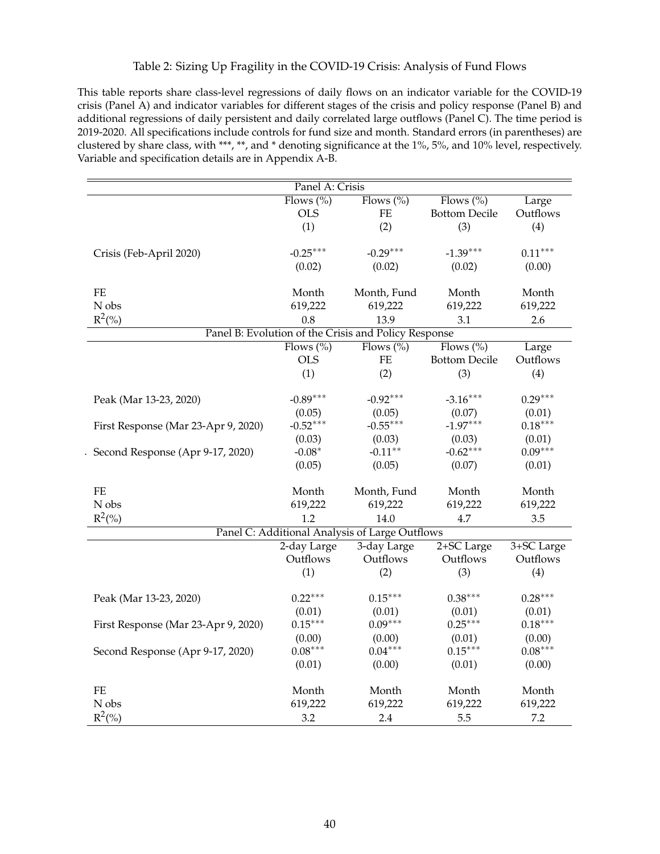# Table 2: Sizing Up Fragility in the COVID-19 Crisis: Analysis of Fund Flows

This table reports share class-level regressions of daily flows on an indicator variable for the COVID-19 crisis (Panel A) and indicator variables for different stages of the crisis and policy response (Panel B) and additional regressions of daily persistent and daily correlated large outflows (Panel C). The time period is 2019-2020. All specifications include controls for fund size and month. Standard errors (in parentheses) are clustered by share class, with \*\*\*, \*\*, and \* denoting significance at the 1%, 5%, and 10% level, respectively. Variable and specification details are in Appendix A-B.

| Panel A: Crisis                     |              |                                                      |                      |            |  |
|-------------------------------------|--------------|------------------------------------------------------|----------------------|------------|--|
|                                     | Flows $(\%)$ | Flows $(\%)$                                         | Flows $(\%)$         | Large      |  |
|                                     | <b>OLS</b>   | FE                                                   | <b>Bottom Decile</b> | Outflows   |  |
|                                     | (1)          | (2)                                                  | (3)                  | (4)        |  |
|                                     |              |                                                      |                      |            |  |
| Crisis (Feb-April 2020)             | $-0.25***$   | $-0.29***$                                           | $-1.39***$           | $0.11***$  |  |
|                                     | (0.02)       | (0.02)                                               | (0.02)               | (0.00)     |  |
|                                     |              |                                                      |                      |            |  |
| $\rm FE$                            | Month        | Month, Fund                                          | Month                | Month      |  |
| N obs                               | 619,222      | 619,222                                              | 619,222              | 619,222    |  |
| $R^2(\%)$                           | 0.8          | 13.9                                                 | 3.1                  | 2.6        |  |
|                                     |              | Panel B: Evolution of the Crisis and Policy Response |                      |            |  |
|                                     | Flows $(\%)$ | Flows $(\%)$                                         | Flows $(\%)$         | Large      |  |
|                                     | <b>OLS</b>   | $\rm FE$                                             | <b>Bottom Decile</b> | Outflows   |  |
|                                     | (1)          | (2)                                                  | (3)                  | (4)        |  |
|                                     |              |                                                      |                      |            |  |
| Peak (Mar 13-23, 2020)              | $-0.89***$   | $-0.92***$                                           | $-3.16***$           | $0.29***$  |  |
|                                     | (0.05)       | (0.05)                                               | (0.07)               | (0.01)     |  |
| First Response (Mar 23-Apr 9, 2020) | $-0.52***$   | $-0.55***$                                           | $-1.97***$           | $0.18***$  |  |
|                                     | (0.03)       | (0.03)                                               | (0.03)               | (0.01)     |  |
| Second Response (Apr 9-17, 2020)    | $-0.08*$     | $-0.11**$                                            | $-0.62***$           | $0.09***$  |  |
|                                     | (0.05)       | (0.05)                                               | (0.07)               | (0.01)     |  |
|                                     |              |                                                      |                      |            |  |
| $\rm FE$                            | Month        | Month, Fund                                          | Month                | Month      |  |
| N obs                               | 619,222      | 619,222                                              | 619,222              | 619,222    |  |
| $R^2(\%)$                           | 1.2          | 14.0                                                 | 4.7                  | 3.5        |  |
|                                     |              | Panel C: Additional Analysis of Large Outflows       |                      |            |  |
|                                     | 2-day Large  | 3-day Large                                          | 2+SC Large           | 3+SC Large |  |
|                                     | Outflows     | Outflows                                             | Outflows             | Outflows   |  |
|                                     | (1)          | (2)                                                  | (3)                  | (4)        |  |
|                                     |              |                                                      |                      |            |  |
| Peak (Mar 13-23, 2020)              | $0.22***$    | $0.15***$                                            | $0.38***$            | $0.28***$  |  |
|                                     | (0.01)       | (0.01)                                               | (0.01)               | (0.01)     |  |
| First Response (Mar 23-Apr 9, 2020) | $0.15***$    | $0.09***$                                            | $0.25***$            | $0.18***$  |  |
|                                     | (0.00)       | (0.00)                                               | (0.01)               | (0.00)     |  |
| Second Response (Apr 9-17, 2020)    | $0.08***$    | $0.04***$                                            | $0.15***$            | $0.08***$  |  |
|                                     | (0.01)       | (0.00)                                               | (0.01)               | (0.00)     |  |
|                                     |              |                                                      |                      |            |  |
| $\rm FE$                            | Month        | Month                                                | Month                | Month      |  |
| N obs                               | 619,222      | 619,222                                              | 619,222              | 619,222    |  |
| $R^2(\% )$                          | 3.2          | 2.4                                                  | 5.5                  | 7.2        |  |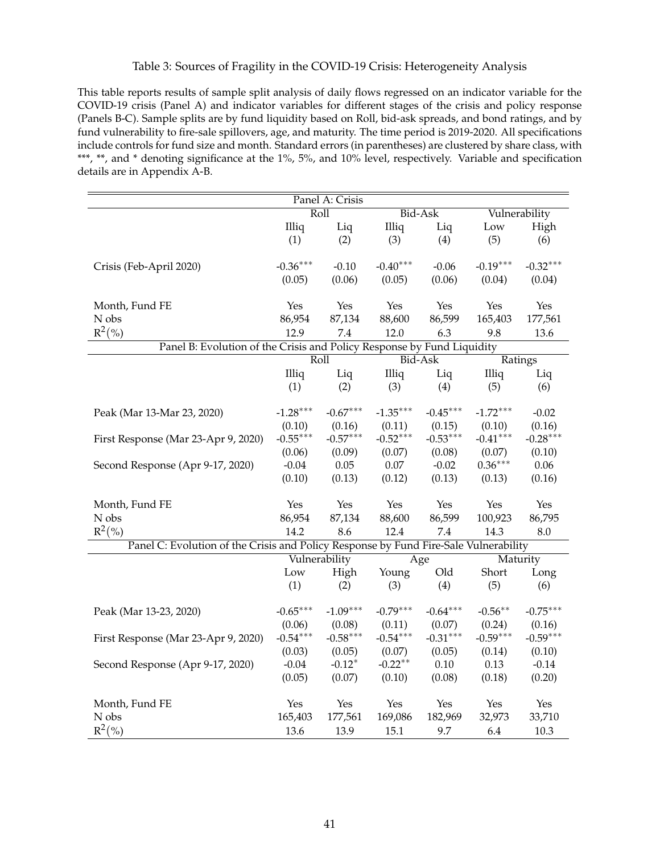## Table 3: Sources of Fragility in the COVID-19 Crisis: Heterogeneity Analysis

This table reports results of sample split analysis of daily flows regressed on an indicator variable for the COVID-19 crisis (Panel A) and indicator variables for different stages of the crisis and policy response (Panels B-C). Sample splits are by fund liquidity based on Roll, bid-ask spreads, and bond ratings, and by fund vulnerability to fire-sale spillovers, age, and maturity. The time period is 2019-2020. All specifications include controls for fund size and month. Standard errors (in parentheses) are clustered by share class, with \*\*\*, \*\*, and \* denoting significance at the 1%, 5%, and 10% level, respectively. Variable and specification details are in Appendix A-B.

| Panel A: Crisis                                                                      |            |               |            |            |            |               |  |
|--------------------------------------------------------------------------------------|------------|---------------|------------|------------|------------|---------------|--|
|                                                                                      |            | Roll          |            | Bid-Ask    |            | Vulnerability |  |
|                                                                                      | Illiq      | Liq           | Illiq      | Liq        | Low        | High          |  |
|                                                                                      | (1)        | (2)           | (3)        | (4)        | (5)        | (6)           |  |
|                                                                                      |            |               |            |            |            |               |  |
| Crisis (Feb-April 2020)                                                              | $-0.36***$ | $-0.10$       | $-0.40***$ | $-0.06$    | $-0.19***$ | $-0.32***$    |  |
|                                                                                      | (0.05)     | (0.06)        | (0.05)     | (0.06)     | (0.04)     | (0.04)        |  |
|                                                                                      |            |               |            |            |            |               |  |
| Month, Fund FE                                                                       | Yes        | Yes           | Yes        | Yes        | Yes        | Yes           |  |
| ${\rm N}$ obs                                                                        | 86,954     | 87,134        | 88,600     | 86,599     | 165,403    | 177,561       |  |
| $R^2({\%})$                                                                          | 12.9       | 7.4           | 12.0       | 6.3        | 9.8        | 13.6          |  |
| Panel B: Evolution of the Crisis and Policy Response by Fund Liquidity               |            |               |            |            |            |               |  |
|                                                                                      |            | Roll          |            | Bid-Ask    | Ratings    |               |  |
|                                                                                      | Illiq      | Liq           | Illiq      | Liq        | Illiq      | Liq           |  |
|                                                                                      | (1)        | (2)           | (3)        | (4)        | (5)        | (6)           |  |
|                                                                                      |            |               |            |            |            |               |  |
| Peak (Mar 13-Mar 23, 2020)                                                           | $-1.28***$ | $-0.67***$    | $-1.35***$ | $-0.45***$ | $-1.72***$ | $-0.02$       |  |
|                                                                                      | (0.10)     | (0.16)        | (0.11)     | (0.15)     | (0.10)     | (0.16)        |  |
| First Response (Mar 23-Apr 9, 2020)                                                  | $-0.55***$ | $-0.57***$    | $-0.52***$ | $-0.53***$ | $-0.41***$ | $-0.28***$    |  |
|                                                                                      | (0.06)     | (0.09)        | (0.07)     | (0.08)     | (0.07)     | (0.10)        |  |
| Second Response (Apr 9-17, 2020)                                                     | $-0.04$    | 0.05          | 0.07       | $-0.02$    | $0.36***$  | 0.06          |  |
|                                                                                      | (0.10)     | (0.13)        | (0.12)     | (0.13)     | (0.13)     | (0.16)        |  |
|                                                                                      |            |               |            |            |            |               |  |
| Month, Fund FE                                                                       | Yes        | Yes           | Yes        | Yes        | Yes        | Yes           |  |
| N obs                                                                                | 86,954     | 87,134        | 88,600     | 86,599     | 100,923    | 86,795        |  |
| $R^2(\%)$                                                                            | 14.2       | 8.6           | 12.4       | 7.4        | 14.3       | 8.0           |  |
| Panel C: Evolution of the Crisis and Policy Response by Fund Fire-Sale Vulnerability |            |               |            |            |            |               |  |
|                                                                                      |            | Vulnerability |            | Age        | Maturity   |               |  |
|                                                                                      | Low        | High          | Young      | Old        | Short      | Long          |  |
|                                                                                      | (1)        | (2)           | (3)        | (4)        | (5)        | (6)           |  |
|                                                                                      |            |               |            |            |            |               |  |
| Peak (Mar 13-23, 2020)                                                               | $-0.65***$ | $-1.09***$    | $-0.79***$ | $-0.64***$ | $-0.56***$ | $-0.75***$    |  |
|                                                                                      | (0.06)     | (0.08)        | (0.11)     | (0.07)     | (0.24)     | (0.16)        |  |
| First Response (Mar 23-Apr 9, 2020)                                                  | $-0.54***$ | $-0.58***$    | $-0.54***$ | $-0.31***$ | $-0.59***$ | $-0.59***$    |  |
|                                                                                      | (0.03)     | (0.05)        | (0.07)     | (0.05)     | (0.14)     | (0.10)        |  |
| Second Response (Apr 9-17, 2020)                                                     | $-0.04$    | $-0.12*$      | $-0.22**$  | 0.10       | 0.13       | $-0.14$       |  |
|                                                                                      | (0.05)     | (0.07)        | (0.10)     | (0.08)     | (0.18)     | (0.20)        |  |
|                                                                                      |            |               |            |            |            |               |  |
| Month, Fund FE                                                                       | Yes        | Yes           | Yes        | Yes        | Yes        | Yes           |  |
| N obs                                                                                | 165,403    | 177,561       | 169,086    | 182,969    | 32,973     | 33,710        |  |
| $R^2(\% )$                                                                           | 13.6       | 13.9          | 15.1       | 9.7        | 6.4        | 10.3          |  |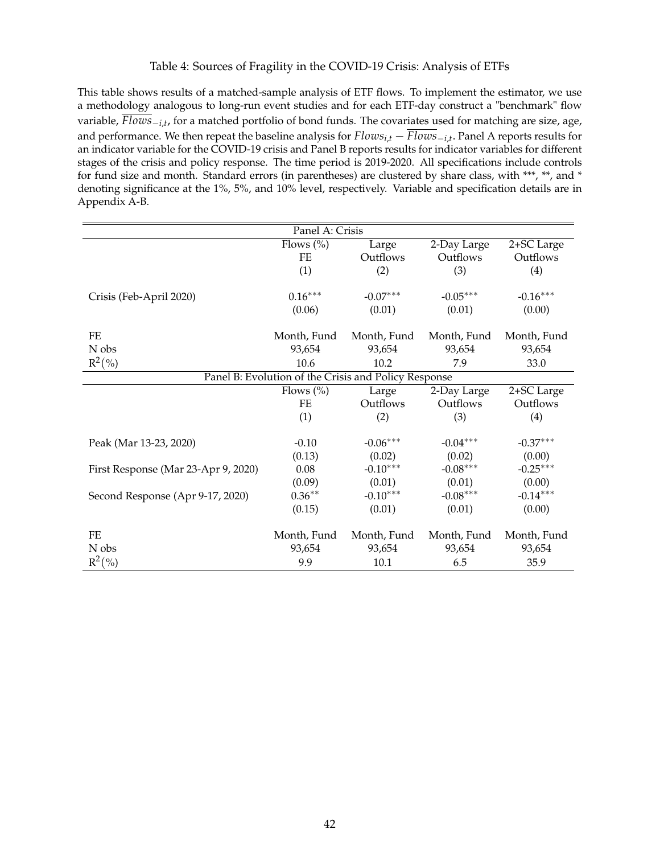# Table 4: Sources of Fragility in the COVID-19 Crisis: Analysis of ETFs

This table shows results of a matched-sample analysis of ETF flows. To implement the estimator, we use a methodology analogous to long-run event studies and for each ETF-day construct a "benchmark" flow variable, *Flows*<sub>-*i*,*t*</sub>, for a matched portfolio of bond funds. The covariates used for matching are size, age, and performance. We then repeat the baseline analysis for  $Flows_{i,t} - Flows_{i,t}$ . Panel A reports results for an indicator variable for the COVID-19 crisis and Panel B reports results for indicator variables for different stages of the crisis and policy response. The time period is 2019-2020. All specifications include controls for fund size and month. Standard errors (in parentheses) are clustered by share class, with \*\*\*, \*\*, and \* denoting significance at the 1%, 5%, and 10% level, respectively. Variable and specification details are in Appendix A-B.

| Panel A: Crisis                                      |               |             |             |             |  |
|------------------------------------------------------|---------------|-------------|-------------|-------------|--|
|                                                      | Flows $(\% )$ | Large       | 2-Day Large | 2+SC Large  |  |
|                                                      | FE            | Outflows    | Outflows    | Outflows    |  |
|                                                      | (1)           | (2)         | (3)         | (4)         |  |
|                                                      |               |             |             |             |  |
| Crisis (Feb-April 2020)                              | $0.16***$     | $-0.07***$  | $-0.05***$  | $-0.16***$  |  |
|                                                      | (0.06)        | (0.01)      | (0.01)      | (0.00)      |  |
| FE                                                   | Month, Fund   | Month, Fund | Month, Fund | Month, Fund |  |
| N obs                                                | 93,654        | 93,654      | 93,654      | 93,654      |  |
| $R^2(\%)$                                            | 10.6          | 10.2        | 7.9         | 33.0        |  |
| Panel B: Evolution of the Crisis and Policy Response |               |             |             |             |  |
|                                                      | Flows $(\% )$ | Large       | 2-Day Large | 2+SC Large  |  |
|                                                      | <b>FE</b>     | Outflows    | Outflows    | Outflows    |  |
|                                                      | (1)           | (2)         | (3)         | (4)         |  |
|                                                      |               |             |             |             |  |
| Peak (Mar 13-23, 2020)                               | $-0.10$       | $-0.06***$  | $-0.04***$  | $-0.37***$  |  |
|                                                      | (0.13)        | (0.02)      | (0.02)      | (0.00)      |  |
| First Response (Mar 23-Apr 9, 2020)                  | 0.08          | $-0.10***$  | $-0.08***$  | $-0.25***$  |  |
|                                                      | (0.09)        | (0.01)      | (0.01)      | (0.00)      |  |
| Second Response (Apr 9-17, 2020)                     | $0.36***$     | $-0.10***$  | $-0.08***$  | $-0.14***$  |  |
|                                                      | (0.15)        | (0.01)      | (0.01)      | (0.00)      |  |
| FE                                                   | Month, Fund   | Month, Fund | Month, Fund | Month, Fund |  |
| N obs                                                | 93,654        | 93,654      | 93,654      | 93,654      |  |
| $R^2(\%)$                                            | 9.9           | 10.1        | 6.5         | 35.9        |  |
|                                                      |               |             |             |             |  |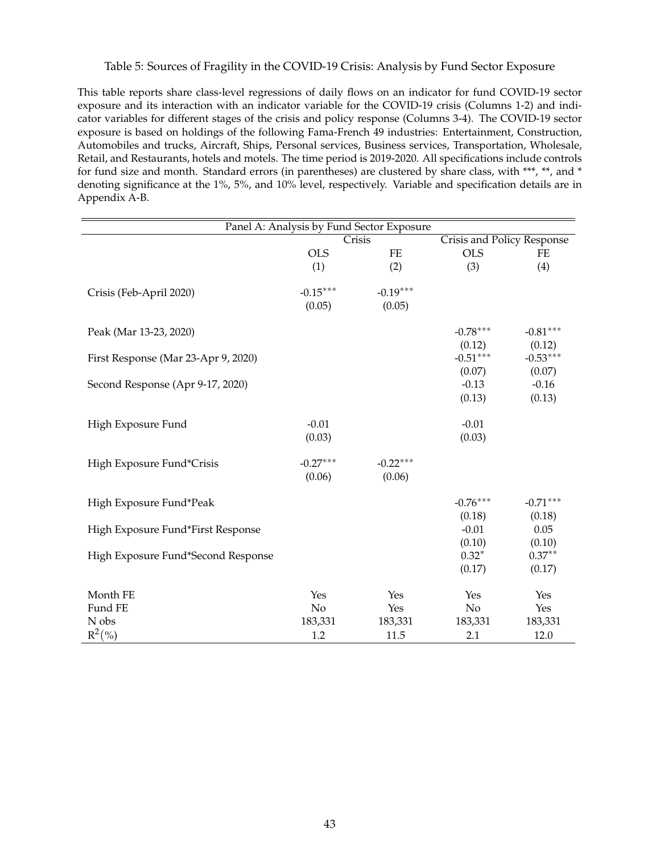## Table 5: Sources of Fragility in the COVID-19 Crisis: Analysis by Fund Sector Exposure

This table reports share class-level regressions of daily flows on an indicator for fund COVID-19 sector exposure and its interaction with an indicator variable for the COVID-19 crisis (Columns 1-2) and indicator variables for different stages of the crisis and policy response (Columns 3-4). The COVID-19 sector exposure is based on holdings of the following Fama-French 49 industries: Entertainment, Construction, Automobiles and trucks, Aircraft, Ships, Personal services, Business services, Transportation, Wholesale, Retail, and Restaurants, hotels and motels. The time period is 2019-2020. All specifications include controls for fund size and month. Standard errors (in parentheses) are clustered by share class, with \*\*\*, \*\*, and \* denoting significance at the 1%, 5%, and 10% level, respectively. Variable and specification details are in Appendix A-B.

|                                     | Panel A: Analysis by Fund Sector Exposure |            |                            |            |  |  |  |
|-------------------------------------|-------------------------------------------|------------|----------------------------|------------|--|--|--|
|                                     |                                           | Crisis     | Crisis and Policy Response |            |  |  |  |
|                                     | <b>OLS</b>                                | FE         | <b>OLS</b>                 | FE         |  |  |  |
|                                     | (1)                                       | (2)        | (3)                        | (4)        |  |  |  |
|                                     |                                           |            |                            |            |  |  |  |
| Crisis (Feb-April 2020)             | $-0.15***$                                | $-0.19***$ |                            |            |  |  |  |
|                                     | (0.05)                                    | (0.05)     |                            |            |  |  |  |
| Peak (Mar 13-23, 2020)              |                                           |            | $-0.78***$                 | $-0.81***$ |  |  |  |
|                                     |                                           |            | (0.12)                     | (0.12)     |  |  |  |
| First Response (Mar 23-Apr 9, 2020) |                                           |            | $-0.51***$                 | $-0.53***$ |  |  |  |
|                                     |                                           |            | (0.07)                     | (0.07)     |  |  |  |
| Second Response (Apr 9-17, 2020)    |                                           |            | $-0.13$                    | $-0.16$    |  |  |  |
|                                     |                                           |            | (0.13)                     | (0.13)     |  |  |  |
|                                     |                                           |            |                            |            |  |  |  |
| High Exposure Fund                  | $-0.01$                                   |            | $-0.01$                    |            |  |  |  |
|                                     | (0.03)                                    |            | (0.03)                     |            |  |  |  |
|                                     |                                           |            |                            |            |  |  |  |
| High Exposure Fund*Crisis           | $-0.27***$                                | $-0.22***$ |                            |            |  |  |  |
|                                     | (0.06)                                    | (0.06)     |                            |            |  |  |  |
| High Exposure Fund*Peak             |                                           |            | $-0.76***$                 | $-0.71***$ |  |  |  |
|                                     |                                           |            | (0.18)                     | (0.18)     |  |  |  |
| High Exposure Fund*First Response   |                                           |            | $-0.01$                    | 0.05       |  |  |  |
|                                     |                                           |            | (0.10)                     | (0.10)     |  |  |  |
| High Exposure Fund*Second Response  |                                           |            | $0.32*$                    | $0.37**$   |  |  |  |
|                                     |                                           |            | (0.17)                     | (0.17)     |  |  |  |
|                                     |                                           |            |                            |            |  |  |  |
| Month FE                            | Yes                                       | Yes        | Yes                        | Yes        |  |  |  |
| Fund FE                             | N <sub>o</sub>                            | Yes        | No                         | Yes        |  |  |  |
| N obs                               | 183,331                                   | 183,331    | 183,331                    | 183,331    |  |  |  |
| $R^2(\%)$                           | 1.2                                       | 11.5       | 2.1                        | 12.0       |  |  |  |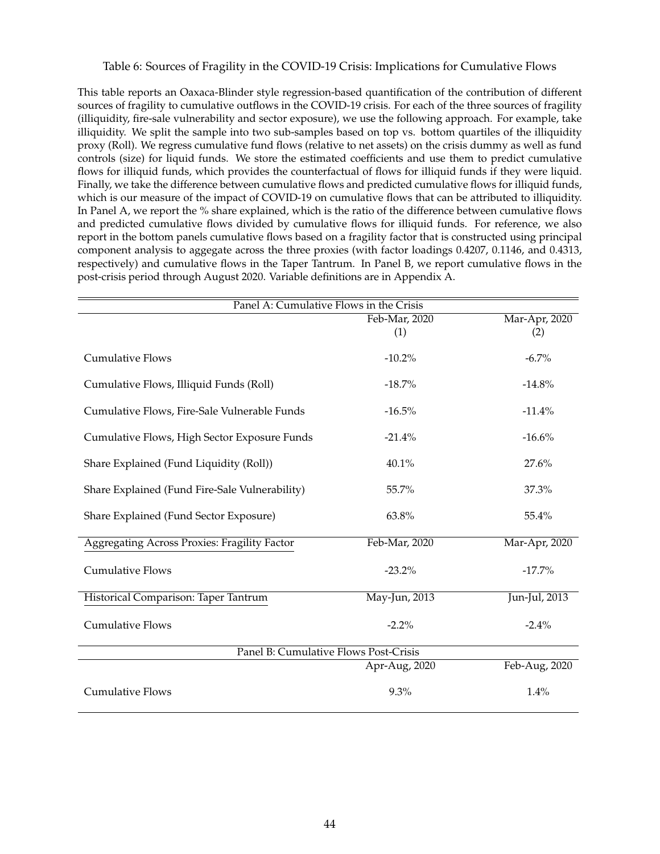#### Table 6: Sources of Fragility in the COVID-19 Crisis: Implications for Cumulative Flows

This table reports an Oaxaca-Blinder style regression-based quantification of the contribution of different sources of fragility to cumulative outflows in the COVID-19 crisis. For each of the three sources of fragility (illiquidity, fire-sale vulnerability and sector exposure), we use the following approach. For example, take illiquidity. We split the sample into two sub-samples based on top vs. bottom quartiles of the illiquidity proxy (Roll). We regress cumulative fund flows (relative to net assets) on the crisis dummy as well as fund controls (size) for liquid funds. We store the estimated coefficients and use them to predict cumulative flows for illiquid funds, which provides the counterfactual of flows for illiquid funds if they were liquid. Finally, we take the difference between cumulative flows and predicted cumulative flows for illiquid funds, which is our measure of the impact of COVID-19 on cumulative flows that can be attributed to illiquidity. In Panel A, we report the % share explained, which is the ratio of the difference between cumulative flows and predicted cumulative flows divided by cumulative flows for illiquid funds. For reference, we also report in the bottom panels cumulative flows based on a fragility factor that is constructed using principal component analysis to aggegate across the three proxies (with factor loadings 0.4207, 0.1146, and 0.4313, respectively) and cumulative flows in the Taper Tantrum. In Panel B, we report cumulative flows in the post-crisis period through August 2020. Variable definitions are in Appendix A.

| Panel A: Cumulative Flows in the Crisis             |               |               |  |  |  |  |
|-----------------------------------------------------|---------------|---------------|--|--|--|--|
|                                                     | Feb-Mar, 2020 | Mar-Apr, 2020 |  |  |  |  |
|                                                     | (1)           | (2)           |  |  |  |  |
| <b>Cumulative Flows</b>                             | $-10.2\%$     | $-6.7\%$      |  |  |  |  |
| Cumulative Flows, Illiquid Funds (Roll)             | $-18.7\%$     | $-14.8%$      |  |  |  |  |
| Cumulative Flows, Fire-Sale Vulnerable Funds        | $-16.5%$      | $-11.4%$      |  |  |  |  |
| Cumulative Flows, High Sector Exposure Funds        | $-21.4%$      | $-16.6%$      |  |  |  |  |
| Share Explained (Fund Liquidity (Roll))             | 40.1%         | 27.6%         |  |  |  |  |
| Share Explained (Fund Fire-Sale Vulnerability)      | 55.7%         | 37.3%         |  |  |  |  |
| Share Explained (Fund Sector Exposure)              | 63.8%         | 55.4%         |  |  |  |  |
| <b>Aggregating Across Proxies: Fragility Factor</b> | Feb-Mar, 2020 | Mar-Apr, 2020 |  |  |  |  |
| <b>Cumulative Flows</b>                             | $-23.2\%$     | $-17.7%$      |  |  |  |  |
| Historical Comparison: Taper Tantrum                | May-Jun, 2013 | Jun-Jul, 2013 |  |  |  |  |
| <b>Cumulative Flows</b>                             | $-2.2%$       | $-2.4%$       |  |  |  |  |
| Panel B: Cumulative Flows Post-Crisis               |               |               |  |  |  |  |
|                                                     | Apr-Aug, 2020 | Feb-Aug, 2020 |  |  |  |  |
|                                                     |               |               |  |  |  |  |
| <b>Cumulative Flows</b>                             | 9.3%          | 1.4%          |  |  |  |  |
|                                                     |               |               |  |  |  |  |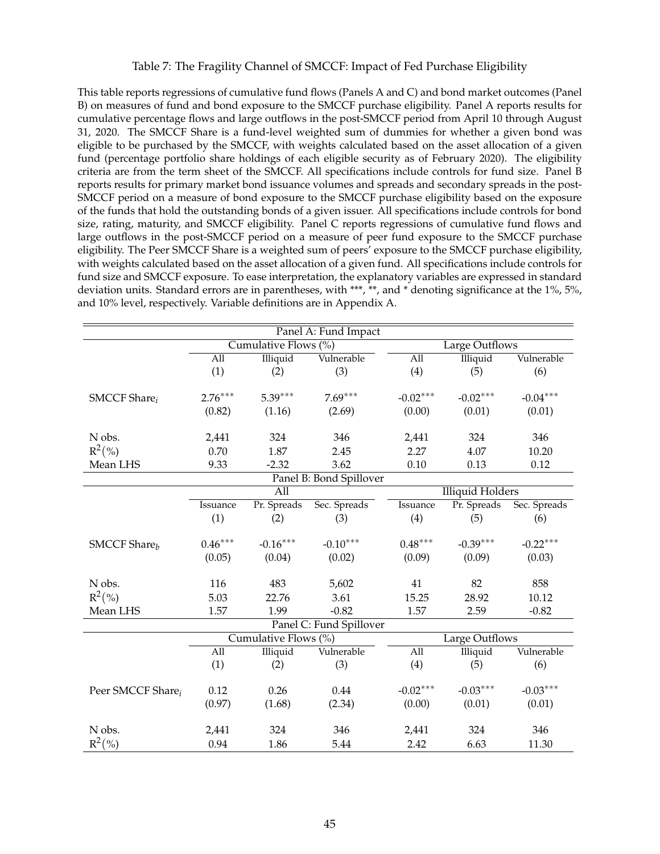## Table 7: The Fragility Channel of SMCCF: Impact of Fed Purchase Eligibility

This table reports regressions of cumulative fund flows (Panels A and C) and bond market outcomes (Panel B) on measures of fund and bond exposure to the SMCCF purchase eligibility. Panel A reports results for cumulative percentage flows and large outflows in the post-SMCCF period from April 10 through August 31, 2020. The SMCCF Share is a fund-level weighted sum of dummies for whether a given bond was eligible to be purchased by the SMCCF, with weights calculated based on the asset allocation of a given fund (percentage portfolio share holdings of each eligible security as of February 2020). The eligibility criteria are from the term sheet of the SMCCF. All specifications include controls for fund size. Panel B reports results for primary market bond issuance volumes and spreads and secondary spreads in the post-SMCCF period on a measure of bond exposure to the SMCCF purchase eligibility based on the exposure of the funds that hold the outstanding bonds of a given issuer. All specifications include controls for bond size, rating, maturity, and SMCCF eligibility. Panel C reports regressions of cumulative fund flows and large outflows in the post-SMCCF period on a measure of peer fund exposure to the SMCCF purchase eligibility. The Peer SMCCF Share is a weighted sum of peers' exposure to the SMCCF purchase eligibility, with weights calculated based on the asset allocation of a given fund. All specifications include controls for fund size and SMCCF exposure. To ease interpretation, the explanatory variables are expressed in standard deviation units. Standard errors are in parentheses, with \*\*\*, \*\*, and \* denoting significance at the 1%, 5%, and 10% level, respectively. Variable definitions are in Appendix A.

| Panel A: Fund Impact            |                  |                      |                         |                  |                         |              |
|---------------------------------|------------------|----------------------|-------------------------|------------------|-------------------------|--------------|
|                                 |                  | Cumulative Flows (%) |                         |                  | Large Outflows          |              |
|                                 | $\overline{All}$ | <b>Illiquid</b>      | Vulnerable              | All              | Illiquid                | Vulnerable   |
|                                 | (1)              | (2)                  | (3)                     | (4)              | (5)                     | (6)          |
|                                 |                  |                      |                         |                  |                         |              |
| <b>SMCCF</b> Share <sub>i</sub> | $2.76***$        | $5.39***$            | $7.69***$               | $-0.02***$       | $-0.02***$              | $-0.04***$   |
|                                 | (0.82)           | (1.16)               | (2.69)                  | (0.00)           | (0.01)                  | (0.01)       |
|                                 |                  |                      |                         |                  |                         |              |
| N obs.                          | 2,441            | 324                  | 346                     | 2,441            | 324                     | 346          |
| $R^2(\% )$                      | 0.70             | 1.87                 | 2.45                    | 2.27             | 4.07                    | 10.20        |
| Mean LHS                        | 9.33             | $-2.32$              | 3.62                    | 0.10             | 0.13                    | 0.12         |
|                                 |                  |                      | Panel B: Bond Spillover |                  |                         |              |
|                                 |                  | All                  |                         |                  | <b>Illiquid Holders</b> |              |
|                                 | Issuance         | Pr. Spreads          | Sec. Spreads            | Issuance         | Pr. Spreads             | Sec. Spreads |
|                                 | (1)              | (2)                  | (3)                     | (4)              | (5)                     | (6)          |
|                                 |                  |                      |                         |                  |                         |              |
| <b>SMCCF</b> Share <sub>b</sub> | $0.46***$        | $-0.16***$           | $-0.10***$              | $0.48***$        | $-0.39***$              | $-0.22***$   |
|                                 | (0.05)           | (0.04)               | (0.02)                  | (0.09)           | (0.09)                  | (0.03)       |
|                                 |                  |                      |                         |                  |                         |              |
| N obs.                          | 116              | 483                  | 5,602                   | 41               | 82                      | 858          |
| $R^2(\% )$                      | 5.03             | 22.76                | 3.61                    | 15.25            | 28.92                   | 10.12        |
| Mean LHS                        | 1.57             | 1.99                 | $-0.82$                 | 1.57             | 2.59                    | $-0.82$      |
|                                 |                  |                      | Panel C: Fund Spillover |                  |                         |              |
|                                 |                  | Cumulative Flows (%) |                         |                  | Large Outflows          |              |
|                                 | All              | <b>Illiquid</b>      | Vulnerable              | $\overline{All}$ | Illiquid                | Vulnerable   |
|                                 | (1)              | (2)                  | (3)                     | (4)              | (5)                     | (6)          |
|                                 |                  |                      |                         |                  |                         |              |
| Peer SMCCF Share <sub>i</sub>   | 0.12             | 0.26                 | 0.44                    | $-0.02***$       | $-0.03***$              | $-0.03***$   |
|                                 | (0.97)           | (1.68)               | (2.34)                  | (0.00)           | (0.01)                  | (0.01)       |
|                                 |                  |                      |                         |                  |                         |              |
| N obs.                          | 2,441            | 324                  | 346                     | 2,441            | 324                     | 346          |
| $R^2(\%)$                       | 0.94             | 1.86                 | 5.44                    | 2.42             | 6.63                    | 11.30        |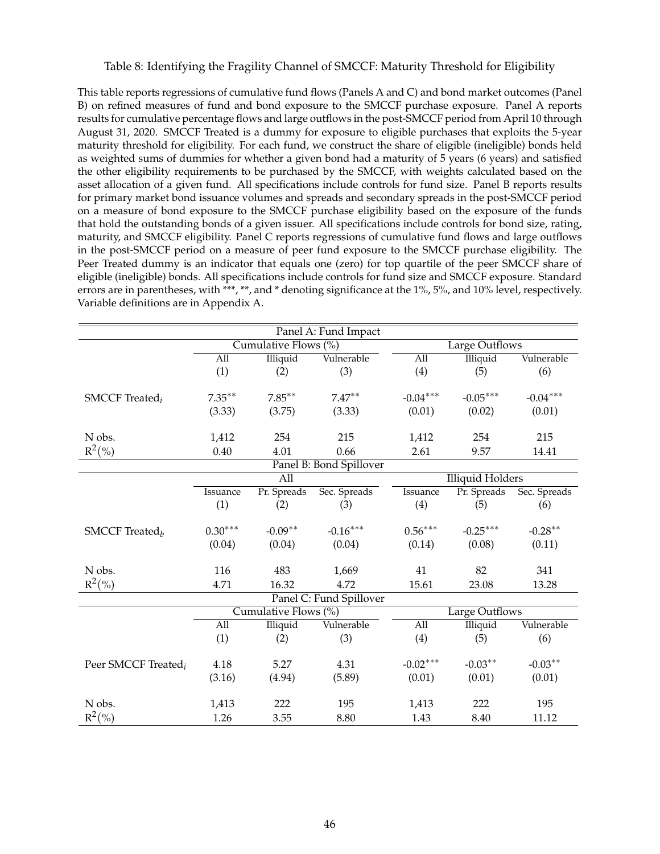#### Table 8: Identifying the Fragility Channel of SMCCF: Maturity Threshold for Eligibility

This table reports regressions of cumulative fund flows (Panels A and C) and bond market outcomes (Panel B) on refined measures of fund and bond exposure to the SMCCF purchase exposure. Panel A reports results for cumulative percentage flows and large outflows in the post-SMCCF period from April 10 through August 31, 2020. SMCCF Treated is a dummy for exposure to eligible purchases that exploits the 5-year maturity threshold for eligibility. For each fund, we construct the share of eligible (ineligible) bonds held as weighted sums of dummies for whether a given bond had a maturity of 5 years (6 years) and satisfied the other eligibility requirements to be purchased by the SMCCF, with weights calculated based on the asset allocation of a given fund. All specifications include controls for fund size. Panel B reports results for primary market bond issuance volumes and spreads and secondary spreads in the post-SMCCF period on a measure of bond exposure to the SMCCF purchase eligibility based on the exposure of the funds that hold the outstanding bonds of a given issuer. All specifications include controls for bond size, rating, maturity, and SMCCF eligibility. Panel C reports regressions of cumulative fund flows and large outflows in the post-SMCCF period on a measure of peer fund exposure to the SMCCF purchase eligibility. The Peer Treated dummy is an indicator that equals one (zero) for top quartile of the peer SMCCF share of eligible (ineligible) bonds. All specifications include controls for fund size and SMCCF exposure. Standard errors are in parentheses, with \*\*\*, \*\*, and \* denoting significance at the 1%, 5%, and 10% level, respectively. Variable definitions are in Appendix A.

| Panel A: Fund Impact              |                         |                      |                         |                  |                         |              |
|-----------------------------------|-------------------------|----------------------|-------------------------|------------------|-------------------------|--------------|
|                                   |                         | Cumulative Flows (%) |                         |                  | Large Outflows          |              |
|                                   | All                     | Illiquid             | Vulnerable              | All              | Illiquid                | Vulnerable   |
|                                   | (1)                     | (2)                  | (3)                     | (4)              | (5)                     | (6)          |
|                                   |                         |                      |                         |                  |                         |              |
| <b>SMCCF</b> Treated <sub>i</sub> | $7.35***$               | $7.85***$            | $7.47***$               | $-0.04***$       | $-0.05***$              | $-0.04***$   |
|                                   | (3.33)                  | (3.75)               | (3.33)                  | (0.01)           | (0.02)                  | (0.01)       |
|                                   |                         |                      |                         |                  |                         |              |
| N obs.                            | 1,412                   | 254                  | 215                     | 1,412            | 254                     | 215          |
| $R^2(\% )$                        | 0.40                    | 4.01                 | 0.66                    | 2.61             | 9.57                    | 14.41        |
|                                   | Panel B: Bond Spillover |                      |                         |                  |                         |              |
|                                   | $\overline{All}$        |                      |                         |                  | <b>Illiquid Holders</b> |              |
|                                   | Issuance                | Pr. Spreads          | Sec. Spreads            | Issuance         | Pr. Spreads             | Sec. Spreads |
|                                   | (1)                     | (2)                  | (3)                     | (4)              | (5)                     | (6)          |
|                                   |                         |                      |                         |                  |                         |              |
| SMCCF Treated $_h$                | $0.30***$               | $-0.09**$            | $-0.16***$              | $0.56***$        | $-0.25***$              | $-0.28**$    |
|                                   | (0.04)                  | (0.04)               | (0.04)                  | (0.14)           | (0.08)                  | (0.11)       |
|                                   |                         |                      |                         |                  |                         |              |
| N obs.                            | 116                     | 483                  | 1,669                   | 41               | 82                      | 341          |
| $R^2(\%)$                         | 4.71                    | 16.32                | 4.72                    | 15.61            | 23.08                   | 13.28        |
|                                   |                         |                      | Panel C: Fund Spillover |                  |                         |              |
|                                   |                         | Cumulative Flows (%) |                         |                  | Large Outflows          |              |
|                                   | All                     | Illiquid             | Vulnerable              | $\overline{All}$ | <b>Illiquid</b>         | Vulnerable   |
|                                   | (1)                     | (2)                  | (3)                     | (4)              | (5)                     | (6)          |
|                                   |                         |                      |                         |                  |                         |              |
| Peer SMCCF Treated <sub>i</sub>   | 4.18                    | 5.27                 | 4.31                    | $-0.02***$       | $-0.03**$               | $-0.03**$    |
|                                   | (3.16)                  | (4.94)               | (5.89)                  | (0.01)           | (0.01)                  | (0.01)       |
|                                   |                         |                      |                         |                  |                         |              |
| N obs.                            | 1,413                   | 222                  | 195                     | 1,413            | 222                     | 195          |
| $R^2({\%})$                       | 1.26                    | 3.55                 | 8.80                    | 1.43             | 8.40                    | 11.12        |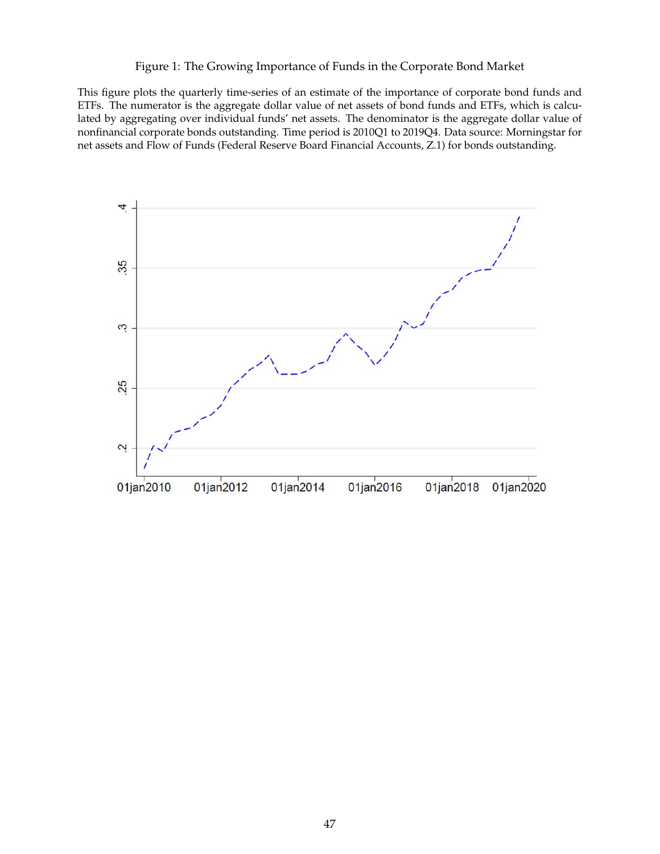#### Figure 1: The Growing Importance of Funds in the Corporate Bond Market

This figure plots the quarterly time-series of an estimate of the importance of corporate bond funds and ETFs. The numerator is the aggregate dollar value of net assets of bond funds and ETFs, which is calculated by aggregating over individual funds' net assets. The denominator is the aggregate dollar value of nonfinancial corporate bonds outstanding. Time period is 2010Q1 to 2019Q4. Data source: Morningstar for net assets and Flow of Funds (Federal Reserve Board Financial Accounts, Z.1) for bonds outstanding.

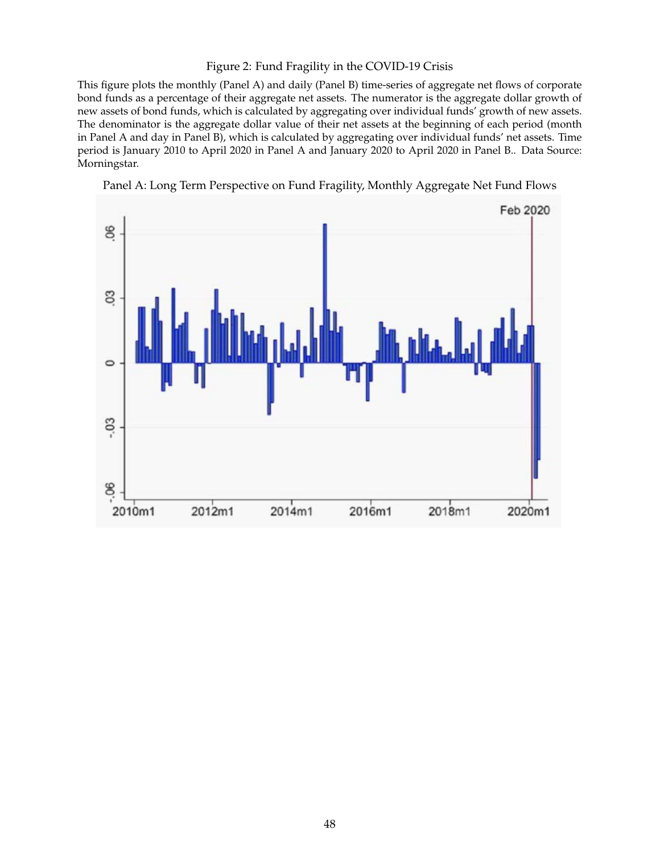#### Figure 2: Fund Fragility in the COVID-19 Crisis

This figure plots the monthly (Panel A) and daily (Panel B) time-series of aggregate net flows of corporate bond funds as a percentage of their aggregate net assets. The numerator is the aggregate dollar growth of new assets of bond funds, which is calculated by aggregating over individual funds' growth of new assets. The denominator is the aggregate dollar value of their net assets at the beginning of each period (month in Panel A and day in Panel B), which is calculated by aggregating over individual funds' net assets. Time period is January 2010 to April 2020 in Panel A and January 2020 to April 2020 in Panel B.. Data Source: Morningstar.



Panel A: Long Term Perspective on Fund Fragility, Monthly Aggregate Net Fund Flows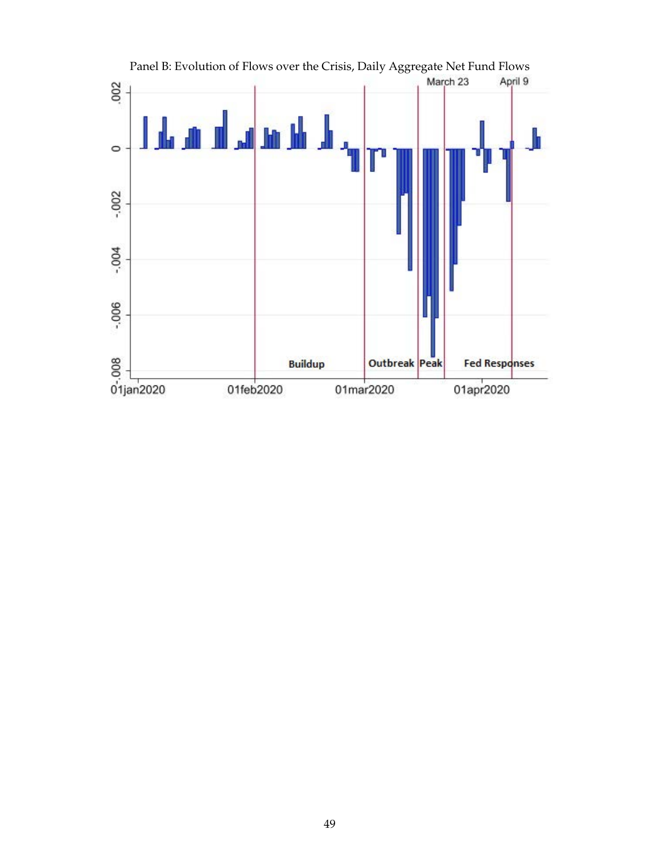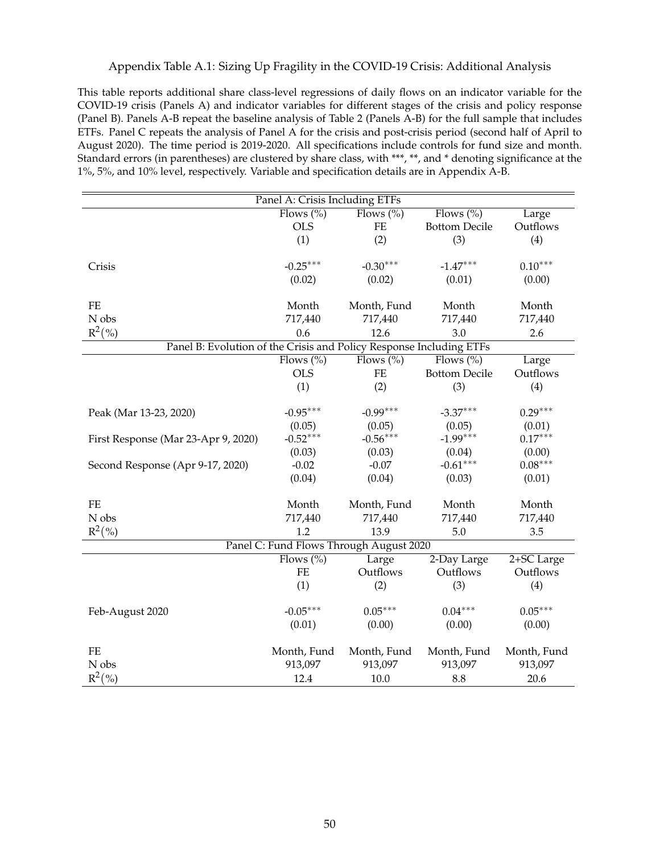## Appendix Table A.1: Sizing Up Fragility in the COVID-19 Crisis: Additional Analysis

This table reports additional share class-level regressions of daily flows on an indicator variable for the COVID-19 crisis (Panels A) and indicator variables for different stages of the crisis and policy response (Panel B). Panels A-B repeat the baseline analysis of Table 2 (Panels A-B) for the full sample that includes ETFs. Panel C repeats the analysis of Panel A for the crisis and post-crisis period (second half of April to August 2020). The time period is 2019-2020. All specifications include controls for fund size and month. Standard errors (in parentheses) are clustered by share class, with \*\*\*, \*\*, and \* denoting significance at the 1%, 5%, and 10% level, respectively. Variable and specification details are in Appendix A-B.

| Panel A: Crisis Including ETFs                                      |                        |                                         |                      |                        |  |
|---------------------------------------------------------------------|------------------------|-----------------------------------------|----------------------|------------------------|--|
|                                                                     | Flows $(\%)$           | $\overline{\text{Flows }(\%)}$          | Flows $(\%)$         | Large                  |  |
|                                                                     | <b>OLS</b>             | <b>FE</b>                               | <b>Bottom Decile</b> | Outflows               |  |
|                                                                     | (1)                    | (2)                                     | (3)                  | (4)                    |  |
|                                                                     |                        |                                         |                      |                        |  |
| Crisis                                                              | $-0.25***$             | $-0.30***$                              | $-1.47***$           | $0.10***$              |  |
|                                                                     | (0.02)                 | (0.02)                                  | (0.01)               | (0.00)                 |  |
|                                                                     |                        |                                         |                      |                        |  |
| FE                                                                  | Month                  | Month, Fund                             | Month                | Month                  |  |
| N obs                                                               | 717,440                | 717,440                                 | 717,440              | 717,440                |  |
| $R^2(\%)$                                                           | 0.6                    | 12.6                                    | 3.0                  | 2.6                    |  |
| Panel B: Evolution of the Crisis and Policy Response Including ETFs |                        |                                         |                      |                        |  |
|                                                                     | Flows $(\%)$           | Flows $\sqrt[6]{\circ}$                 | Flows $(\% )$        | Large                  |  |
|                                                                     | <b>OLS</b>             | $FE$                                    | <b>Bottom Decile</b> | Outflows               |  |
|                                                                     | (1)                    | (2)                                     | (3)                  | (4)                    |  |
|                                                                     |                        |                                         |                      |                        |  |
| Peak (Mar 13-23, 2020)                                              | $-0.95***$             | $-0.99***$                              | $-3.37***$           | $0.29***$              |  |
|                                                                     | (0.05)                 | (0.05)                                  | (0.05)               | (0.01)                 |  |
| First Response (Mar 23-Apr 9, 2020)                                 | $-0.52***$             | $-0.56***$                              | $-1.99***$           | $0.17***$              |  |
|                                                                     | (0.03)                 | (0.03)                                  | (0.04)               | (0.00)                 |  |
| Second Response (Apr 9-17, 2020)                                    | $-0.02$                | $-0.07$                                 | $-0.61***$           | $0.08***$              |  |
|                                                                     | (0.04)                 | (0.04)                                  | (0.03)               | (0.01)                 |  |
|                                                                     |                        |                                         |                      |                        |  |
| $FE$                                                                | Month                  | Month, Fund                             | Month                | Month                  |  |
| N obs                                                               | 717,440                | 717,440                                 | 717,440              | 717,440                |  |
| $R^2(\% )$                                                          | 1.2                    | 13.9                                    | 5.0                  | 3.5                    |  |
|                                                                     |                        | Panel C: Fund Flows Through August 2020 |                      |                        |  |
|                                                                     | Flows $(\%)$           | Large                                   | 2-Day Large          | 2+SC Large             |  |
|                                                                     | $FE$                   | Outflows                                | Outflows             | Outflows               |  |
|                                                                     | (1)                    | (2)                                     | (3)                  | (4)                    |  |
|                                                                     | $-0.05***$             | $0.05***$                               | $0.04***$            | $0.05***$              |  |
| Feb-August 2020                                                     |                        |                                         |                      |                        |  |
|                                                                     | (0.01)                 | (0.00)                                  | (0.00)               | (0.00)                 |  |
| <b>FE</b>                                                           |                        |                                         |                      |                        |  |
| N obs                                                               | Month, Fund<br>913,097 | Month, Fund                             | Month, Fund          | Month, Fund<br>913,097 |  |
|                                                                     |                        | 913,097                                 | 913,097              |                        |  |
| $R^2(\% )$                                                          | 12.4                   | 10.0                                    | 8.8                  | 20.6                   |  |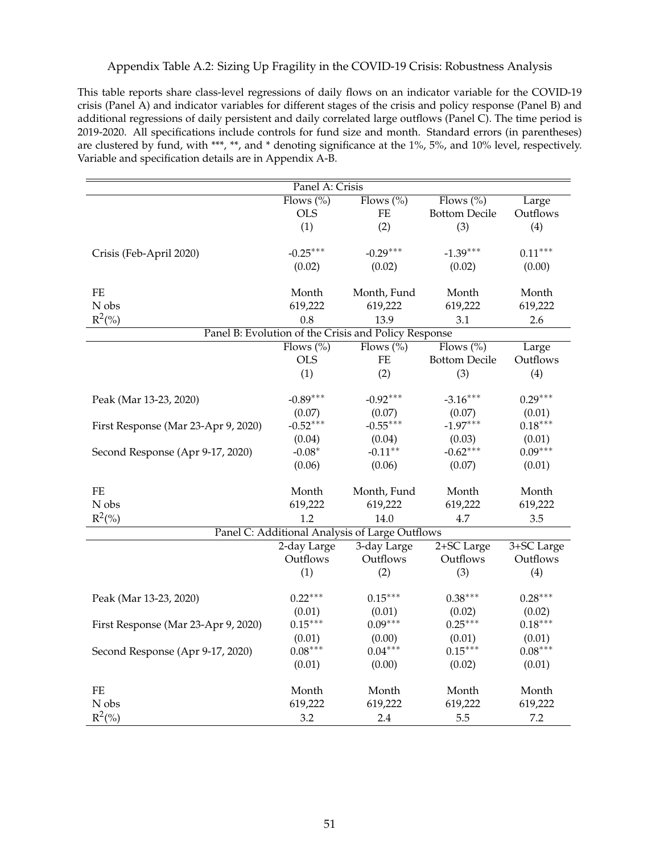## Appendix Table A.2: Sizing Up Fragility in the COVID-19 Crisis: Robustness Analysis

This table reports share class-level regressions of daily flows on an indicator variable for the COVID-19 crisis (Panel A) and indicator variables for different stages of the crisis and policy response (Panel B) and additional regressions of daily persistent and daily correlated large outflows (Panel C). The time period is 2019-2020. All specifications include controls for fund size and month. Standard errors (in parentheses) are clustered by fund, with \*\*\*, \*\*, and \* denoting significance at the 1%, 5%, and 10% level, respectively. Variable and specification details are in Appendix A-B.

| Panel A: Crisis                     |              |                                                      |                      |            |  |
|-------------------------------------|--------------|------------------------------------------------------|----------------------|------------|--|
|                                     | Flows $(\%)$ | Flows $(\%)$                                         | Flows $(\% )$        | Large      |  |
|                                     | <b>OLS</b>   | $\rm FE$                                             | <b>Bottom Decile</b> | Outflows   |  |
|                                     | (1)          | (2)                                                  | (3)                  | (4)        |  |
|                                     |              |                                                      |                      |            |  |
| Crisis (Feb-April 2020)             | $-0.25***$   | $-0.29***$                                           | $-1.39***$           | $0.11***$  |  |
|                                     | (0.02)       | (0.02)                                               | (0.02)               | (0.00)     |  |
|                                     |              |                                                      |                      |            |  |
| $\rm FE$                            | Month        | Month, Fund                                          | Month                | Month      |  |
| N obs                               | 619,222      | 619,222                                              | 619,222              | 619,222    |  |
| $R^2(\%)$                           | 0.8          | 13.9                                                 | 3.1                  | 2.6        |  |
|                                     |              | Panel B: Evolution of the Crisis and Policy Response |                      |            |  |
|                                     | Flows $(\%)$ | Flows $(\%)$                                         | Flows $(\%)$         | Large      |  |
|                                     | <b>OLS</b>   | $\rm FE$                                             | <b>Bottom Decile</b> | Outflows   |  |
|                                     | (1)          | (2)                                                  | (3)                  | (4)        |  |
|                                     |              |                                                      |                      |            |  |
| Peak (Mar 13-23, 2020)              | $-0.89***$   | $-0.92***$                                           | $-3.16***$           | $0.29***$  |  |
|                                     | (0.07)       | (0.07)                                               | (0.07)               | (0.01)     |  |
| First Response (Mar 23-Apr 9, 2020) | $-0.52***$   | $-0.55***$                                           | $-1.97***$           | $0.18***$  |  |
|                                     | (0.04)       | (0.04)                                               | (0.03)               | (0.01)     |  |
| Second Response (Apr 9-17, 2020)    | $-0.08*$     | $-0.11**$                                            | $-0.62***$           | $0.09***$  |  |
|                                     | (0.06)       | (0.06)                                               | (0.07)               | (0.01)     |  |
|                                     |              |                                                      |                      |            |  |
| FE                                  | Month        | Month, Fund                                          | Month                | Month      |  |
| N obs                               | 619,222      | 619,222                                              | 619,222              | 619,222    |  |
| $R^2(\%)$                           | 1.2          | 14.0                                                 | 4.7                  | 3.5        |  |
|                                     |              | Panel C: Additional Analysis of Large Outflows       |                      |            |  |
|                                     | 2-day Large  | 3-day Large                                          | 2+SC Large           | 3+SC Large |  |
|                                     | Outflows     | Outflows                                             | Outflows             | Outflows   |  |
|                                     | (1)          | (2)                                                  | (3)                  | (4)        |  |
|                                     |              |                                                      |                      |            |  |
| Peak (Mar 13-23, 2020)              | $0.22***$    | $0.15***$                                            | $0.38***$            | $0.28***$  |  |
|                                     | (0.01)       | (0.01)                                               | (0.02)               | (0.02)     |  |
| First Response (Mar 23-Apr 9, 2020) | $0.15***$    | $0.09***$                                            | $0.25***$            | $0.18***$  |  |
|                                     | (0.01)       | (0.00)                                               | (0.01)               | (0.01)     |  |
| Second Response (Apr 9-17, 2020)    | $0.08***$    | $0.04***$                                            | $0.15***$            | $0.08***$  |  |
|                                     | (0.01)       | (0.00)                                               | (0.02)               | (0.01)     |  |
|                                     |              |                                                      |                      |            |  |
| FE                                  | Month        | Month                                                | Month                | Month      |  |
| N obs                               | 619,222      | 619,222                                              | 619,222              | 619,222    |  |
| $R^2$ (%)                           | 3.2          | 2.4                                                  | 5.5                  | 7.2        |  |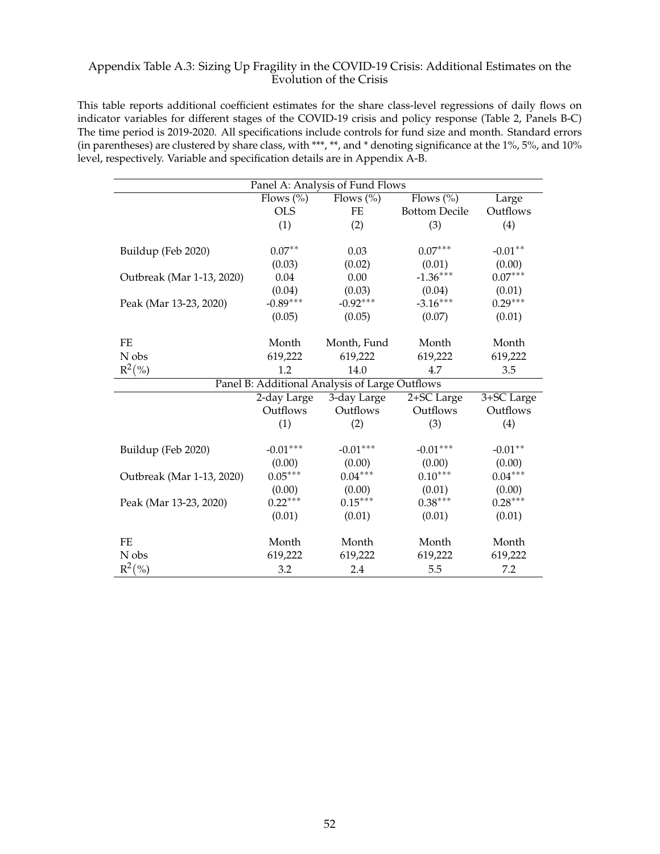## Appendix Table A.3: Sizing Up Fragility in the COVID-19 Crisis: Additional Estimates on the Evolution of the Crisis

This table reports additional coefficient estimates for the share class-level regressions of daily flows on indicator variables for different stages of the COVID-19 crisis and policy response (Table 2, Panels B-C) The time period is 2019-2020. All specifications include controls for fund size and month. Standard errors (in parentheses) are clustered by share class, with \*\*\*, \*\*, and \* denoting significance at the 1%, 5%, and 10% level, respectively. Variable and specification details are in Appendix A-B.

| Panel A: Analysis of Fund Flows |                                  |                                                |                      |            |  |  |
|---------------------------------|----------------------------------|------------------------------------------------|----------------------|------------|--|--|
|                                 | Flows $\left(\frac{0}{0}\right)$ | Flows $(\%)$                                   | Flows $(\%)$         | Large      |  |  |
|                                 | <b>OLS</b>                       | FE                                             | <b>Bottom Decile</b> | Outflows   |  |  |
|                                 | (1)                              | (2)                                            | (3)                  | (4)        |  |  |
|                                 |                                  |                                                |                      |            |  |  |
| Buildup (Feb 2020)              | $0.07**$                         | 0.03                                           | $0.07***$            | $-0.01**$  |  |  |
|                                 | (0.03)                           | (0.02)                                         | (0.01)               | (0.00)     |  |  |
| Outbreak (Mar 1-13, 2020)       | 0.04                             | 0.00                                           | $-1.36***$           | $0.07***$  |  |  |
|                                 | (0.04)                           | (0.03)                                         | (0.04)               | (0.01)     |  |  |
| Peak (Mar 13-23, 2020)          | $-0.89***$                       | $-0.92***$                                     | $-3.16***$           | $0.29***$  |  |  |
|                                 | (0.05)                           | (0.05)                                         | (0.07)               | (0.01)     |  |  |
|                                 |                                  |                                                |                      |            |  |  |
| $\rm FE$                        | Month                            | Month, Fund                                    | Month                | Month      |  |  |
| N obs                           | 619,222                          | 619,222                                        | 619,222              | 619,222    |  |  |
| $R^2(\%)$                       | 1.2                              | 14.0                                           | 4.7                  | 3.5        |  |  |
|                                 |                                  | Panel B: Additional Analysis of Large Outflows |                      |            |  |  |
|                                 | 2-day Large                      | 3-day Large                                    | 2+SC Large           | 3+SC Large |  |  |
|                                 | Outflows                         | Outflows                                       | Outflows             | Outflows   |  |  |
|                                 | (1)                              | (2)                                            | (3)                  | (4)        |  |  |
|                                 |                                  |                                                |                      |            |  |  |
| Buildup (Feb 2020)              | $-0.01***$                       | $-0.01***$                                     | $-0.01***$           | $-0.01**$  |  |  |
|                                 | (0.00)                           | (0.00)                                         | (0.00)               | (0.00)     |  |  |
| Outbreak (Mar 1-13, 2020)       | $0.05***$                        | $0.04***$                                      | $0.10***$            | $0.04***$  |  |  |
|                                 | (0.00)                           | (0.00)                                         | (0.01)               | (0.00)     |  |  |
| Peak (Mar 13-23, 2020)          | $0.22***$                        | $0.15***$                                      | $0.38***$            | $0.28***$  |  |  |
|                                 | (0.01)                           | (0.01)                                         | (0.01)               | (0.01)     |  |  |
|                                 |                                  |                                                |                      |            |  |  |
| <b>FE</b>                       | Month                            | Month                                          | Month                | Month      |  |  |
| N obs                           | 619,222                          | 619,222                                        | 619,222              | 619,222    |  |  |
| $R^2(\%)$                       | 3.2                              | 2.4                                            | 5.5                  | 7.2        |  |  |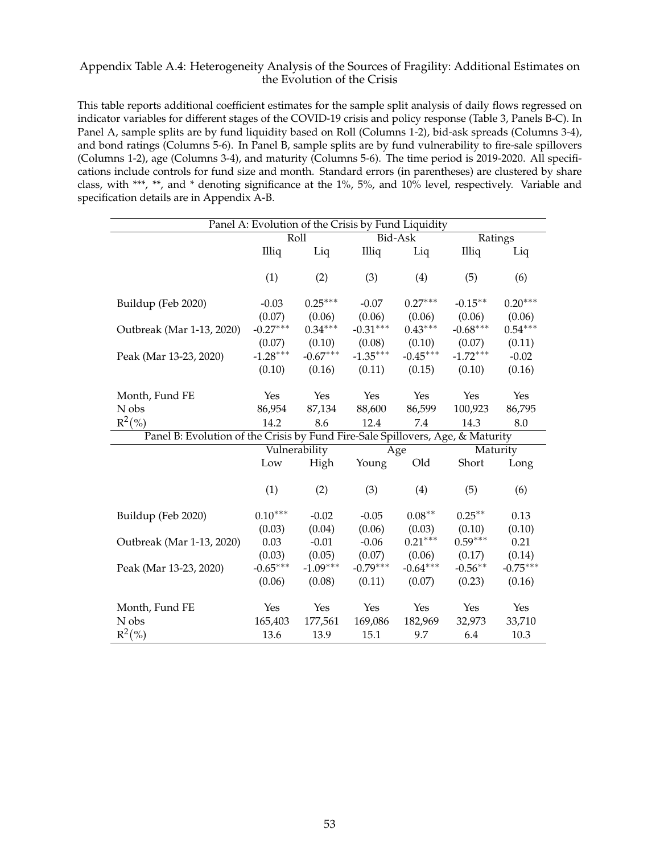### Appendix Table A.4: Heterogeneity Analysis of the Sources of Fragility: Additional Estimates on the Evolution of the Crisis

This table reports additional coefficient estimates for the sample split analysis of daily flows regressed on indicator variables for different stages of the COVID-19 crisis and policy response (Table 3, Panels B-C). In Panel A, sample splits are by fund liquidity based on Roll (Columns 1-2), bid-ask spreads (Columns 3-4), and bond ratings (Columns 5-6). In Panel B, sample splits are by fund vulnerability to fire-sale spillovers (Columns 1-2), age (Columns 3-4), and maturity (Columns 5-6). The time period is 2019-2020. All specifications include controls for fund size and month. Standard errors (in parentheses) are clustered by share class, with \*\*\*, \*\*, and \* denoting significance at the 1%, 5%, and 10% level, respectively. Variable and specification details are in Appendix A-B.

| Panel A: Evolution of the Crisis by Fund Liquidity                             |            |               |            |            |            |            |
|--------------------------------------------------------------------------------|------------|---------------|------------|------------|------------|------------|
|                                                                                | Roll       |               |            | Bid-Ask    | Ratings    |            |
|                                                                                | Illiq      | Liq           | Illiq      | Liq        | Illiq      | Liq        |
|                                                                                |            |               |            |            |            |            |
|                                                                                | (1)        | (2)           | (3)        | (4)        | (5)        | (6)        |
|                                                                                |            |               |            |            |            |            |
| Buildup (Feb 2020)                                                             | $-0.03$    | $0.25***$     | $-0.07$    | $0.27***$  | $-0.15***$ | $0.20***$  |
|                                                                                | (0.07)     | (0.06)        | (0.06)     | (0.06)     | (0.06)     | (0.06)     |
| Outbreak (Mar 1-13, 2020)                                                      | $-0.27***$ | $0.34***$     | $-0.31***$ | $0.43***$  | $-0.68***$ | $0.54***$  |
|                                                                                | (0.07)     | (0.10)        | (0.08)     | (0.10)     | (0.07)     | (0.11)     |
| Peak (Mar 13-23, 2020)                                                         | $-1.28***$ | $-0.67***$    | $-1.35***$ | $-0.45***$ | $-1.72***$ | $-0.02$    |
|                                                                                | (0.10)     | (0.16)        | (0.11)     | (0.15)     | (0.10)     | (0.16)     |
|                                                                                |            |               |            |            |            |            |
| Month, Fund FE                                                                 | Yes        | Yes           | Yes        | Yes        | Yes        | Yes        |
| N obs                                                                          | 86,954     | 87,134        | 88,600     | 86,599     | 100,923    | 86,795     |
| $R^2(\%)$                                                                      | 14.2       | 8.6           | 12.4       | 7.4        | 14.3       | 8.0        |
| Panel B: Evolution of the Crisis by Fund Fire-Sale Spillovers, Age, & Maturity |            |               |            |            |            |            |
|                                                                                |            | Vulnerability | Age        |            | Maturity   |            |
|                                                                                | Low        | High          | Young      | Old        | Short      | Long       |
|                                                                                |            |               |            |            |            |            |
|                                                                                | (1)        | (2)           | (3)        | (4)        | (5)        | (6)        |
|                                                                                |            |               |            |            |            |            |
| Buildup (Feb 2020)                                                             | $0.10***$  | $-0.02$       | $-0.05$    | $0.08***$  | $0.25***$  | 0.13       |
|                                                                                | (0.03)     | (0.04)        | (0.06)     | (0.03)     | (0.10)     | (0.10)     |
| Outbreak (Mar 1-13, 2020)                                                      | 0.03       | $-0.01$       | $-0.06$    | $0.21***$  | $0.59***$  | 0.21       |
|                                                                                | (0.03)     | (0.05)        | (0.07)     | (0.06)     | (0.17)     | (0.14)     |
| Peak (Mar 13-23, 2020)                                                         | $-0.65***$ | $-1.09***$    | $-0.79***$ | $-0.64***$ | $-0.56***$ | $-0.75***$ |
|                                                                                | (0.06)     | (0.08)        | (0.11)     | (0.07)     | (0.23)     | (0.16)     |
|                                                                                |            |               |            |            |            |            |
| Month, Fund FE                                                                 | Yes        | Yes           | Yes        | Yes        | Yes        | Yes        |
| N obs                                                                          | 165,403    | 177,561       | 169,086    | 182,969    | 32,973     | 33,710     |
| $R^2(\%)$                                                                      |            |               |            |            |            |            |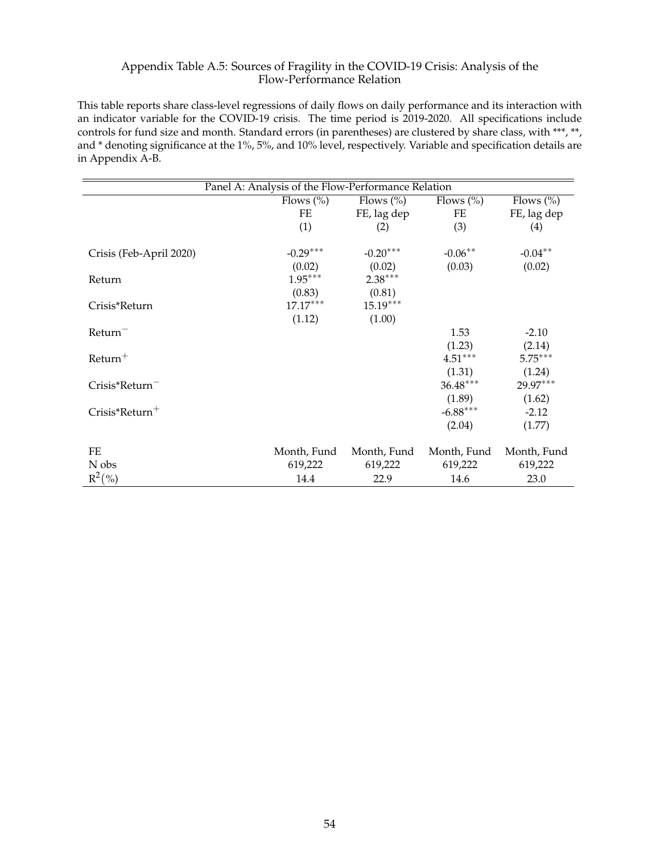# Appendix Table A.5: Sources of Fragility in the COVID-19 Crisis: Analysis of the Flow-Performance Relation

This table reports share class-level regressions of daily flows on daily performance and its interaction with an indicator variable for the COVID-19 crisis. The time period is 2019-2020. All specifications include controls for fund size and month. Standard errors (in parentheses) are clustered by share class, with \*\*\*, \*\*, and \* denoting significance at the 1%, 5%, and 10% level, respectively. Variable and specification details are in Appendix A-B.

|                         | Panel A: Analysis of the Flow-Performance Relation |                      |                      |                     |  |
|-------------------------|----------------------------------------------------|----------------------|----------------------|---------------------|--|
|                         | Flows $(\%)$                                       | Flows $(\% )$        | Flows $(\% )$        | Flows $(\% )$       |  |
|                         | FE                                                 | FE, lag dep          | FE                   | FE, lag dep         |  |
|                         | (1)                                                | (2)                  | (3)                  | (4)                 |  |
| Crisis (Feb-April 2020) | $-0.29***$<br>(0.02)                               | $-0.20***$<br>(0.02) | $-0.06***$<br>(0.03) | $-0.04**$<br>(0.02) |  |
| Return                  | $1.95***$                                          | $2.38***$            |                      |                     |  |
|                         | (0.83)                                             | (0.81)               |                      |                     |  |
| Crisis*Return           | $17.17***$                                         | $15.19***$           |                      |                     |  |
|                         | (1.12)                                             | (1.00)               |                      |                     |  |
| Return <sup>-</sup>     |                                                    |                      | 1.53                 | $-2.10$             |  |
|                         |                                                    |                      | (1.23)               | (2.14)              |  |
| $R$ eturn <sup>+</sup>  |                                                    |                      | $4.51***$            | $5.75***$           |  |
|                         |                                                    |                      | (1.31)               | (1.24)              |  |
| $Crisis*Return^-$       |                                                    |                      | $36.48***$           | 29.97***            |  |
|                         |                                                    |                      | (1.89)               | (1.62)              |  |
| $Crisis*Return+$        |                                                    |                      | $-6.88***$           | $-2.12$             |  |
|                         |                                                    |                      | (2.04)               | (1.77)              |  |
| FE                      | Month, Fund                                        | Month, Fund          | Month, Fund          | Month, Fund         |  |
| N obs                   | 619,222                                            | 619,222              | 619,222              | 619,222             |  |
| $R^2(\%)$               | 14.4                                               | 22.9                 | 14.6                 | 23.0                |  |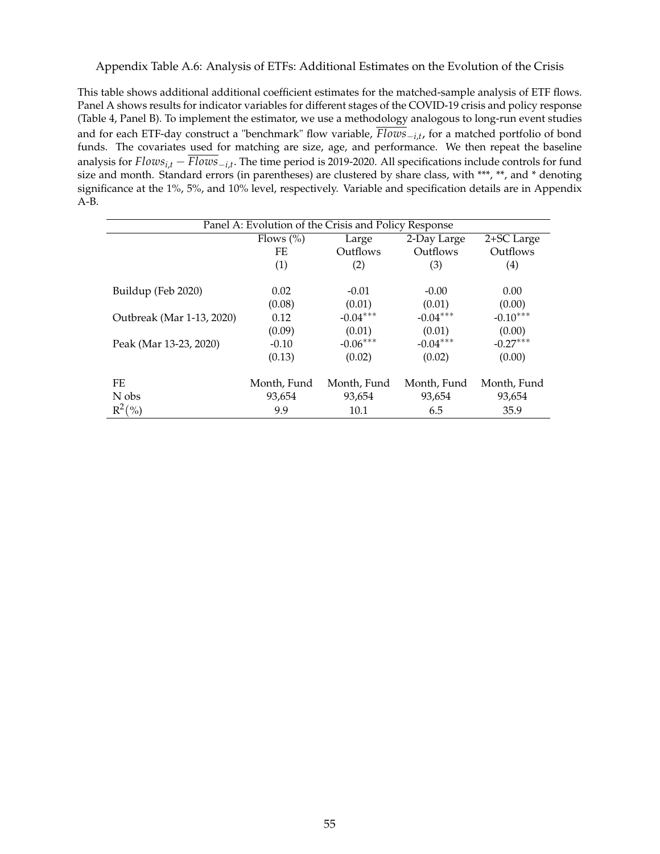Appendix Table A.6: Analysis of ETFs: Additional Estimates on the Evolution of the Crisis

This table shows additional additional coefficient estimates for the matched-sample analysis of ETF flows. Panel A shows results for indicator variables for different stages of the COVID-19 crisis and policy response (Table 4, Panel B). To implement the estimator, we use a methodology analogous to long-run event studies and for each ETF-day construct a "benchmark" flow variable,  $Flows_{i,t}$ , for a matched portfolio of bond funds. The covariates used for matching are size, age, and performance. We then repeat the baseline analysis for  $Flows_{i,t} - Flows_{i,t}$ . The time period is 2019-2020. All specifications include controls for fund size and month. Standard errors (in parentheses) are clustered by share class, with \*\*\*, \*\*, and \* denoting significance at the 1%, 5%, and 10% level, respectively. Variable and specification details are in Appendix A-B.

| Panel A: Evolution of the Crisis and Policy Response |                       |             |             |                   |  |
|------------------------------------------------------|-----------------------|-------------|-------------|-------------------|--|
|                                                      | Flows $(\%)$<br>Large |             | 2-Day Large | 2+SC Large        |  |
|                                                      | FE                    | Outflows    | Outflows    | Outflows          |  |
|                                                      | (1)                   | (2)         | (3)         | $\left( 4\right)$ |  |
|                                                      |                       |             |             |                   |  |
| Buildup (Feb 2020)                                   | 0.02                  | $-0.01$     | $-0.00$     | 0.00              |  |
|                                                      | (0.08)                | (0.01)      | (0.01)      | (0.00)            |  |
| Outbreak (Mar 1-13, 2020)                            | 0.12                  | $-0.04***$  | $-0.04***$  | $-0.10***$        |  |
|                                                      | (0.09)                | (0.01)      | (0.01)      | (0.00)            |  |
| Peak (Mar 13-23, 2020)                               | $-0.10$               | $-0.06***$  | $-0.04***$  | $-0.27***$        |  |
|                                                      | (0.13)                | (0.02)      | (0.02)      | (0.00)            |  |
|                                                      |                       |             |             |                   |  |
| FE                                                   | Month, Fund           | Month, Fund | Month, Fund | Month, Fund       |  |
| N obs                                                | 93,654                | 93,654      | 93,654      | 93,654            |  |
| $R^2(\%)$                                            | 9.9                   | 10.1        | 6.5         | 35.9              |  |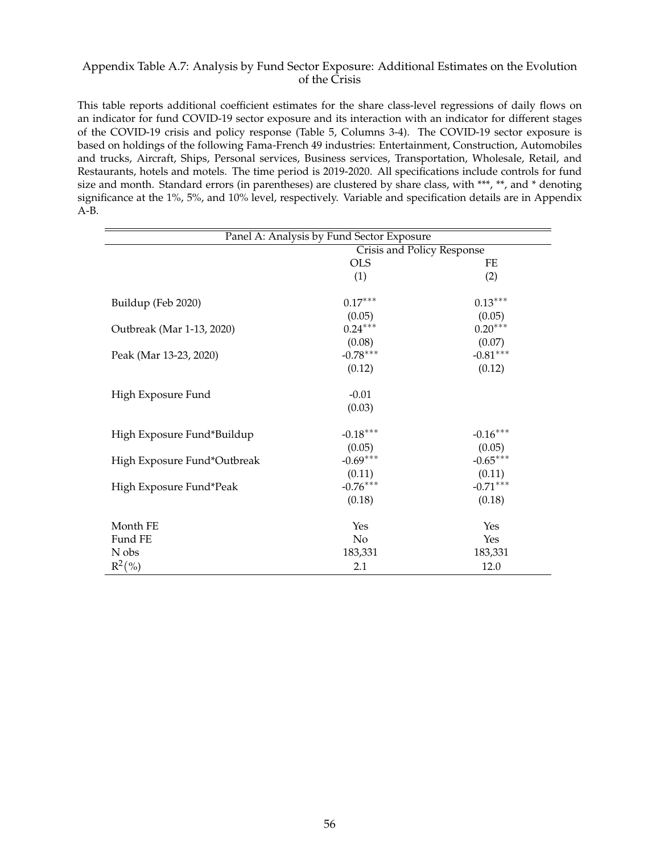## Appendix Table A.7: Analysis by Fund Sector Exposure: Additional Estimates on the Evolution of the Crisis

This table reports additional coefficient estimates for the share class-level regressions of daily flows on an indicator for fund COVID-19 sector exposure and its interaction with an indicator for different stages of the COVID-19 crisis and policy response (Table 5, Columns 3-4). The COVID-19 sector exposure is based on holdings of the following Fama-French 49 industries: Entertainment, Construction, Automobiles and trucks, Aircraft, Ships, Personal services, Business services, Transportation, Wholesale, Retail, and Restaurants, hotels and motels. The time period is 2019-2020. All specifications include controls for fund size and month. Standard errors (in parentheses) are clustered by share class, with \*\*\*, \*\*, and \* denoting significance at the 1%, 5%, and 10% level, respectively. Variable and specification details are in Appendix A-B.

| Panel A: Analysis by Fund Sector Exposure |                            |            |  |  |
|-------------------------------------------|----------------------------|------------|--|--|
|                                           | Crisis and Policy Response |            |  |  |
|                                           | <b>OLS</b>                 | FE         |  |  |
|                                           | (1)                        | (2)        |  |  |
| Buildup (Feb 2020)                        | $0.17***$                  | $0.13***$  |  |  |
|                                           | (0.05)                     | (0.05)     |  |  |
| Outbreak (Mar 1-13, 2020)                 | $0.24***$                  | $0.20***$  |  |  |
|                                           | (0.08)                     | (0.07)     |  |  |
| Peak (Mar 13-23, 2020)                    | $-0.78***$                 | $-0.81***$ |  |  |
|                                           | (0.12)                     | (0.12)     |  |  |
| High Exposure Fund                        | $-0.01$                    |            |  |  |
|                                           | (0.03)                     |            |  |  |
| High Exposure Fund*Buildup                | $-0.18***$                 | $-0.16***$ |  |  |
|                                           | (0.05)                     | (0.05)     |  |  |
| High Exposure Fund*Outbreak               | $-0.69***$                 | $-0.65***$ |  |  |
|                                           | (0.11)                     | (0.11)     |  |  |
| High Exposure Fund*Peak                   | $-0.76***$                 | $-0.71***$ |  |  |
|                                           | (0.18)                     | (0.18)     |  |  |
| Month FE                                  | Yes                        | Yes        |  |  |
| Fund FE                                   | No                         | Yes        |  |  |
| N obs                                     | 183,331                    | 183,331    |  |  |
| $R^2(\%)$                                 | 2.1                        | 12.0       |  |  |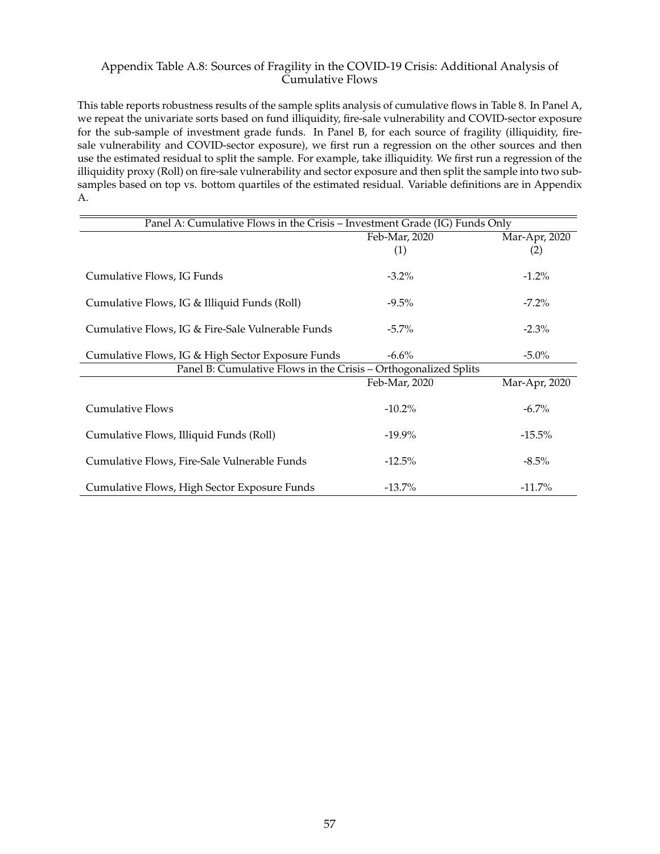# Appendix Table A.8: Sources of Fragility in the COVID-19 Crisis: Additional Analysis of Cumulative Flows

This table reports robustness results of the sample splits analysis of cumulative flows in Table 8. In Panel A, we repeat the univariate sorts based on fund illiquidity, fire-sale vulnerability and COVID-sector exposure for the sub-sample of investment grade funds. In Panel B, for each source of fragility (illiquidity, firesale vulnerability and COVID-sector exposure), we first run a regression on the other sources and then use the estimated residual to split the sample. For example, take illiquidity. We first run a regression of the illiquidity proxy (Roll) on fire-sale vulnerability and sector exposure and then split the sample into two subsamples based on top vs. bottom quartiles of the estimated residual. Variable definitions are in Appendix A.

| Panel A: Cumulative Flows in the Crisis - Investment Grade (IG) Funds Only |               |               |  |  |
|----------------------------------------------------------------------------|---------------|---------------|--|--|
|                                                                            | Feb-Mar, 2020 | Mar-Apr, 2020 |  |  |
|                                                                            | (1)           | (2)           |  |  |
|                                                                            |               |               |  |  |
| Cumulative Flows, IG Funds                                                 | $-3.2\%$      | $-1.2\%$      |  |  |
|                                                                            |               |               |  |  |
| Cumulative Flows, IG & Illiquid Funds (Roll)                               | $-9.5\%$      | $-7.2\%$      |  |  |
|                                                                            |               |               |  |  |
| Cumulative Flows, IG & Fire-Sale Vulnerable Funds                          | $-5.7\%$      | $-2.3\%$      |  |  |
|                                                                            | $-6.6\%$      |               |  |  |
| Cumulative Flows, IG & High Sector Exposure Funds                          | $-5.0\%$      |               |  |  |
| Panel B: Cumulative Flows in the Crisis - Orthogonalized Splits            |               |               |  |  |
|                                                                            | Feb-Mar, 2020 | Mar-Apr, 2020 |  |  |
|                                                                            |               |               |  |  |
| <b>Cumulative Flows</b>                                                    | $-10.2\%$     | $-6.7\%$      |  |  |
|                                                                            |               |               |  |  |
| Cumulative Flows, Illiquid Funds (Roll)                                    | $-19.9\%$     | $-15.5\%$     |  |  |
|                                                                            |               |               |  |  |
| Cumulative Flows, Fire-Sale Vulnerable Funds                               | $-12.5\%$     | $-8.5\%$      |  |  |
|                                                                            | $-13.7\%$     | $-11.7\%$     |  |  |
| Cumulative Flows, High Sector Exposure Funds                               |               |               |  |  |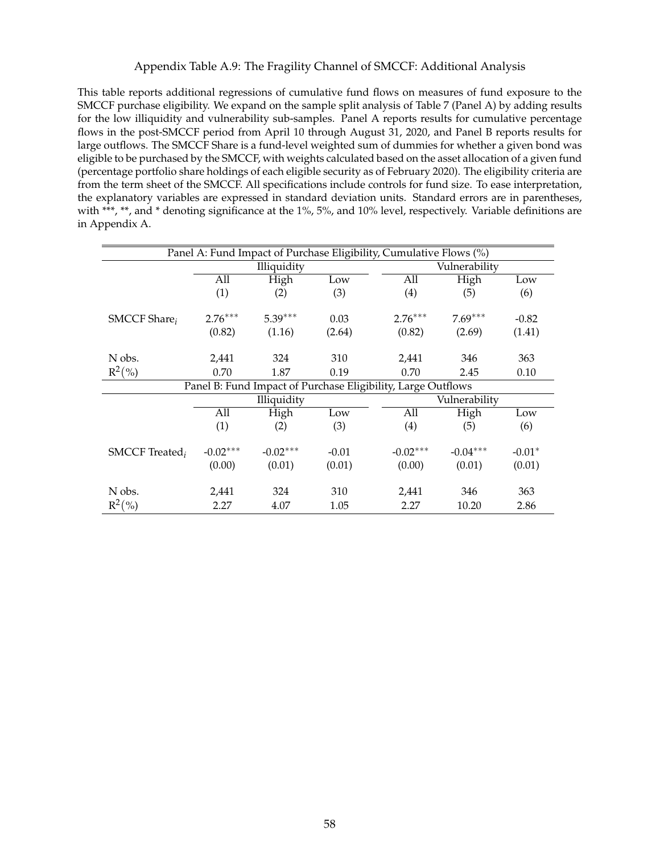### Appendix Table A.9: The Fragility Channel of SMCCF: Additional Analysis

This table reports additional regressions of cumulative fund flows on measures of fund exposure to the SMCCF purchase eligibility. We expand on the sample split analysis of Table 7 (Panel A) by adding results for the low illiquidity and vulnerability sub-samples. Panel A reports results for cumulative percentage flows in the post-SMCCF period from April 10 through August 31, 2020, and Panel B reports results for large outflows. The SMCCF Share is a fund-level weighted sum of dummies for whether a given bond was eligible to be purchased by the SMCCF, with weights calculated based on the asset allocation of a given fund (percentage portfolio share holdings of each eligible security as of February 2020). The eligibility criteria are from the term sheet of the SMCCF. All specifications include controls for fund size. To ease interpretation, the explanatory variables are expressed in standard deviation units. Standard errors are in parentheses, with \*\*\*, \*\*, and \* denoting significance at the 1%, 5%, and 10% level, respectively. Variable definitions are in Appendix A.

| Panel A: Fund Impact of Purchase Eligibility, Cumulative Flows (%) |             |            |         |                                                              |               |          |  |  |
|--------------------------------------------------------------------|-------------|------------|---------|--------------------------------------------------------------|---------------|----------|--|--|
|                                                                    | Illiquidity |            |         |                                                              | Vulnerability |          |  |  |
|                                                                    | All         | High       | Low     | All                                                          | High          | Low      |  |  |
|                                                                    | (1)         | (2)        | (3)     | (4)                                                          | (5)           | (6)      |  |  |
| SMCCF Share <sub>i</sub>                                           | $2.76***$   | $5.39***$  | 0.03    | $2.76***$                                                    | $7.69***$     | $-0.82$  |  |  |
|                                                                    | (0.82)      | (1.16)     | (2.64)  | (0.82)                                                       | (2.69)        | (1.41)   |  |  |
| N obs.                                                             | 2,441       | 324        | 310     | 2,441                                                        | 346           | 363      |  |  |
| $R^2(\%)$                                                          | 0.70        | 1.87       | 0.19    | 0.70                                                         | 2.45          | 0.10     |  |  |
|                                                                    |             |            |         | Panel B: Fund Impact of Purchase Eligibility, Large Outflows |               |          |  |  |
|                                                                    | Illiquidity |            |         |                                                              | Vulnerability |          |  |  |
|                                                                    | All         | High       | Low     | All                                                          | High          | Low      |  |  |
|                                                                    | (1)         | (2)        | (3)     | (4)                                                          | (5)           | (6)      |  |  |
| SMCCF Treated <sub>i</sub>                                         | $-0.02***$  | $-0.02***$ | $-0.01$ | $-0.02***$                                                   | $-0.04***$    | $-0.01*$ |  |  |
|                                                                    | (0.00)      | (0.01)     | (0.01)  | (0.00)                                                       | (0.01)        | (0.01)   |  |  |
| N obs.                                                             | 2,441       | 324        | 310     | 2,441                                                        | 346           | 363      |  |  |
| $R^2(\%)$                                                          | 2.27        | 4.07       | 1.05    | 2.27                                                         | 10.20         | 2.86     |  |  |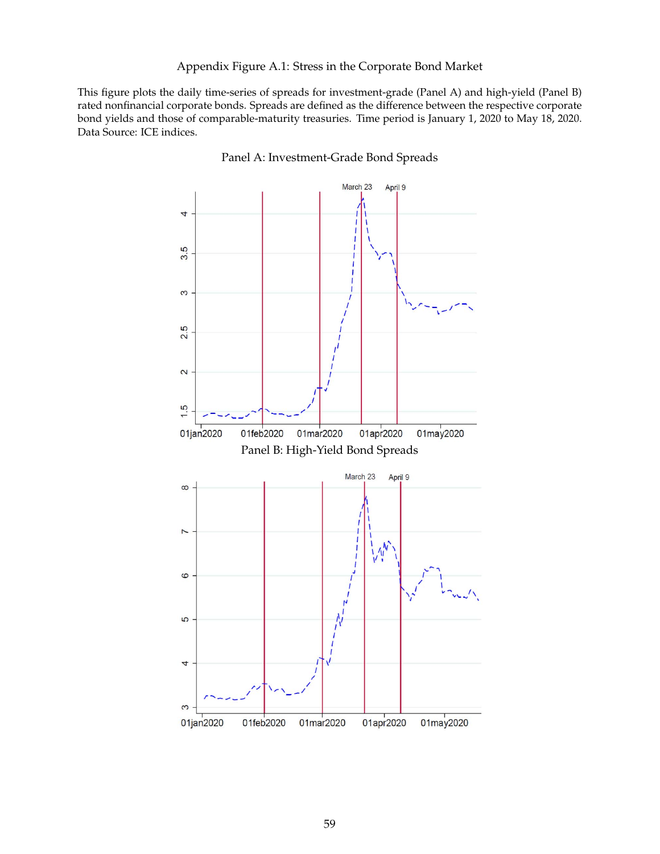### Appendix Figure A.1: Stress in the Corporate Bond Market

This figure plots the daily time-series of spreads for investment-grade (Panel A) and high-yield (Panel B) rated nonfinancial corporate bonds. Spreads are defined as the difference between the respective corporate bond yields and those of comparable-maturity treasuries. Time period is January 1, 2020 to May 18, 2020. Data Source: ICE indices.



Panel A: Investment-Grade Bond Spreads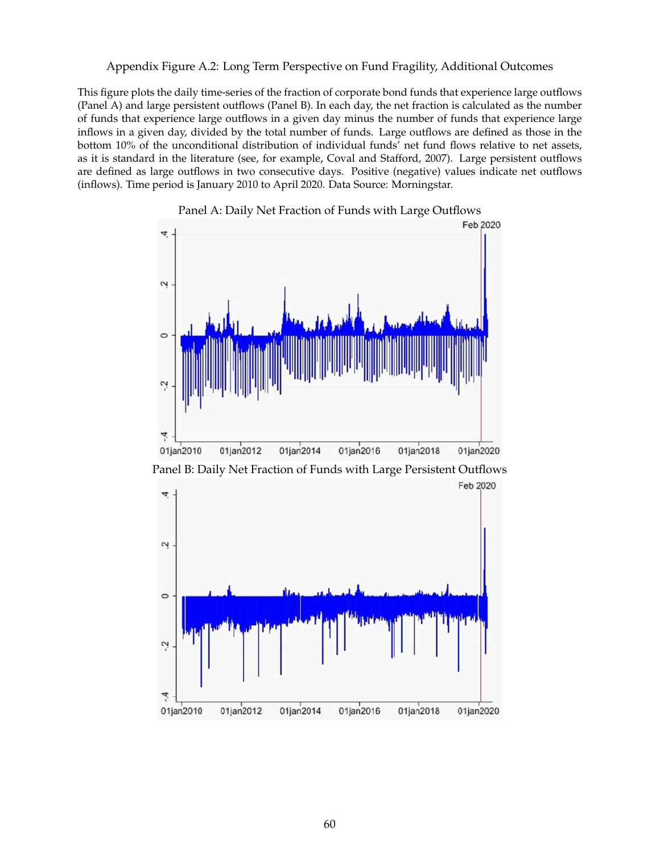Appendix Figure A.2: Long Term Perspective on Fund Fragility, Additional Outcomes

This figure plots the daily time-series of the fraction of corporate bond funds that experience large outflows (Panel A) and large persistent outflows (Panel B). In each day, the net fraction is calculated as the number of funds that experience large outflows in a given day minus the number of funds that experience large inflows in a given day, divided by the total number of funds. Large outflows are defined as those in the bottom 10% of the unconditional distribution of individual funds' net fund flows relative to net assets, as it is standard in the literature (see, for example, Coval and Stafford, 2007). Large persistent outflows are defined as large outflows in two consecutive days. Positive (negative) values indicate net outflows (inflows). Time period is January 2010 to April 2020. Data Source: Morningstar.





Panel B: Daily Net Fraction of Funds with Large Persistent Outflows

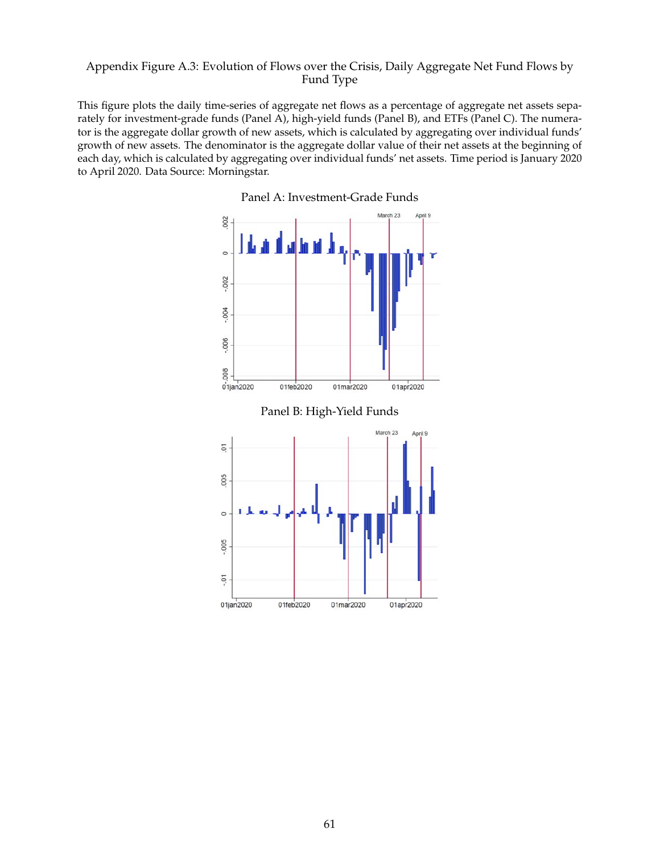## Appendix Figure A.3: Evolution of Flows over the Crisis, Daily Aggregate Net Fund Flows by Fund Type

This figure plots the daily time-series of aggregate net flows as a percentage of aggregate net assets separately for investment-grade funds (Panel A), high-yield funds (Panel B), and ETFs (Panel C). The numerator is the aggregate dollar growth of new assets, which is calculated by aggregating over individual funds' growth of new assets. The denominator is the aggregate dollar value of their net assets at the beginning of each day, which is calculated by aggregating over individual funds' net assets. Time period is January 2020 to April 2020. Data Source: Morningstar.



Panel A: Investment-Grade Funds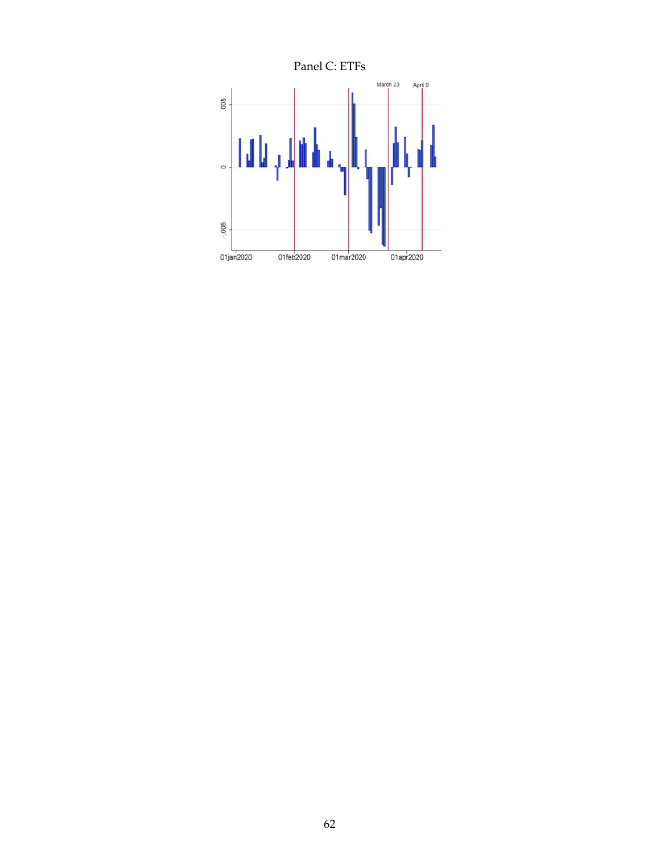